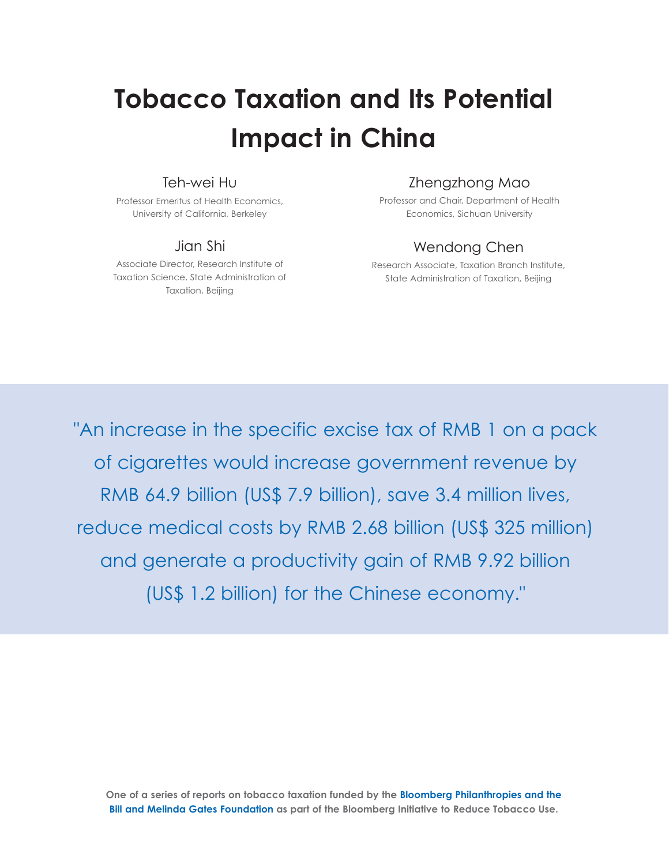# **Tobacco Taxation and Its Potential Impact in China**

# Teh-wei Hu

Professor Emeritus of Health Economics, University of California, Berkeley

# Jian Shi

Associate Director, Research Institute of Taxation Science, State Administration of Taxation, Beijing

# Zhengzhong Mao

Professor and Chair, Department of Health Economics, Sichuan University

# Wendong Chen

Research Associate, Taxation Branch Institute, State Administration of Taxation, Beijing

"An increase in the specific excise tax of RMB 1 on a pack of cigarettes would increase government revenue by RMB 64.9 billion (US\$ 7.9 billion), save 3.4 million lives, reduce medical costs by RMB 2.68 billion (US\$ 325 million) and generate a productivity gain of RMB 9.92 billion (US\$ 1.2 billion) for the Chinese economy."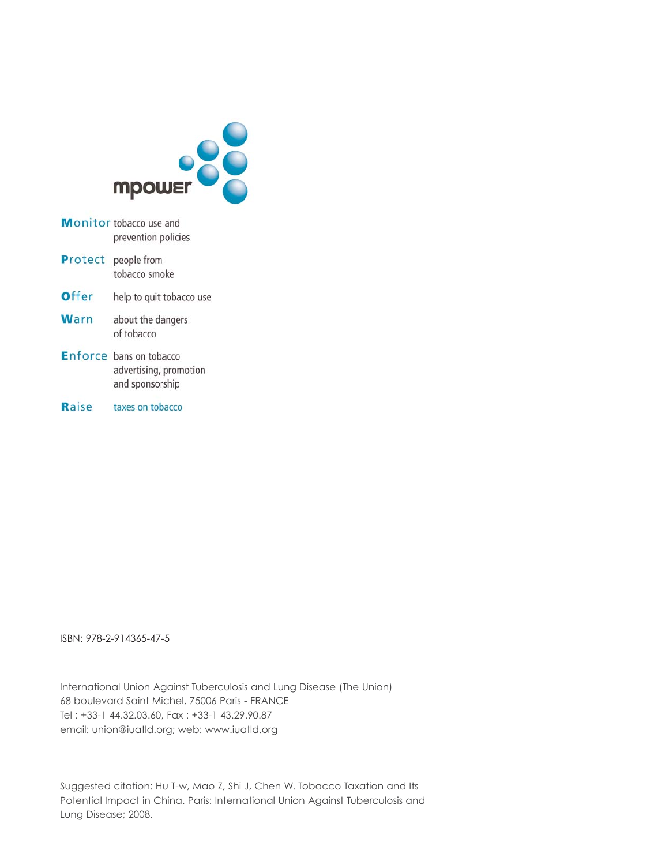

- Monitor tobacco use and prevention policies
- Protect people from tobacco smoke
- Offer help to quit tobacco use
- Warn about the dangers of tobacco
- Enforce bans on tobacco advertising, promotion and sponsorship
- Raise taxes on tobacco

ISBN: 978-2-914365-47-5

International Union Against Tuberculosis and Lung Disease (The Union) 68 boulevard Saint Michel, 75006 Paris - FRANCE Tel : +33-1 44.32.03.60, Fax : +33-1 43.29.90.87 email: union@iuatld.org; web: www.iuatld.org

Suggested citation: Hu T-w, Mao Z, Shi J, Chen W. Tobacco Taxation and Its Potential Impact in China. Paris: International Union Against Tuberculosis and Lung Disease; 2008.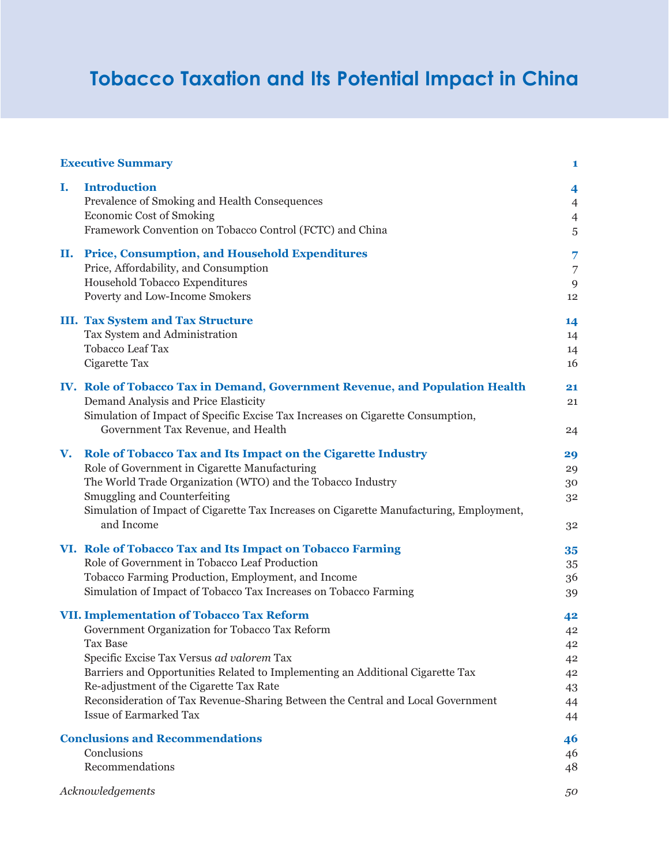# **Tobacco Taxation and Its Potential Impact in China**

|    | <b>Executive Summary</b>                                                                                                    | 1                            |
|----|-----------------------------------------------------------------------------------------------------------------------------|------------------------------|
| Ι. | <b>Introduction</b><br>Prevalence of Smoking and Health Consequences                                                        | 4<br>$\overline{4}$          |
|    | <b>Economic Cost of Smoking</b><br>Framework Convention on Tobacco Control (FCTC) and China                                 | $\overline{4}$<br>$\sqrt{5}$ |
| П. | <b>Price, Consumption, and Household Expenditures</b>                                                                       | 7                            |
|    | Price, Affordability, and Consumption                                                                                       | 7                            |
|    | Household Tobacco Expenditures                                                                                              | 9                            |
|    | Poverty and Low-Income Smokers                                                                                              | 12                           |
|    | <b>III. Tax System and Tax Structure</b>                                                                                    | 14                           |
|    | Tax System and Administration                                                                                               | 14                           |
|    | <b>Tobacco Leaf Tax</b>                                                                                                     | 14                           |
|    | Cigarette Tax                                                                                                               | 16                           |
|    | IV. Role of Tobacco Tax in Demand, Government Revenue, and Population Health                                                | 21                           |
|    | Demand Analysis and Price Elasticity                                                                                        | 21                           |
|    | Simulation of Impact of Specific Excise Tax Increases on Cigarette Consumption,                                             |                              |
|    | Government Tax Revenue, and Health                                                                                          | 24                           |
| V. | Role of Tobacco Tax and Its Impact on the Cigarette Industry                                                                | 29                           |
|    | Role of Government in Cigarette Manufacturing                                                                               | 29                           |
|    | The World Trade Organization (WTO) and the Tobacco Industry                                                                 | 30                           |
|    | Smuggling and Counterfeiting                                                                                                | 32                           |
|    | Simulation of Impact of Cigarette Tax Increases on Cigarette Manufacturing, Employment,<br>and Income                       | 32                           |
|    | VI. Role of Tobacco Tax and Its Impact on Tobacco Farming                                                                   | 35                           |
|    | Role of Government in Tobacco Leaf Production                                                                               | 35                           |
|    | Tobacco Farming Production, Employment, and Income                                                                          | 36                           |
|    | Simulation of Impact of Tobacco Tax Increases on Tobacco Farming                                                            | 39                           |
|    | <b>VII. Implementation of Tobacco Tax Reform</b>                                                                            | 42                           |
|    | Government Organization for Tobacco Tax Reform                                                                              | 42                           |
|    | Tax Base                                                                                                                    | 42                           |
|    | Specific Excise Tax Versus ad valorem Tax<br>Barriers and Opportunities Related to Implementing an Additional Cigarette Tax | 42                           |
|    | Re-adjustment of the Cigarette Tax Rate                                                                                     | 42<br>43                     |
|    | Reconsideration of Tax Revenue-Sharing Between the Central and Local Government                                             | 44                           |
|    | <b>Issue of Earmarked Tax</b>                                                                                               | 44                           |
|    | <b>Conclusions and Recommendations</b>                                                                                      | 46                           |
|    | Conclusions                                                                                                                 | 46                           |
|    | Recommendations                                                                                                             | 48                           |
|    | Acknowledgements                                                                                                            | 50                           |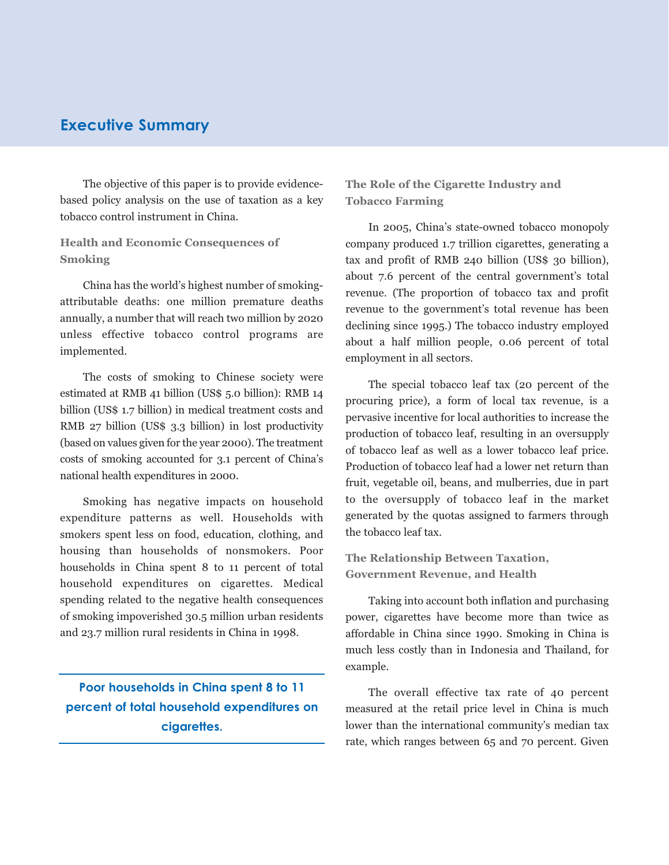# **Executive Summary**

The objective of this paper is to provide evidencebased policy analysis on the use of taxation as a key tobacco control instrument in China.

# **Health and Economic Consequences of Smoking**

China has the world's highest number of smokingattributable deaths: one million premature deaths annually, a number that will reach two million by 2020 unless effective tobacco control programs are implemented.

The costs of smoking to Chinese society were estimated at RMB 41 billion (US\$ 5.0 billion): RMB 14 billion (US\$ 1.7 billion) in medical treatment costs and RMB 27 billion (US\$ 3.3 billion) in lost productivity (based on values given for the year 2000). The treatment costs of smoking accounted for 3.1 percent of China's national health expenditures in 2000.

Smoking has negative impacts on household expenditure patterns as well. Households with smokers spent less on food, education, clothing, and housing than households of nonsmokers. Poor households in China spent 8 to 11 percent of total household expenditures on cigarettes. Medical spending related to the negative health consequences of smoking impoverished 30.5 million urban residents and 23.7 million rural residents in China in 1998.

**Poor households in China spent 8 to 11 percent of total household expenditures on cigarettes.** 

**The Role of the Cigarette Industry and Tobacco Farming**

In 2005, China's state-owned tobacco monopoly company produced 1.7 trillion cigarettes, generating a tax and profit of RMB 240 billion (US\$ 30 billion), about 7.6 percent of the central government's total revenue. (The proportion of tobacco tax and profit revenue to the government's total revenue has been declining since 1995.) The tobacco industry employed about a half million people, 0.06 percent of total employment in all sectors.

The special tobacco leaf tax (20 percent of the procuring price), a form of local tax revenue, is a pervasive incentive for local authorities to increase the production of tobacco leaf, resulting in an oversupply of tobacco leaf as well as a lower tobacco leaf price. Production of tobacco leaf had a lower net return than fruit, vegetable oil, beans, and mulberries, due in part to the oversupply of tobacco leaf in the market generated by the quotas assigned to farmers through the tobacco leaf tax.

**The Relationship Between Taxation, Government Revenue, and Health**

Taking into account both inflation and purchasing power, cigarettes have become more than twice as affordable in China since 1990. Smoking in China is much less costly than in Indonesia and Thailand, for example.

The overall effective tax rate of 40 percent measured at the retail price level in China is much lower than the international community's median tax rate, which ranges between 65 and 70 percent. Given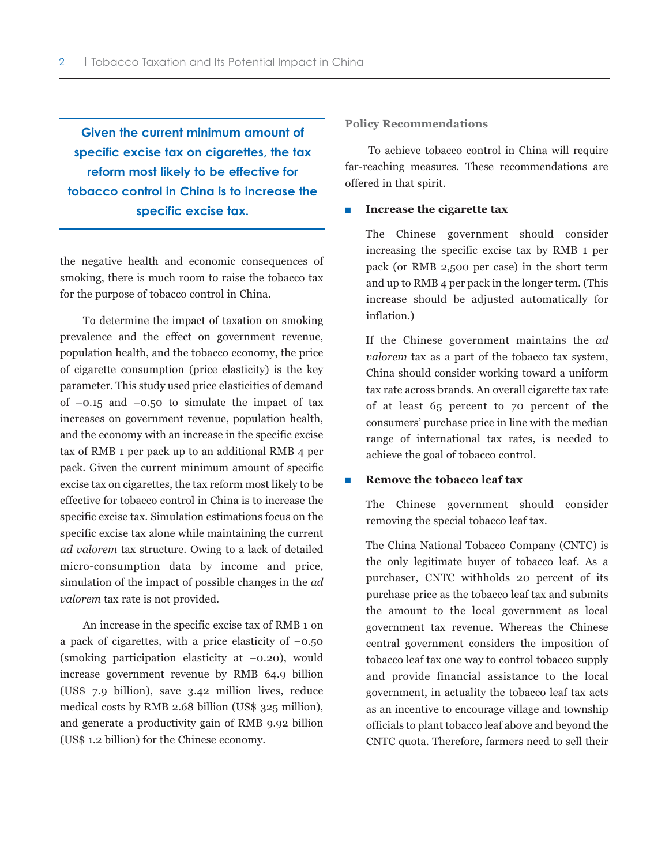**Given the current minimum amount of specific excise tax on cigarettes, the tax reform most likely to be effective for tobacco control in China is to increase the specific excise tax.**

the negative health and economic consequences of smoking, there is much room to raise the tobacco tax for the purpose of tobacco control in China.

To determine the impact of taxation on smoking prevalence and the effect on government revenue, population health, and the tobacco economy, the price of cigarette consumption (price elasticity) is the key parameter. This study used price elasticities of demand of  $-0.15$  and  $-0.50$  to simulate the impact of tax increases on government revenue, population health, and the economy with an increase in the specific excise tax of RMB 1 per pack up to an additional RMB 4 per pack. Given the current minimum amount of specific excise tax on cigarettes, the tax reform most likely to be effective for tobacco control in China is to increase the specific excise tax. Simulation estimations focus on the specific excise tax alone while maintaining the current *ad valorem* tax structure. Owing to a lack of detailed micro-consumption data by income and price, simulation of the impact of possible changes in the *ad valorem* tax rate is not provided.

An increase in the specific excise tax of RMB 1 on a pack of cigarettes, with a price elasticity of  $-0.50$ (smoking participation elasticity at –0.20), would increase government revenue by RMB 64.9 billion (US\$ 7.9 billion), save 3.42 million lives, reduce medical costs by RMB 2.68 billion (US\$ 325 million), and generate a productivity gain of RMB 9.92 billion (US\$ 1.2 billion) for the Chinese economy.

**Policy Recommendations**

To achieve tobacco control in China will require far-reaching measures. These recommendations are offered in that spirit.

#### ■ **Increase the cigarette tax**

The Chinese government should consider increasing the specific excise tax by RMB 1 per pack (or RMB 2,500 per case) in the short term and up to RMB 4 per pack in the longer term. (This increase should be adjusted automatically for inflation.)

If the Chinese government maintains the *ad valorem* tax as a part of the tobacco tax system, China should consider working toward a uniform tax rate across brands. An overall cigarette tax rate of at least 65 percent to 70 percent of the consumers' purchase price in line with the median range of international tax rates, is needed to achieve the goal of tobacco control.

#### ■ **Remove the tobacco leaf tax**

The Chinese government should consider removing the special tobacco leaf tax.

The China National Tobacco Company (CNTC) is the only legitimate buyer of tobacco leaf. As a purchaser, CNTC withholds 20 percent of its purchase price as the tobacco leaf tax and submits the amount to the local government as local government tax revenue. Whereas the Chinese central government considers the imposition of tobacco leaf tax one way to control tobacco supply and provide financial assistance to the local government, in actuality the tobacco leaf tax acts as an incentive to encourage village and township officials to plant tobacco leaf above and beyond the CNTC quota. Therefore, farmers need to sell their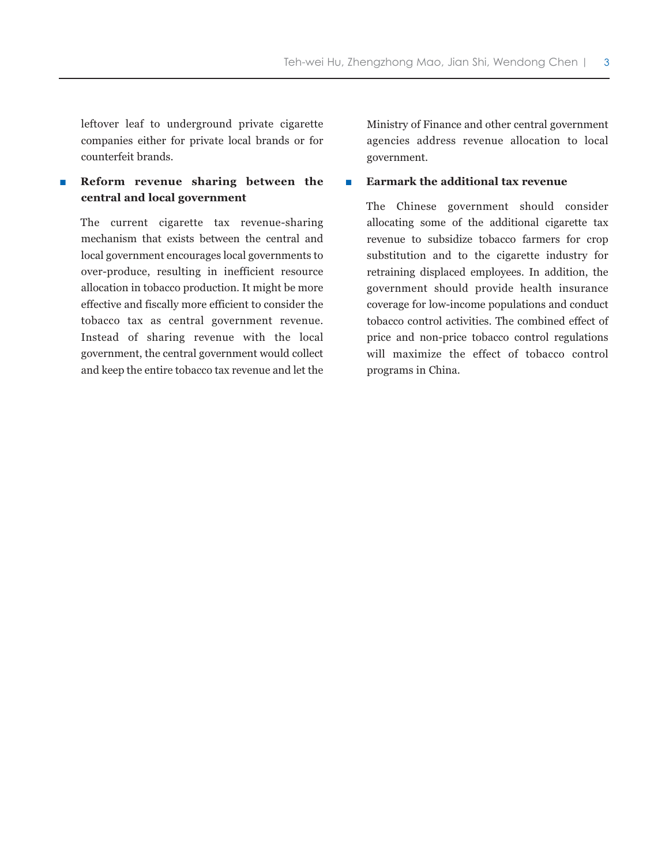leftover leaf to underground private cigarette companies either for private local brands or for counterfeit brands.

## **Reform revenue sharing between the central and local government**

The current cigarette tax revenue-sharing mechanism that exists between the central and local government encourages local governments to over-produce, resulting in inefficient resource allocation in tobacco production. It might be more effective and fiscally more efficient to consider the tobacco tax as central government revenue. Instead of sharing revenue with the local government, the central government would collect and keep the entire tobacco tax revenue and let the

Ministry of Finance and other central government agencies address revenue allocation to local government.

#### ■ **Earmark the additional tax revenue**

The Chinese government should consider allocating some of the additional cigarette tax revenue to subsidize tobacco farmers for crop substitution and to the cigarette industry for retraining displaced employees. In addition, the government should provide health insurance coverage for low-income populations and conduct tobacco control activities. The combined effect of price and non-price tobacco control regulations will maximize the effect of tobacco control programs in China.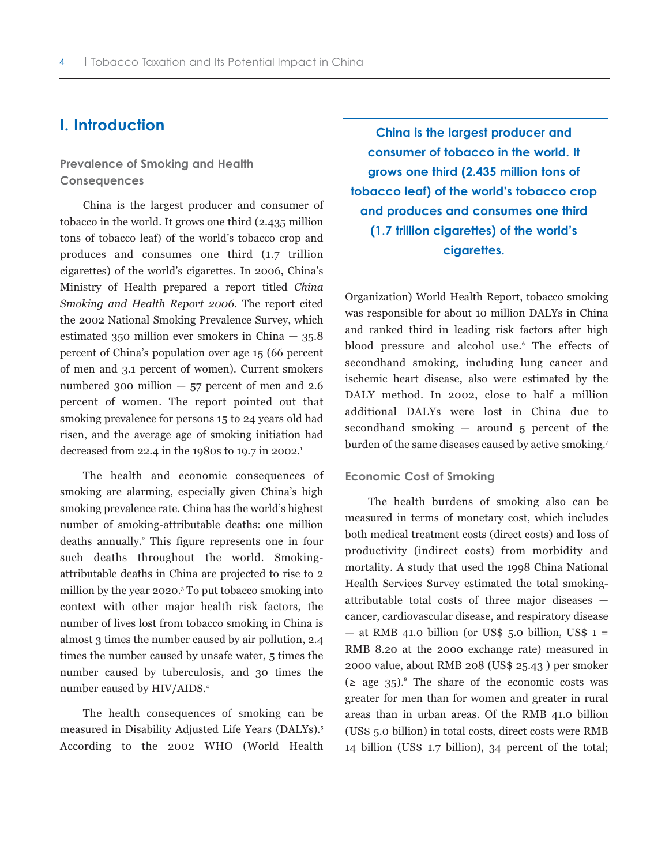# **I. Introduction**

## **Prevalence of Smoking and Health Consequences**

China is the largest producer and consumer of tobacco in the world. It grows one third (2.435 million tons of tobacco leaf) of the world's tobacco crop and produces and consumes one third (1.7 trillion cigarettes) of the world's cigarettes. In 2006, China's Ministry of Health prepared a report titled *China Smoking and Health Report 2006*. The report cited the 2002 National Smoking Prevalence Survey, which estimated 350 million ever smokers in China  $-$  35.8 percent of China's population over age 15 (66 percent of men and 3.1 percent of women). Current smokers numbered 300 million  $-57$  percent of men and 2.6 percent of women. The report pointed out that smoking prevalence for persons 15 to 24 years old had risen, and the average age of smoking initiation had decreased from 22.4 in the 1980s to 19.7 in 2002.1

The health and economic consequences of smoking are alarming, especially given China's high smoking prevalence rate. China has the world's highest number of smoking-attributable deaths: one million deaths annually.<sup>2</sup> This figure represents one in four such deaths throughout the world. Smokingattributable deaths in China are projected to rise to 2 million by the year 2020.3 To put tobacco smoking into context with other major health risk factors, the number of lives lost from tobacco smoking in China is almost 3 times the number caused by air pollution, 2.4 times the number caused by unsafe water, 5 times the number caused by tuberculosis, and 30 times the number caused by HIV/AIDS.4

The health consequences of smoking can be measured in Disability Adjusted Life Years (DALYs).5 According to the 2002 WHO (World Health

**China is the largest producer and consumer of tobacco in the world. It grows one third (2.435 million tons of tobacco leaf) of the world's tobacco crop and produces and consumes one third (1.7 trillion cigarettes) of the world's cigarettes.**

Organization) World Health Report, tobacco smoking was responsible for about 10 million DALYs in China and ranked third in leading risk factors after high blood pressure and alcohol use.<sup>6</sup> The effects of secondhand smoking, including lung cancer and ischemic heart disease, also were estimated by the DALY method. In 2002, close to half a million additional DALYs were lost in China due to secondhand smoking  $-$  around  $5$  percent of the burden of the same diseases caused by active smoking.<sup>7</sup>

#### **Economic Cost of Smoking**

The health burdens of smoking also can be measured in terms of monetary cost, which includes both medical treatment costs (direct costs) and loss of productivity (indirect costs) from morbidity and mortality. A study that used the 1998 China National Health Services Survey estimated the total smokingattributable total costs of three major diseases cancer, cardiovascular disease, and respiratory disease  $-$  at RMB 41.0 billion (or US\$ 5.0 billion, US\$ 1 = RMB 8.20 at the 2000 exchange rate) measured in 2000 value, about RMB 208 (US\$ 25.43 ) per smoker  $(z \text{ age } 35)^8$ . The share of the economic costs was greater for men than for women and greater in rural areas than in urban areas. Of the RMB 41.0 billion (US\$ 5.0 billion) in total costs, direct costs were RMB 14 billion (US\$ 1.7 billion), 34 percent of the total;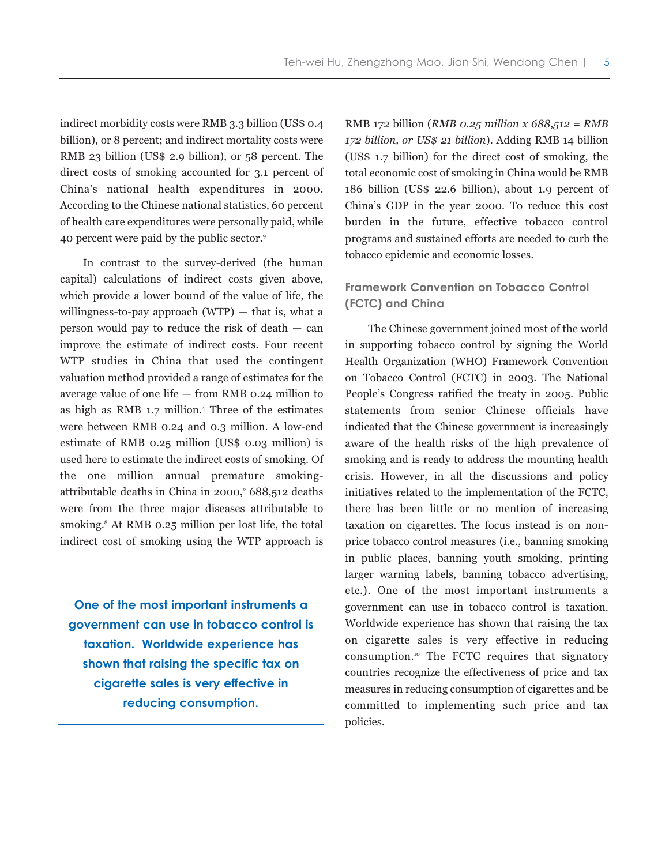indirect morbidity costs were RMB 3.3 billion (US\$ 0.4 billion), or 8 percent; and indirect mortality costs were RMB 23 billion (US\$ 2.9 billion), or 58 percent. The direct costs of smoking accounted for 3.1 percent of China's national health expenditures in 2000. According to the Chinese national statistics, 60 percent of health care expenditures were personally paid, while 40 percent were paid by the public sector.9

In contrast to the survey-derived (the human capital) calculations of indirect costs given above, which provide a lower bound of the value of life, the willingness-to-pay approach  $(WTP)$  — that is, what a person would pay to reduce the risk of death — can improve the estimate of indirect costs. Four recent WTP studies in China that used the contingent valuation method provided a range of estimates for the average value of one life — from RMB 0.24 million to as high as RMB 1.7 million.4 Three of the estimates were between RMB 0.24 and 0.3 million. A low-end estimate of RMB 0.25 million (US\$ 0.03 million) is used here to estimate the indirect costs of smoking. Of the one million annual premature smokingattributable deaths in China in 2000, $368,512$  deaths were from the three major diseases attributable to smoking. $8$  At RMB 0.25 million per lost life, the total indirect cost of smoking using the WTP approach is

**One of the most important instruments a government can use in tobacco control is taxation. Worldwide experience has shown that raising the specific tax on cigarette sales is very effective in reducing consumption.**

RMB 172 billion (*RMB 0.25 million x 688,512 = RMB 172 billion, or US\$ 21 billion*). Adding RMB 14 billion (US\$ 1.7 billion) for the direct cost of smoking, the total economic cost of smoking in China would be RMB 186 billion (US\$ 22.6 billion), about 1.9 percent of China's GDP in the year 2000. To reduce this cost burden in the future, effective tobacco control programs and sustained efforts are needed to curb the tobacco epidemic and economic losses.

# **Framework Convention on Tobacco Control (FCTC) and China**

The Chinese government joined most of the world in supporting tobacco control by signing the World Health Organization (WHO) Framework Convention on Tobacco Control (FCTC) in 2003. The National People's Congress ratified the treaty in 2005. Public statements from senior Chinese officials have indicated that the Chinese government is increasingly aware of the health risks of the high prevalence of smoking and is ready to address the mounting health crisis. However, in all the discussions and policy initiatives related to the implementation of the FCTC, there has been little or no mention of increasing taxation on cigarettes. The focus instead is on nonprice tobacco control measures (i.e., banning smoking in public places, banning youth smoking, printing larger warning labels, banning tobacco advertising, etc.). One of the most important instruments a government can use in tobacco control is taxation. Worldwide experience has shown that raising the tax on cigarette sales is very effective in reducing consumption.10 The FCTC requires that signatory countries recognize the effectiveness of price and tax measures in reducing consumption of cigarettes and be committed to implementing such price and tax policies.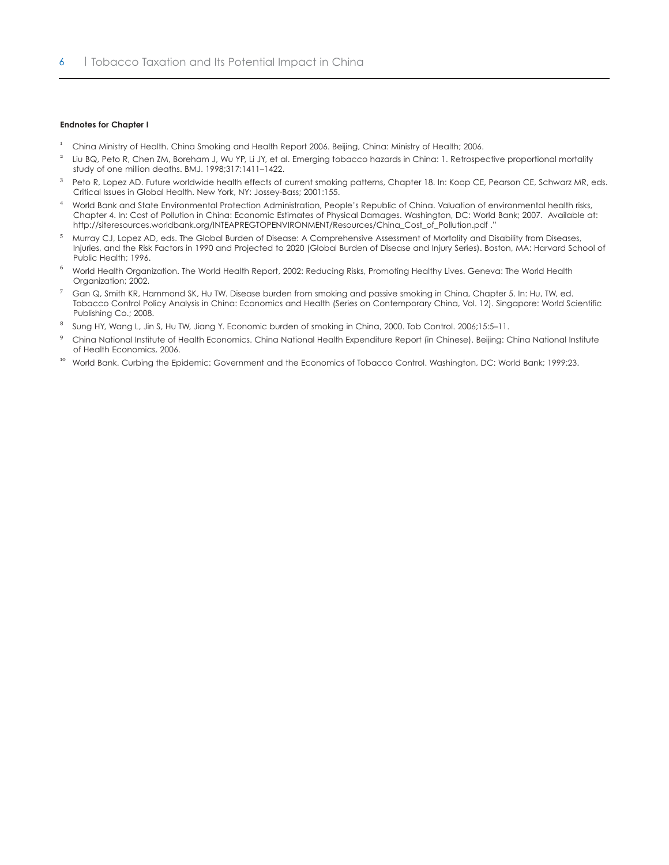#### **Endnotes for Chapter I**

- <sup>1</sup> China Ministry of Health. China Smoking and Health Report 2006. Beijing, China: Ministry of Health; 2006.
- <sup>2</sup> Liu BQ, Peto R, Chen ZM, Boreham J, Wu YP, Li JY, et al. Emerging tobacco hazards in China: 1. Retrospective proportional mortality study of one million deaths. BMJ. 1998;317:1411–1422.
- <sup>3</sup> Peto R, Lopez AD. Future worldwide health effects of current smoking patterns, Chapter 18. In: Koop CE, Pearson CE, Schwarz MR, eds. Critical Issues in Global Health. New York, NY: Jossey-Bass; 2001:155.
- <sup>4</sup> World Bank and State Environmental Protection Administration, People's Republic of China. Valuation of environmental health risks, Chapter 4. In: Cost of Pollution in China: Economic Estimates of Physical Damages. Washington, DC: World Bank; 2007. Available at: http://siteresources.worldbank.org/INTEAPREGTOPENVIRONMENT/Resources/China\_Cost\_of\_Pollution.pdf ."
- <sup>5</sup> Murray CJ, Lopez AD, eds. The Global Burden of Disease: A Comprehensive Assessment of Mortality and Disability from Diseases, Injuries, and the Risk Factors in 1990 and Projected to 2020 (Global Burden of Disease and Injury Series). Boston, MA: Harvard School of Public Health; 1996.
- <sup>6</sup> World Health Organization. The World Health Report, 2002: Reducing Risks, Promoting Healthy Lives. Geneva: The World Health Organization; 2002.
- <sup>7</sup> Gan Q, Smith KR, Hammond SK, Hu TW. Disease burden from smoking and passive smoking in China, Chapter 5. In: Hu, TW, ed. Tobacco Control Policy Analysis in China: Economics and Health (Series on Contemporary China, Vol. 12). Singapore: World Scientific Publishing Co.; 2008.
- 8 Sung HY, Wang L, Jin S, Hu TW, Jiang Y. Economic burden of smoking in China, 2000. Tob Control. 2006;15:5–11.
- <sup>9</sup> China National Institute of Health Economics. China National Health Expenditure Report (in Chinese). Beijing: China National Institute of Health Economics, 2006.
- <sup>10</sup> World Bank. Curbing the Epidemic: Government and the Economics of Tobacco Control. Washington, DC: World Bank; 1999:23.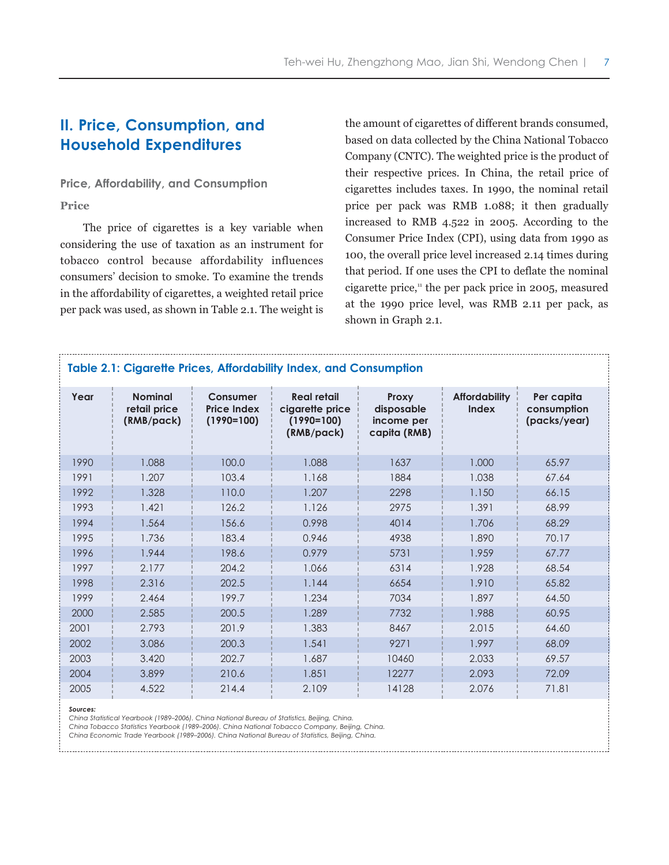# **II. Price, Consumption, and Household Expenditures**

### **Price, Affordability, and Consumption**

#### **Price**

The price of cigarettes is a key variable when considering the use of taxation as an instrument for tobacco control because affordability influences consumers' decision to smoke. To examine the trends in the affordability of cigarettes, a weighted retail price per pack was used, as shown in Table 2.1. The weight is the amount of cigarettes of different brands consumed, based on data collected by the China National Tobacco Company (CNTC). The weighted price is the product of their respective prices. In China, the retail price of cigarettes includes taxes. In 1990, the nominal retail price per pack was RMB 1.088; it then gradually increased to RMB 4.522 in 2005. According to the Consumer Price Index (CPI), using data from 1990 as 100, the overall price level increased 2.14 times during that period. If one uses the CPI to deflate the nominal cigarette price,<sup>11</sup> the per pack price in 2005, measured at the 1990 price level, was RMB 2.11 per pack, as shown in Graph 2.1.

| Table 2.1: Cigarette Prices, Affordability Index, and Consumption |                                              |                                                |                                                                     |                                                          |                                      |                                           |  |  |
|-------------------------------------------------------------------|----------------------------------------------|------------------------------------------------|---------------------------------------------------------------------|----------------------------------------------------------|--------------------------------------|-------------------------------------------|--|--|
| Year                                                              | <b>Nominal</b><br>retail price<br>(RMB/pack) | Consumer<br><b>Price Index</b><br>$(1990=100)$ | <b>Real retail</b><br>cigarette price<br>$(1990=100)$<br>(RMB/pack) | <b>Proxy</b><br>disposable<br>income per<br>capita (RMB) | <b>Affordability</b><br><b>Index</b> | Per capita<br>consumption<br>(packs/year) |  |  |
| 1990                                                              | 1.088                                        | 100.0                                          | 1.088                                                               | 1637                                                     | 1.000                                | 65.97                                     |  |  |
| 1991                                                              | 1.207                                        | 103.4                                          | 1.168                                                               | 1884                                                     | 1.038                                | 67.64                                     |  |  |
| 1992                                                              | 1.328                                        | 110.0                                          | 1.207                                                               | 2298                                                     | 1.150                                | 66.15                                     |  |  |
| 1993                                                              | 1.421                                        | 126.2                                          | 1.126                                                               | 2975                                                     | 1.391                                | 68.99                                     |  |  |
| 1994                                                              | 1.564                                        | 156.6                                          | 0.998                                                               | 4014                                                     | 1.706                                | 68.29                                     |  |  |
| 1995                                                              | 1.736                                        | 183.4                                          | 0.946                                                               | 4938                                                     | 1.890                                | 70.17                                     |  |  |
| 1996                                                              | 1.944                                        | 198.6                                          | 0.979                                                               | 5731                                                     | 1.959                                | 67.77                                     |  |  |
| 1997                                                              | 2.177                                        | 204.2                                          | 1.066                                                               | 6314                                                     | 1.928                                | 68.54                                     |  |  |
| 1998                                                              | 2.316                                        | 202.5                                          | 1.144                                                               | 6654                                                     | 1.910                                | 65.82                                     |  |  |
| 1999                                                              | 2.464                                        | 199.7                                          | 1.234                                                               | 7034                                                     | 1.897                                | 64.50                                     |  |  |
| 2000                                                              | 2.585                                        | 200.5                                          | 1.289                                                               | 7732                                                     | 1.988                                | 60.95                                     |  |  |
| 2001                                                              | 2.793                                        | 201.9                                          | 1.383                                                               | 8467                                                     | 2.015                                | 64.60                                     |  |  |
| 2002                                                              | 3.086                                        | 200.3                                          | 1.541                                                               | 9271                                                     | 1.997                                | 68.09                                     |  |  |
| 2003                                                              | 3.420                                        | 202.7                                          | 1.687                                                               | 10460                                                    | 2.033                                | 69.57                                     |  |  |
| 2004                                                              | 3.899                                        | 210.6                                          | 1.851                                                               | 12277                                                    | 2.093                                | 72.09                                     |  |  |
| 2005                                                              | 4.522                                        | 214.4                                          | 2.109                                                               | 14128                                                    | 2.076                                | 71.81                                     |  |  |

#### *Sources:*

*China Statistical Yearbook (1989–2006). China National Bureau of Statistics, Beijing, China.* 

*China Tobacco Statistics Yearbook (1989–2006). China National Tobacco Company, Beijing, China.* 

*China Economic Trade Yearbook (1989–2006). China National Bureau of Statistics, Beijing, China.*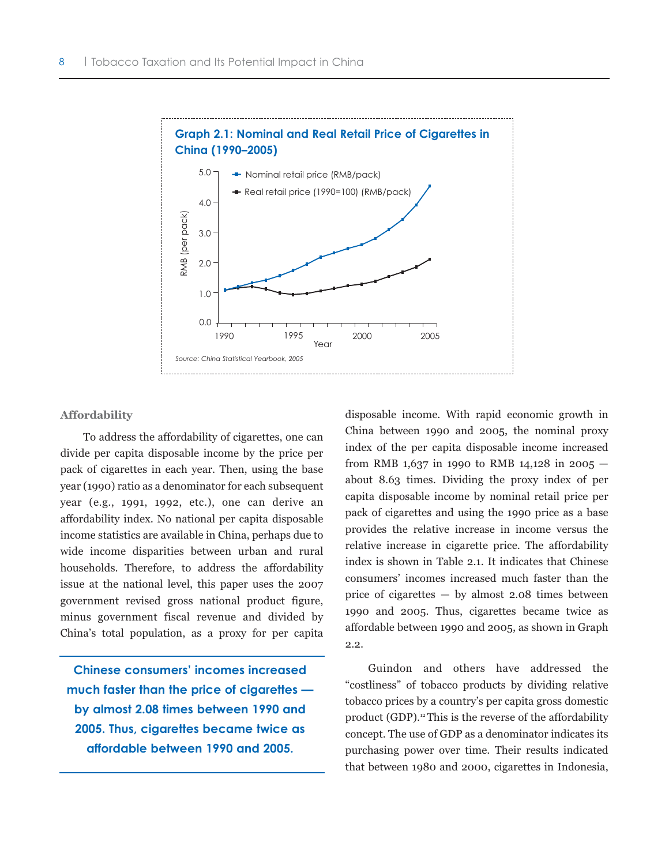

#### **Affordability**

To address the affordability of cigarettes, one can divide per capita disposable income by the price per pack of cigarettes in each year. Then, using the base year (1990) ratio as a denominator for each subsequent year (e.g., 1991, 1992, etc.), one can derive an affordability index. No national per capita disposable income statistics are available in China, perhaps due to wide income disparities between urban and rural households. Therefore, to address the affordability issue at the national level, this paper uses the 2007 government revised gross national product figure, minus government fiscal revenue and divided by China's total population, as a proxy for per capita

**Chinese consumers' incomes increased much faster than the price of cigarettes by almost 2.08 times between 1990 and 2005. Thus, cigarettes became twice as affordable between 1990 and 2005.**

disposable income. With rapid economic growth in China between 1990 and 2005, the nominal proxy index of the per capita disposable income increased from RMB 1,637 in 1990 to RMB 14,128 in 2005  $$ about 8.63 times. Dividing the proxy index of per capita disposable income by nominal retail price per pack of cigarettes and using the 1990 price as a base provides the relative increase in income versus the relative increase in cigarette price. The affordability index is shown in Table 2.1. It indicates that Chinese consumers' incomes increased much faster than the price of cigarettes — by almost 2.08 times between 1990 and 2005. Thus, cigarettes became twice as affordable between 1990 and 2005, as shown in Graph 2.2.

Guindon and others have addressed the "costliness" of tobacco products by dividing relative tobacco prices by a country's per capita gross domestic product (GDP).<sup>12</sup> This is the reverse of the affordability concept. The use of GDP as a denominator indicates its purchasing power over time. Their results indicated that between 1980 and 2000, cigarettes in Indonesia,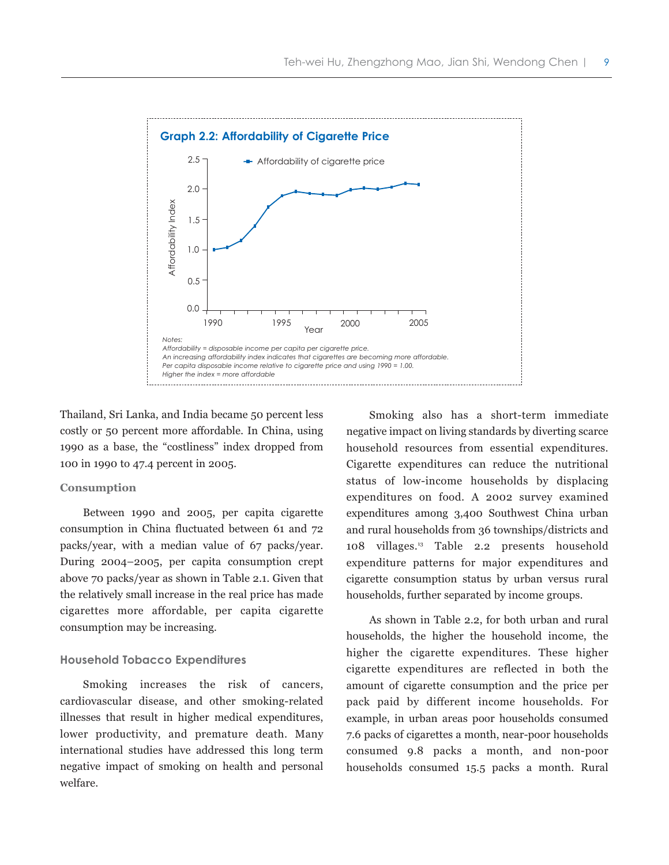

Thailand, Sri Lanka, and India became 50 percent less costly or 50 percent more affordable. In China, using 1990 as a base, the "costliness" index dropped from 100 in 1990 to 47.4 percent in 2005.

#### **Consumption**

Between 1990 and 2005, per capita cigarette consumption in China fluctuated between 61 and 72 packs/year, with a median value of 67 packs/year. During 2004–2005, per capita consumption crept above 70 packs/year as shown in Table 2.1. Given that the relatively small increase in the real price has made cigarettes more affordable, per capita cigarette consumption may be increasing.

#### **Household Tobacco Expenditures**

Smoking increases the risk of cancers, cardiovascular disease, and other smoking-related illnesses that result in higher medical expenditures, lower productivity, and premature death. Many international studies have addressed this long term negative impact of smoking on health and personal welfare.

Smoking also has a short-term immediate negative impact on living standards by diverting scarce household resources from essential expenditures. Cigarette expenditures can reduce the nutritional status of low-income households by displacing expenditures on food. A 2002 survey examined expenditures among 3,400 Southwest China urban and rural households from 36 townships/districts and 108 villages.13 Table 2.2 presents household expenditure patterns for major expenditures and cigarette consumption status by urban versus rural households, further separated by income groups.

As shown in Table 2.2, for both urban and rural households, the higher the household income, the higher the cigarette expenditures. These higher cigarette expenditures are reflected in both the amount of cigarette consumption and the price per pack paid by different income households. For example, in urban areas poor households consumed 7.6 packs of cigarettes a month, near-poor households consumed 9.8 packs a month, and non-poor households consumed 15.5 packs a month. Rural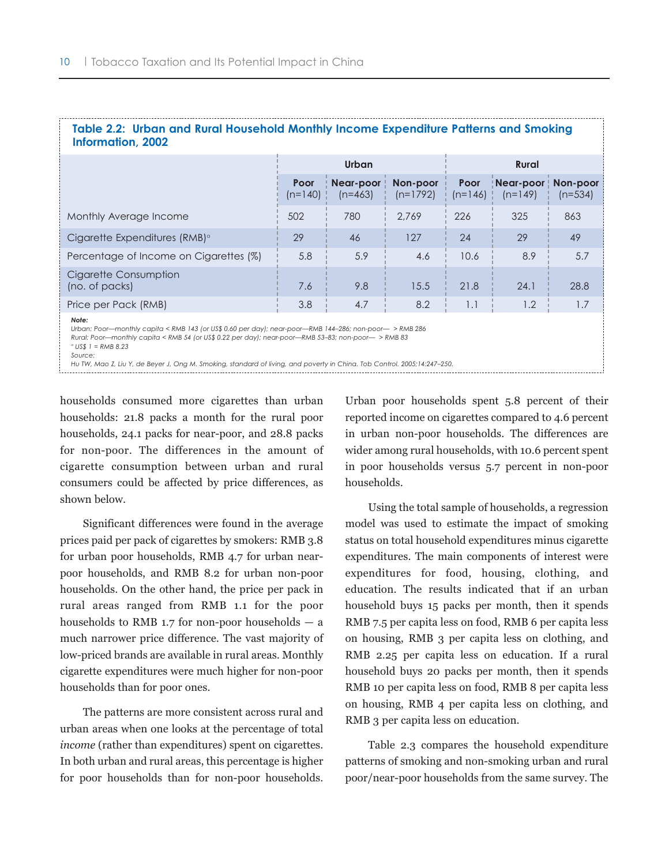| Table 2.2: Urban and Rural Household Monthly Income Expenditure Patterns and Smoking<br>Information, 2002                                                                                                                                                        |                   |                        |                        |                   |                        |                       |  |
|------------------------------------------------------------------------------------------------------------------------------------------------------------------------------------------------------------------------------------------------------------------|-------------------|------------------------|------------------------|-------------------|------------------------|-----------------------|--|
|                                                                                                                                                                                                                                                                  |                   | Urban                  |                        | <b>Rural</b>      |                        |                       |  |
|                                                                                                                                                                                                                                                                  | Poor<br>$(n=140)$ | Near-poor<br>$(n=463)$ | Non-poor<br>$(n=1792)$ | Poor<br>$(n=146)$ | Near-poor<br>$(n=149)$ | Non-poor<br>$(n=534)$ |  |
| Monthly Average Income                                                                                                                                                                                                                                           | 502               | 780                    | 2.769                  | 226               | 325                    | 863                   |  |
| Cigarette Expenditures (RMB) <sup>a</sup>                                                                                                                                                                                                                        | 29                | 46                     | 127                    | 24                | 29                     | 49                    |  |
| Percentage of Income on Cigarettes (%)                                                                                                                                                                                                                           | 5.8               | 5.9                    | 4.6                    | 10.6              | 8.9                    | 5.7                   |  |
| Cigarette Consumption<br>(no. of packs)                                                                                                                                                                                                                          | 7.6               | 9.8                    | 15.5                   | 21.8              | 24.1                   | 28.8                  |  |
| Price per Pack (RMB)                                                                                                                                                                                                                                             | 3.8               | 4.7                    | 8.2                    | 1.1               | 1.2                    | 1.7                   |  |
| Note:<br>Urban: Poor—monthly capita < RMB 143 (or US\$ 0.60 per day); near-poor—RMB 144-286; non-poor—>RMB 286<br>Rural: Poor—monthly capita < RMB 54 (or US\$ 0.22 per day); near-poor—RMB 53-83; non-poor— > RMB 83<br>$^{\circ}$ US\$ 1 = RMB 8.23<br>Source: |                   |                        |                        |                   |                        |                       |  |

#### *Hu TW, Mao Z, Liu Y, de Beyer J, Ong M. Smoking, standard of living, and poverty in China. Tob Control. 2005;14:247–250.*

households consumed more cigarettes than urban households: 21.8 packs a month for the rural poor households, 24.1 packs for near-poor, and 28.8 packs for non-poor. The differences in the amount of cigarette consumption between urban and rural consumers could be affected by price differences, as shown below.

Significant differences were found in the average prices paid per pack of cigarettes by smokers: RMB 3.8 for urban poor households, RMB 4.7 for urban nearpoor households, and RMB 8.2 for urban non-poor households. On the other hand, the price per pack in rural areas ranged from RMB 1.1 for the poor households to RMB 1.7 for non-poor households — a much narrower price difference. The vast majority of low-priced brands are available in rural areas. Monthly cigarette expenditures were much higher for non-poor households than for poor ones.

The patterns are more consistent across rural and urban areas when one looks at the percentage of total *income* (rather than expenditures) spent on cigarettes. In both urban and rural areas, this percentage is higher for poor households than for non-poor households. Urban poor households spent 5.8 percent of their reported income on cigarettes compared to 4.6 percent in urban non-poor households. The differences are wider among rural households, with 10.6 percent spent in poor households versus 5.7 percent in non-poor households.

Using the total sample of households, a regression model was used to estimate the impact of smoking status on total household expenditures minus cigarette expenditures. The main components of interest were expenditures for food, housing, clothing, and education. The results indicated that if an urban household buys 15 packs per month, then it spends RMB 7.5 per capita less on food, RMB 6 per capita less on housing, RMB 3 per capita less on clothing, and RMB 2.25 per capita less on education. If a rural household buys 20 packs per month, then it spends RMB 10 per capita less on food, RMB 8 per capita less on housing, RMB 4 per capita less on clothing, and RMB 3 per capita less on education.

Table 2.3 compares the household expenditure patterns of smoking and non-smoking urban and rural poor/near-poor households from the same survey. The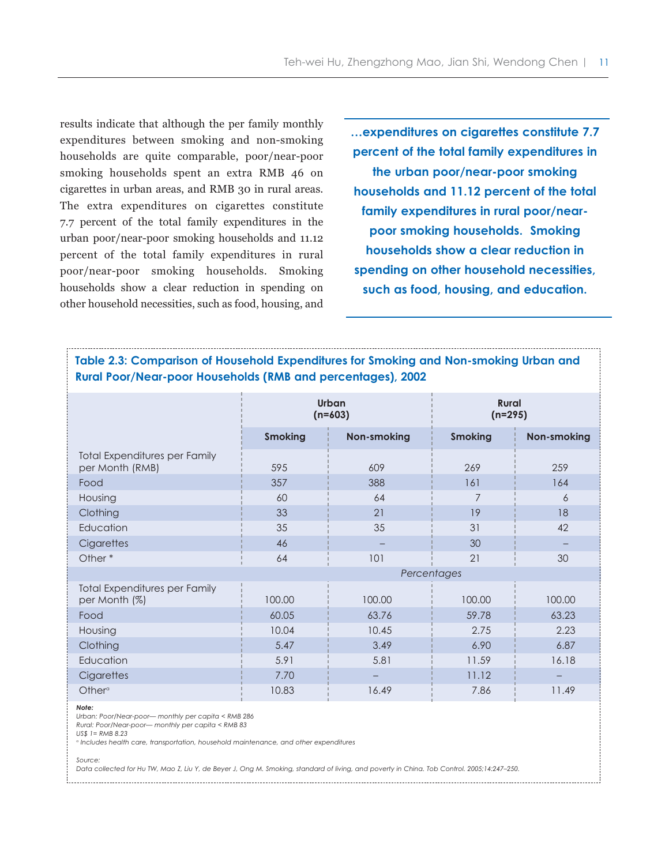results indicate that although the per family monthly expenditures between smoking and non-smoking households are quite comparable, poor/near-poor smoking households spent an extra RMB 46 on cigarettes in urban areas, and RMB 30 in rural areas. The extra expenditures on cigarettes constitute 7.7 percent of the total family expenditures in the urban poor/near-poor smoking households and 11.12 percent of the total family expenditures in rural poor/near-poor smoking households. Smoking households show a clear reduction in spending on other household necessities, such as food, housing, and

**…expenditures on cigarettes constitute 7.7 percent of the total family expenditures in the urban poor/near-poor smoking households and 11.12 percent of the total family expenditures in rural poor/nearpoor smoking households. Smoking households show a clear reduction in spending on other household necessities, such as food, housing, and education.** 

# **Table 2.3: Comparison of Household Expenditures for Smoking and Non-smoking Urban and Rural Poor/Near-poor Households (RMB and percentages), 2002**

|                                                  |                | Urban<br>$(n=603)$ | <b>Rural</b><br>$(n=295)$ |                    |  |
|--------------------------------------------------|----------------|--------------------|---------------------------|--------------------|--|
|                                                  | <b>Smoking</b> | <b>Non-smoking</b> | <b>Smoking</b>            | <b>Non-smoking</b> |  |
| Total Expenditures per Family<br>per Month (RMB) | 595            | 609                | 269                       | 259                |  |
| Food                                             | 357            | 388                | 161                       | 164                |  |
| Housing                                          | 60             | 64                 | 7                         | 6                  |  |
| Clothing                                         | 33             | 21                 | 19                        | 18                 |  |
| Education                                        | 35             | 35                 | 31                        | 42                 |  |
| Cigarettes                                       | 46             |                    | 30                        |                    |  |
| Other*                                           | 64             | 101                | 21                        | 30                 |  |
|                                                  |                | Percentages        |                           |                    |  |
| Total Expenditures per Family<br>per Month (%)   | 100.00         | 100.00             | 100.00                    | 100.00             |  |
| Food                                             | 60.05          | 63.76              | 59.78                     | 63.23              |  |
| Housing                                          | 10.04          | 10.45              | 2.75                      | 2.23               |  |
| Clothing                                         | 5.47           | 3.49               | 6.90                      | 6.87               |  |
| Education                                        | 5.91           | 5.81               | 11.59                     | 16.18              |  |
| Cigarettes                                       | 7.70           |                    | 11.12                     |                    |  |
| Other <sup>°</sup>                               | 10.83          | 16.49              | 7.86                      | 11.49              |  |

*Note:*

*Urban: Poor/Near-poor— monthly per capita < RMB 286* 

*Rural: Poor/Near-poor— monthly per capita < RMB 83* 

*US\$ 1= RMB 8.23* 

*<sup>a</sup> Includes health care, transportation, household maintenance, and other expenditures*

*Source:*

*Data collected for Hu TW, Mao Z, Liu Y, de Beyer J, Ong M. Smoking, standard of living, and poverty in China. Tob Control. 2005;14:247–250.*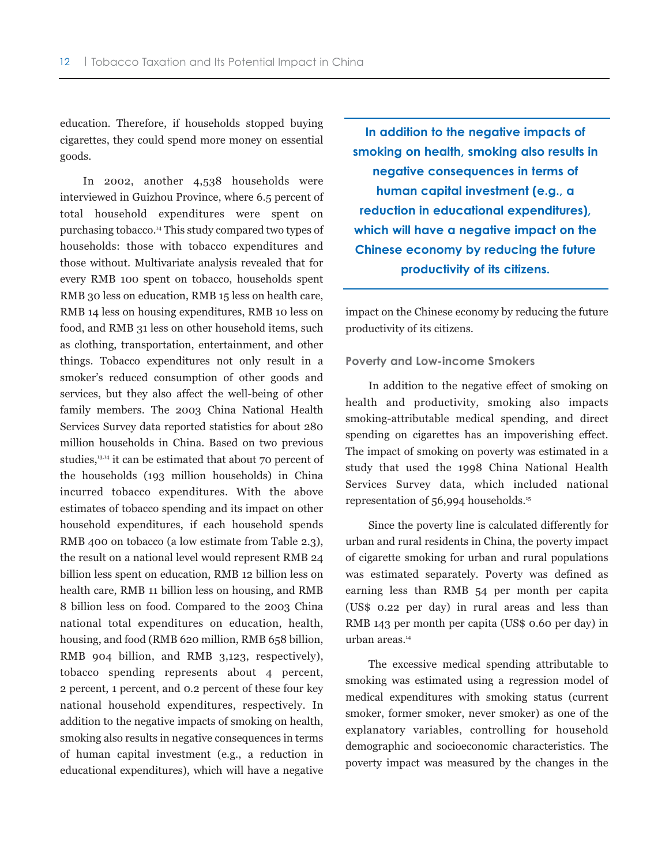education. Therefore, if households stopped buying cigarettes, they could spend more money on essential goods.

In 2002, another 4,538 households were interviewed in Guizhou Province, where 6.5 percent of total household expenditures were spent on purchasing tobacco.14 This study compared two types of households: those with tobacco expenditures and those without. Multivariate analysis revealed that for every RMB 100 spent on tobacco, households spent RMB 30 less on education, RMB 15 less on health care, RMB 14 less on housing expenditures, RMB 10 less on food, and RMB 31 less on other household items, such as clothing, transportation, entertainment, and other things. Tobacco expenditures not only result in a smoker's reduced consumption of other goods and services, but they also affect the well-being of other family members. The 2003 China National Health Services Survey data reported statistics for about 280 million households in China. Based on two previous studies,<sup>13,14</sup> it can be estimated that about 70 percent of the households (193 million households) in China incurred tobacco expenditures. With the above estimates of tobacco spending and its impact on other household expenditures, if each household spends RMB 400 on tobacco (a low estimate from Table 2.3), the result on a national level would represent RMB 24 billion less spent on education, RMB 12 billion less on health care, RMB 11 billion less on housing, and RMB 8 billion less on food. Compared to the 2003 China national total expenditures on education, health, housing, and food (RMB 620 million, RMB 658 billion, RMB 904 billion, and RMB 3,123, respectively), tobacco spending represents about 4 percent, 2 percent, 1 percent, and 0.2 percent of these four key national household expenditures, respectively. In addition to the negative impacts of smoking on health, smoking also results in negative consequences in terms of human capital investment (e.g., a reduction in educational expenditures), which will have a negative

**In addition to the negative impacts of smoking on health, smoking also results in negative consequences in terms of human capital investment (e.g., a reduction in educational expenditures), which will have a negative impact on the Chinese economy by reducing the future productivity of its citizens.** 

impact on the Chinese economy by reducing the future productivity of its citizens.

#### **Poverty and Low-income Smokers**

In addition to the negative effect of smoking on health and productivity, smoking also impacts smoking-attributable medical spending, and direct spending on cigarettes has an impoverishing effect. The impact of smoking on poverty was estimated in a study that used the 1998 China National Health Services Survey data, which included national representation of 56,994 households.15

Since the poverty line is calculated differently for urban and rural residents in China, the poverty impact of cigarette smoking for urban and rural populations was estimated separately. Poverty was defined as earning less than RMB 54 per month per capita (US\$ 0.22 per day) in rural areas and less than RMB 143 per month per capita (US\$ 0.60 per day) in urban areas.<sup>14</sup>

The excessive medical spending attributable to smoking was estimated using a regression model of medical expenditures with smoking status (current smoker, former smoker, never smoker) as one of the explanatory variables, controlling for household demographic and socioeconomic characteristics. The poverty impact was measured by the changes in the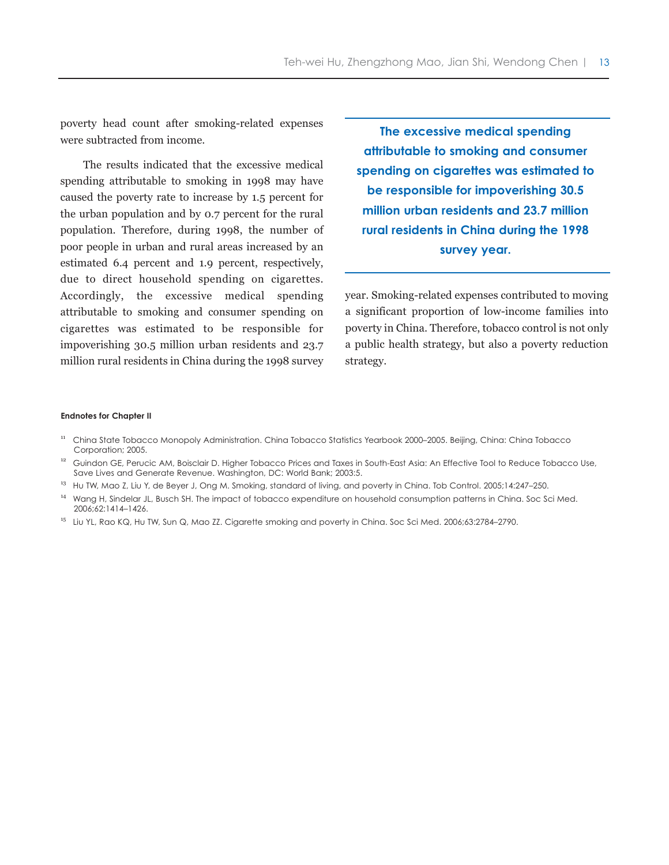poverty head count after smoking-related expenses were subtracted from income.

The results indicated that the excessive medical spending attributable to smoking in 1998 may have caused the poverty rate to increase by 1.5 percent for the urban population and by 0.7 percent for the rural population. Therefore, during 1998, the number of poor people in urban and rural areas increased by an estimated 6.4 percent and 1.9 percent, respectively, due to direct household spending on cigarettes. Accordingly, the excessive medical spending attributable to smoking and consumer spending on cigarettes was estimated to be responsible for impoverishing 30.5 million urban residents and 23.7 million rural residents in China during the 1998 survey

**The excessive medical spending attributable to smoking and consumer spending on cigarettes was estimated to be responsible for impoverishing 30.5 million urban residents and 23.7 million rural residents in China during the 1998 survey year.** 

year. Smoking-related expenses contributed to moving a significant proportion of low-income families into poverty in China. Therefore, tobacco control is not only a public health strategy, but also a poverty reduction strategy.

#### **Endnotes for Chapter II**

- <sup>11</sup> China State Tobacco Monopoly Administration. China Tobacco Statistics Yearbook 2000–2005. Beijing, China: China Tobacco Corporation; 2005.
- <sup>12</sup> Guindon GE, Perucic AM, Boisclair D. Higher Tobacco Prices and Taxes in South-East Asia: An Effective Tool to Reduce Tobacco Use, Save Lives and Generate Revenue. Washington, DC: World Bank; 2003:5.
- <sup>13</sup> Hu TW, Mao Z, Liu Y, de Beyer J, Ong M. Smoking, standard of living, and poverty in China. Tob Control. 2005;14:247-250.
- <sup>14</sup> Wang H, Sindelar JL, Busch SH. The impact of tobacco expenditure on household consumption patterns in China. Soc Sci Med. 2006;62:1414–1426.
- <sup>15</sup> Liu YL, Rao KQ, Hu TW, Sun Q, Mao ZZ. Cigarette smoking and poverty in China. Soc Sci Med. 2006;63:2784–2790.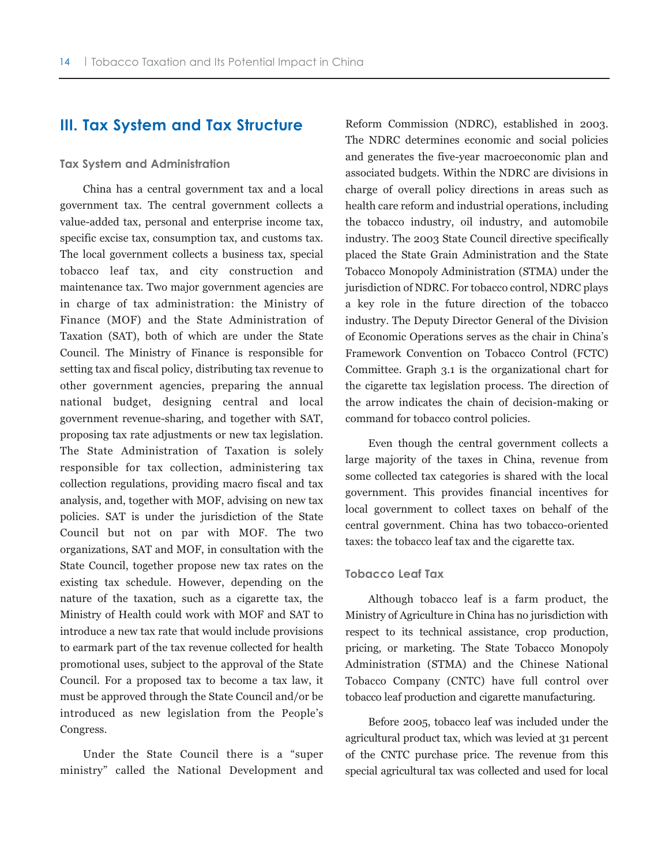# **III. Tax System and Tax Structure**

#### **Tax System and Administration**

China has a central government tax and a local government tax. The central government collects a value-added tax, personal and enterprise income tax, specific excise tax, consumption tax, and customs tax. The local government collects a business tax, special tobacco leaf tax, and city construction and maintenance tax. Two major government agencies are in charge of tax administration: the Ministry of Finance (MOF) and the State Administration of Taxation (SAT), both of which are under the State Council. The Ministry of Finance is responsible for setting tax and fiscal policy, distributing tax revenue to other government agencies, preparing the annual national budget, designing central and local government revenue-sharing, and together with SAT, proposing tax rate adjustments or new tax legislation. The State Administration of Taxation is solely responsible for tax collection, administering tax collection regulations, providing macro fiscal and tax analysis, and, together with MOF, advising on new tax policies. SAT is under the jurisdiction of the State Council but not on par with MOF. The two organizations, SAT and MOF, in consultation with the State Council, together propose new tax rates on the existing tax schedule. However, depending on the nature of the taxation, such as a cigarette tax, the Ministry of Health could work with MOF and SAT to introduce a new tax rate that would include provisions to earmark part of the tax revenue collected for health promotional uses, subject to the approval of the State Council. For a proposed tax to become a tax law, it must be approved through the State Council and/or be introduced as new legislation from the People's Congress.

Under the State Council there is a "super ministry" called the National Development and Reform Commission (NDRC), established in 2003. The NDRC determines economic and social policies and generates the five-year macroeconomic plan and associated budgets. Within the NDRC are divisions in charge of overall policy directions in areas such as health care reform and industrial operations, including the tobacco industry, oil industry, and automobile industry. The 2003 State Council directive specifically placed the State Grain Administration and the State Tobacco Monopoly Administration (STMA) under the jurisdiction of NDRC. For tobacco control, NDRC plays a key role in the future direction of the tobacco industry. The Deputy Director General of the Division of Economic Operations serves as the chair in China's Framework Convention on Tobacco Control (FCTC) Committee. Graph 3.1 is the organizational chart for the cigarette tax legislation process. The direction of the arrow indicates the chain of decision-making or command for tobacco control policies.

Even though the central government collects a large majority of the taxes in China, revenue from some collected tax categories is shared with the local government. This provides financial incentives for local government to collect taxes on behalf of the central government. China has two tobacco-oriented taxes: the tobacco leaf tax and the cigarette tax.

#### **Tobacco Leaf Tax**

Although tobacco leaf is a farm product, the Ministry of Agriculture in China has no jurisdiction with respect to its technical assistance, crop production, pricing, or marketing. The State Tobacco Monopoly Administration (STMA) and the Chinese National Tobacco Company (CNTC) have full control over tobacco leaf production and cigarette manufacturing.

Before 2005, tobacco leaf was included under the agricultural product tax, which was levied at 31 percent of the CNTC purchase price. The revenue from this special agricultural tax was collected and used for local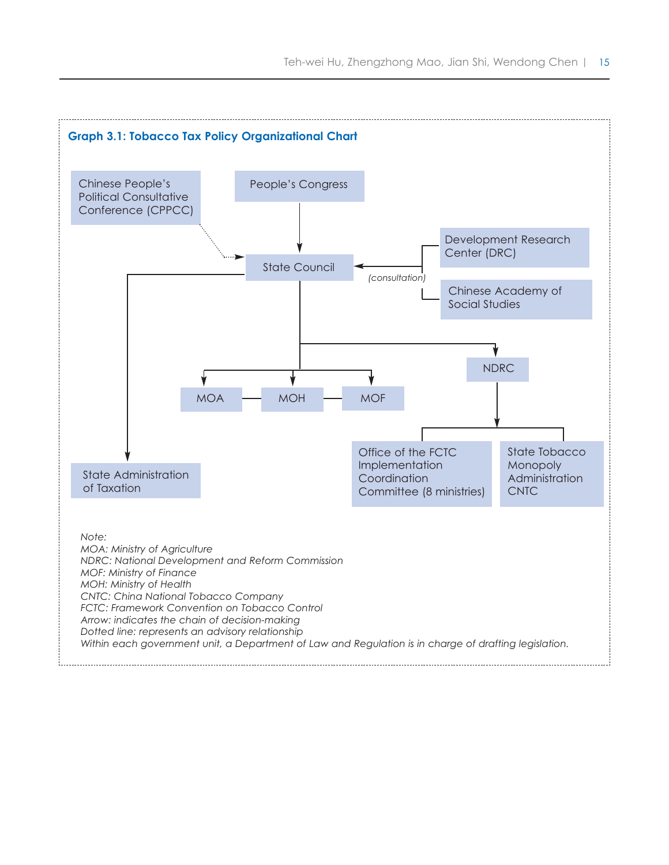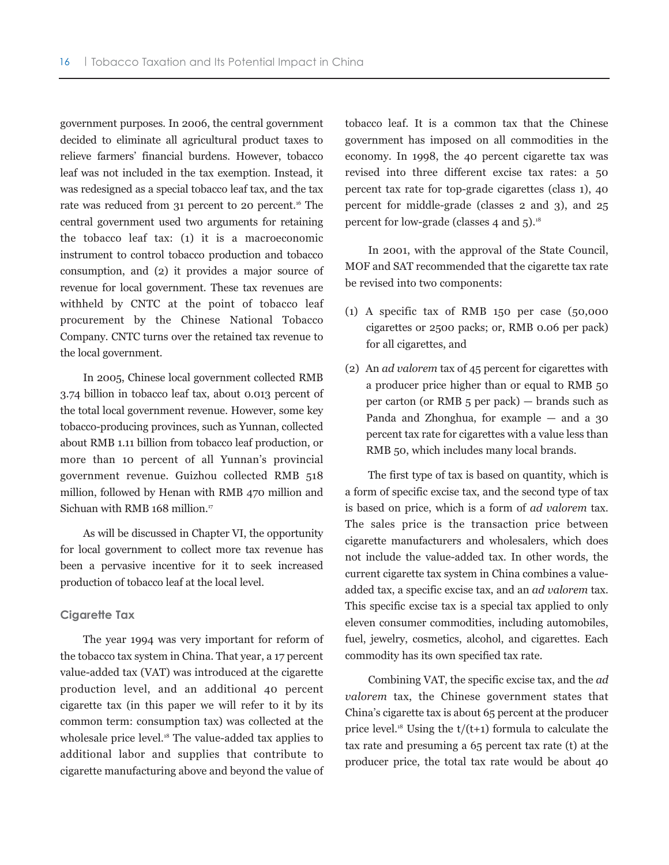government purposes. In 2006, the central government decided to eliminate all agricultural product taxes to relieve farmers' financial burdens. However, tobacco leaf was not included in the tax exemption. Instead, it was redesigned as a special tobacco leaf tax, and the tax rate was reduced from 31 percent to 20 percent.<sup>16</sup> The central government used two arguments for retaining the tobacco leaf tax: (1) it is a macroeconomic instrument to control tobacco production and tobacco consumption, and (2) it provides a major source of revenue for local government. These tax revenues are withheld by CNTC at the point of tobacco leaf procurement by the Chinese National Tobacco Company. CNTC turns over the retained tax revenue to the local government.

In 2005, Chinese local government collected RMB 3.74 billion in tobacco leaf tax, about 0.013 percent of the total local government revenue. However, some key tobacco-producing provinces, such as Yunnan, collected about RMB 1.11 billion from tobacco leaf production, or more than 10 percent of all Yunnan's provincial government revenue. Guizhou collected RMB 518 million, followed by Henan with RMB 470 million and Sichuan with RMB 168 million.<sup>17</sup>

As will be discussed in Chapter VI, the opportunity for local government to collect more tax revenue has been a pervasive incentive for it to seek increased production of tobacco leaf at the local level.

#### **Cigarette Tax**

The year 1994 was very important for reform of the tobacco tax system in China. That year, a 17 percent value-added tax (VAT) was introduced at the cigarette production level, and an additional 40 percent cigarette tax (in this paper we will refer to it by its common term: consumption tax) was collected at the wholesale price level.<sup>18</sup> The value-added tax applies to additional labor and supplies that contribute to cigarette manufacturing above and beyond the value of tobacco leaf. It is a common tax that the Chinese government has imposed on all commodities in the economy. In 1998, the 40 percent cigarette tax was revised into three different excise tax rates: a 50 percent tax rate for top-grade cigarettes (class 1), 40 percent for middle-grade (classes 2 and 3), and 25 percent for low-grade (classes 4 and  $5$ ).<sup>18</sup>

In 2001, with the approval of the State Council, MOF and SAT recommended that the cigarette tax rate be revised into two components:

- (1) A specific tax of RMB 150 per case (50,000 cigarettes or 2500 packs; or, RMB 0.06 per pack) for all cigarettes, and
- (2) An *ad valorem* tax of 45 percent for cigarettes with a producer price higher than or equal to RMB 50 per carton (or RMB 5 per pack) — brands such as Panda and Zhonghua, for example — and a 30 percent tax rate for cigarettes with a value less than RMB 50, which includes many local brands.

The first type of tax is based on quantity, which is a form of specific excise tax, and the second type of tax is based on price, which is a form of *ad valorem* tax. The sales price is the transaction price between cigarette manufacturers and wholesalers, which does not include the value-added tax. In other words, the current cigarette tax system in China combines a valueadded tax, a specific excise tax, and an *ad valorem* tax. This specific excise tax is a special tax applied to only eleven consumer commodities, including automobiles, fuel, jewelry, cosmetics, alcohol, and cigarettes. Each commodity has its own specified tax rate.

Combining VAT, the specific excise tax, and the *ad valorem* tax, the Chinese government states that China's cigarette tax is about 65 percent at the producer price level.<sup>18</sup> Using the  $t/(t+1)$  formula to calculate the tax rate and presuming a 65 percent tax rate (t) at the producer price, the total tax rate would be about 40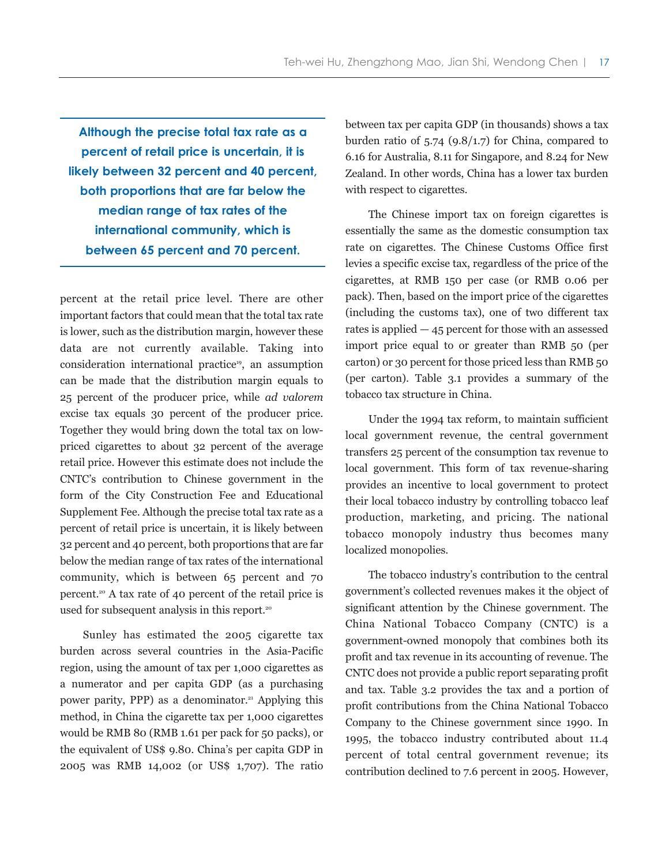**Although the precise total tax rate as a percent of retail price is uncertain, it is likely between 32 percent and 40 percent, both proportions that are far below the median range of tax rates of the international community, which is between 65 percent and 70 percent.**

percent at the retail price level. There are other important factors that could mean that the total tax rate is lower, such as the distribution margin, however these data are not currently available. Taking into consideration international practice<sup>19</sup>, an assumption can be made that the distribution margin equals to 25 percent of the producer price, while *ad valorem* excise tax equals 30 percent of the producer price. Together they would bring down the total tax on lowpriced cigarettes to about 32 percent of the average retail price. However this estimate does not include the CNTC's contribution to Chinese government in the form of the City Construction Fee and Educational Supplement Fee. Although the precise total tax rate as a percent of retail price is uncertain, it is likely between 32 percent and 40 percent, both proportions that are far below the median range of tax rates of the international community, which is between 65 percent and 70 percent.<sup>20</sup> A tax rate of 40 percent of the retail price is used for subsequent analysis in this report.<sup>20</sup>

Sunley has estimated the 2005 cigarette tax burden across several countries in the Asia-Pacific region, using the amount of tax per 1,000 cigarettes as a numerator and per capita GDP (as a purchasing power parity, PPP) as a denominator.<sup>21</sup> Applying this method, in China the cigarette tax per 1,000 cigarettes would be RMB 80 (RMB 1.61 per pack for 50 packs), or the equivalent of US\$ 9.80. China's per capita GDP in 2005 was RMB 14,002 (or US\$ 1,707). The ratio between tax per capita GDP (in thousands) shows a tax burden ratio of  $5.74$  (9.8/1.7) for China, compared to 6.16 for Australia, 8.11 for Singapore, and 8.24 for New Zealand. In other words, China has a lower tax burden with respect to cigarettes.

The Chinese import tax on foreign cigarettes is essentially the same as the domestic consumption tax rate on cigarettes. The Chinese Customs Office first levies a specific excise tax, regardless of the price of the cigarettes, at RMB 150 per case (or RMB 0.06 per pack). Then, based on the import price of the cigarettes (including the customs tax), one of two different tax rates is applied  $-45$  percent for those with an assessed import price equal to or greater than RMB 50 (per carton) or 30 percent for those priced less than RMB 50 (per carton). Table 3.1 provides a summary of the tobacco tax structure in China.

Under the 1994 tax reform, to maintain sufficient local government revenue, the central government transfers 25 percent of the consumption tax revenue to local government. This form of tax revenue-sharing provides an incentive to local government to protect their local tobacco industry by controlling tobacco leaf production, marketing, and pricing. The national tobacco monopoly industry thus becomes many localized monopolies.

The tobacco industry's contribution to the central government's collected revenues makes it the object of significant attention by the Chinese government. The China National Tobacco Company (CNTC) is a government-owned monopoly that combines both its profit and tax revenue in its accounting of revenue. The CNTC does not provide a public report separating profit and tax. Table 3.2 provides the tax and a portion of profit contributions from the China National Tobacco Company to the Chinese government since 1990. In 1995, the tobacco industry contributed about 11.4 percent of total central government revenue; its contribution declined to 7.6 percent in 2005. However,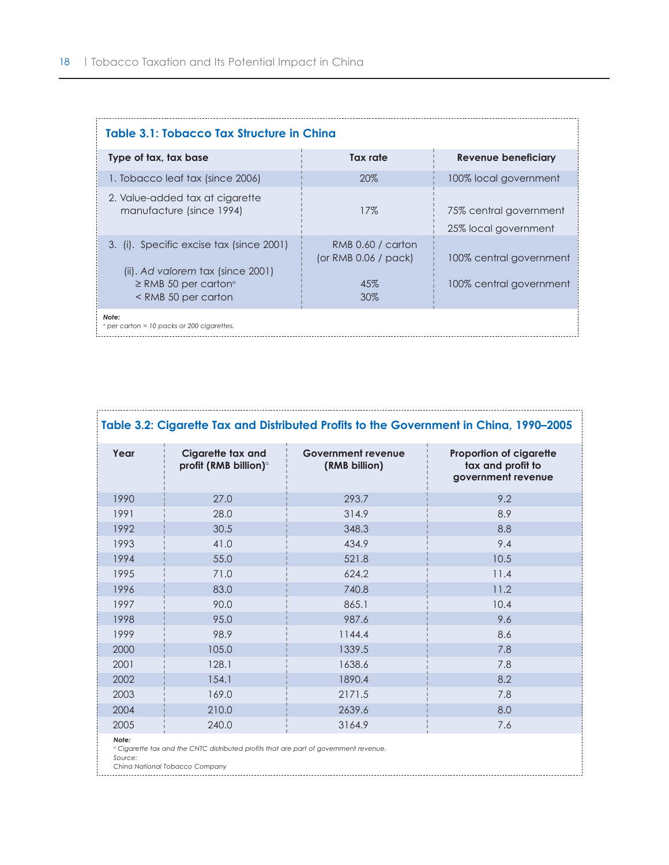| Table 3.1: Tobacco Tax Structure in China                                                                                                                                                                                                                                                                                     |                                                              |                                                    |  |  |  |
|-------------------------------------------------------------------------------------------------------------------------------------------------------------------------------------------------------------------------------------------------------------------------------------------------------------------------------|--------------------------------------------------------------|----------------------------------------------------|--|--|--|
| Type of tax, tax base                                                                                                                                                                                                                                                                                                         | Tax rate                                                     | <b>Revenue beneficiary</b>                         |  |  |  |
| 1. Tobacco leaf tax (since 2006)                                                                                                                                                                                                                                                                                              | 20%                                                          | 100% local government                              |  |  |  |
| 2. Value-added tax at cigarette<br>manufacture (since 1994)                                                                                                                                                                                                                                                                   | 17%                                                          | 75% central government<br>25% local government     |  |  |  |
| 3. (i). Specific excise tax (since 2001)<br>(ii). Ad valorem tax (since 2001)<br>$\geq$ RMB 50 per carton <sup>o</sup><br><rmb 50="" carton<="" per="" td=""><td>RMB 0.60 / carton<br/>(or RMB <math>0.06</math> / pack)<br/>45%<br/><math>30\%</math></td><td>100% central government<br/>100% central government</td></rmb> | RMB 0.60 / carton<br>(or RMB $0.06$ / pack)<br>45%<br>$30\%$ | 100% central government<br>100% central government |  |  |  |
| Note:<br><i>e</i> per carton = 10 packs or 200 cigarettes.                                                                                                                                                                                                                                                                    |                                                              |                                                    |  |  |  |

| Table 3.2: Cigarette Tax and Distributed Profits to the Government in China, 1990-2005                                                                 |                                                        |                                            |                                                                           |  |  |  |
|--------------------------------------------------------------------------------------------------------------------------------------------------------|--------------------------------------------------------|--------------------------------------------|---------------------------------------------------------------------------|--|--|--|
| Year                                                                                                                                                   | Cigarette tax and<br>profit (RMB billion) <sup>o</sup> | <b>Government revenue</b><br>(RMB billion) | <b>Proportion of cigarette</b><br>tax and profit to<br>government revenue |  |  |  |
| 1990                                                                                                                                                   | 27.0                                                   | 293.7                                      | 9.2                                                                       |  |  |  |
| 1991                                                                                                                                                   | 28.0                                                   | 314.9                                      | 8.9                                                                       |  |  |  |
| 1992                                                                                                                                                   | 30.5                                                   | 348.3                                      | 8.8                                                                       |  |  |  |
| 1993                                                                                                                                                   | 41.0                                                   | 434.9                                      | 9.4                                                                       |  |  |  |
| 1994                                                                                                                                                   | 55.0                                                   | 521.8                                      | 10.5                                                                      |  |  |  |
| 1995                                                                                                                                                   | 71.0                                                   | 624.2                                      | 11.4                                                                      |  |  |  |
| 1996                                                                                                                                                   | 83.0                                                   | 740.8                                      | 11.2                                                                      |  |  |  |
| 1997                                                                                                                                                   | 90.0                                                   | 865.1                                      | 10.4                                                                      |  |  |  |
| 1998                                                                                                                                                   | 95.0                                                   | 987.6                                      | 9.6                                                                       |  |  |  |
| 1999                                                                                                                                                   | 98.9                                                   | 1144.4                                     | 8.6                                                                       |  |  |  |
| 2000                                                                                                                                                   | 105.0                                                  | 1339.5                                     | 7.8                                                                       |  |  |  |
| 2001                                                                                                                                                   | 128.1                                                  | 1638.6                                     | 7.8                                                                       |  |  |  |
| 2002                                                                                                                                                   | 154.1                                                  | 1890.4                                     | 8.2                                                                       |  |  |  |
| 2003                                                                                                                                                   | 169.0                                                  | 2171.5                                     | 7.8                                                                       |  |  |  |
| 2004                                                                                                                                                   | 210.0                                                  | 2639.6                                     | 8.0                                                                       |  |  |  |
| 2005                                                                                                                                                   | 240.0                                                  | 3164.9                                     | 7.6                                                                       |  |  |  |
| Note:<br><sup>o</sup> Cigarette tax and the CNTC distributed profits that are part of government revenue.<br>Source:<br>China National Tobacco Company |                                                        |                                            |                                                                           |  |  |  |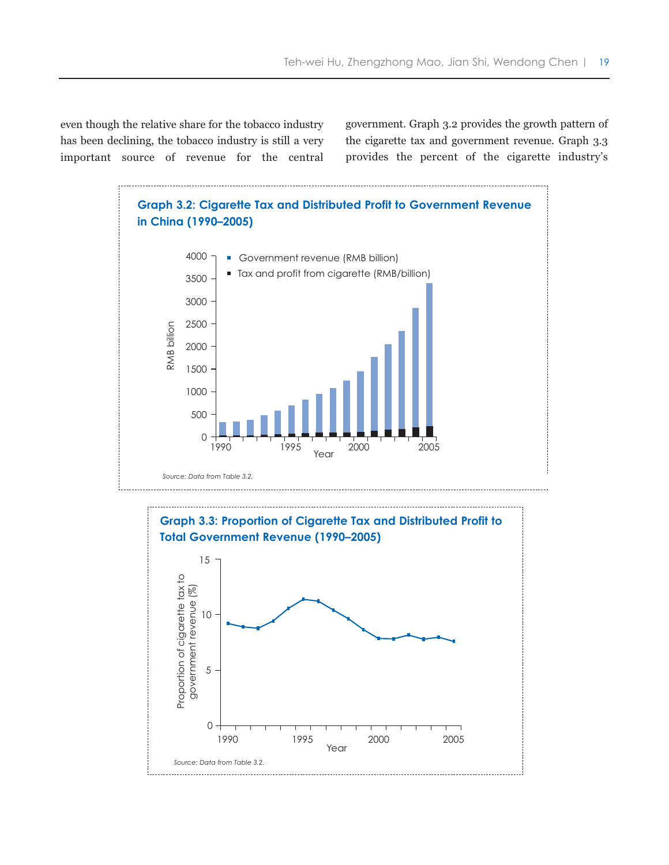even though the relative share for the tobacco industry has been declining, the tobacco industry is still a very important source of revenue for the central

government. Graph 3.2 provides the growth pattern of the cigarette tax and government revenue. Graph 3.3 provides the percent of the cigarette industry's



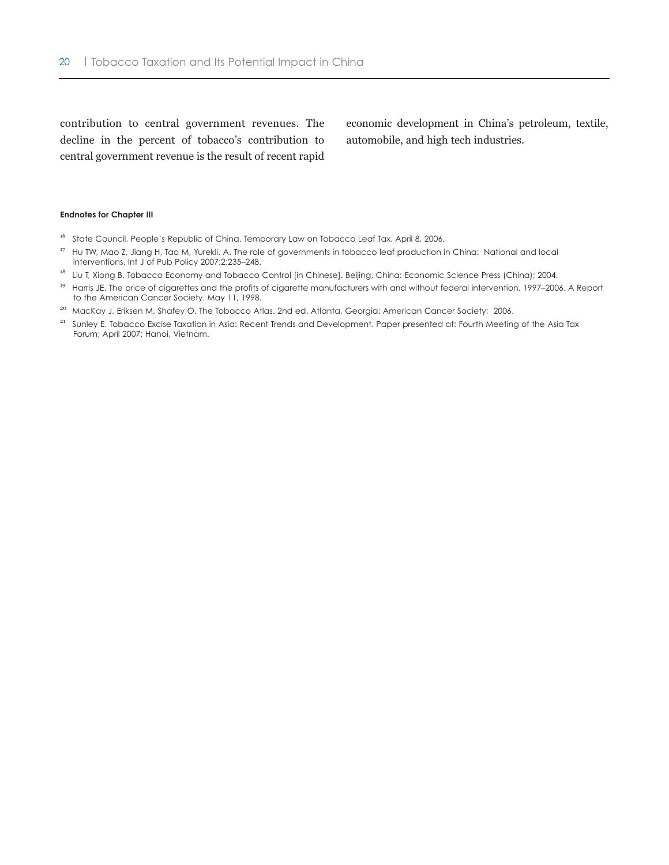contribution to central government revenues. The decline in the percent of tobacco's contribution to central government revenue is the result of recent rapid

economic development in China's petroleum, textile, automobile, and high tech industries.

#### **Endnotes for Chapter III**

- <sup>16</sup> State Council, People's Republic of China. Temporary Law on Tobacco Leaf Tax. April 8, 2006.
- <sup>17</sup> Hu TW, Mao Z, Jiang H, Tao M, Yurekli, A. The role of governments in tobacco leaf production in China: National and local interventions. Int J of Pub Policy 2007;2:235–248.
- <sup>18</sup> Liu T, Xiong B. Tobacco Economy and Tobacco Control [in Chinese]. Beijing, China: Economic Science Press (China); 2004.
- <sup>19</sup> Harris JE. The price of cigarettes and the profits of cigarette manufacturers with and without federal intervention, 1997-2006. A Report to the American Cancer Society. May 11, 1998.
- <sup>20</sup> MacKay J, Eriksen M, Shafey O. The Tobacco Atlas. 2nd ed. Atlanta, Georgia: American Cancer Society; 2006.
- <sup>21</sup> Sunley E. Tobacco Excise Taxation in Asia: Recent Trends and Development. Paper presented at: Fourth Meeting of the Asia Tax Forum; April 2007; Hanoi, Vietnam.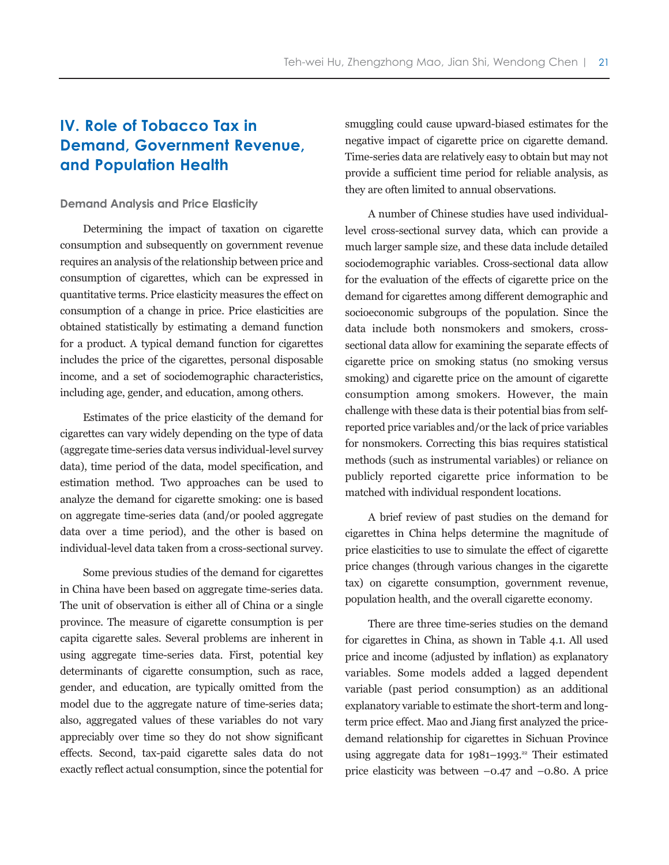# **IV. Role of Tobacco Tax in Demand, Government Revenue, and Population Health**

#### **Demand Analysis and Price Elasticity**

Determining the impact of taxation on cigarette consumption and subsequently on government revenue requires an analysis of the relationship between price and consumption of cigarettes, which can be expressed in quantitative terms. Price elasticity measures the effect on consumption of a change in price. Price elasticities are obtained statistically by estimating a demand function for a product. A typical demand function for cigarettes includes the price of the cigarettes, personal disposable income, and a set of sociodemographic characteristics, including age, gender, and education, among others.

Estimates of the price elasticity of the demand for cigarettes can vary widely depending on the type of data (aggregate time-series data versus individual-level survey data), time period of the data, model specification, and estimation method. Two approaches can be used to analyze the demand for cigarette smoking: one is based on aggregate time-series data (and/or pooled aggregate data over a time period), and the other is based on individual-level data taken from a cross-sectional survey.

Some previous studies of the demand for cigarettes in China have been based on aggregate time-series data. The unit of observation is either all of China or a single province. The measure of cigarette consumption is per capita cigarette sales. Several problems are inherent in using aggregate time-series data. First, potential key determinants of cigarette consumption, such as race, gender, and education, are typically omitted from the model due to the aggregate nature of time-series data; also, aggregated values of these variables do not vary appreciably over time so they do not show significant effects. Second, tax-paid cigarette sales data do not exactly reflect actual consumption, since the potential for smuggling could cause upward-biased estimates for the negative impact of cigarette price on cigarette demand. Time-series data are relatively easy to obtain but may not provide a sufficient time period for reliable analysis, as they are often limited to annual observations.

A number of Chinese studies have used individuallevel cross-sectional survey data, which can provide a much larger sample size, and these data include detailed sociodemographic variables. Cross-sectional data allow for the evaluation of the effects of cigarette price on the demand for cigarettes among different demographic and socioeconomic subgroups of the population. Since the data include both nonsmokers and smokers, crosssectional data allow for examining the separate effects of cigarette price on smoking status (no smoking versus smoking) and cigarette price on the amount of cigarette consumption among smokers. However, the main challenge with these data is their potential bias from selfreported price variables and/or the lack of price variables for nonsmokers. Correcting this bias requires statistical methods (such as instrumental variables) or reliance on publicly reported cigarette price information to be matched with individual respondent locations.

A brief review of past studies on the demand for cigarettes in China helps determine the magnitude of price elasticities to use to simulate the effect of cigarette price changes (through various changes in the cigarette tax) on cigarette consumption, government revenue, population health, and the overall cigarette economy.

There are three time-series studies on the demand for cigarettes in China, as shown in Table 4.1. All used price and income (adjusted by inflation) as explanatory variables. Some models added a lagged dependent variable (past period consumption) as an additional explanatory variable to estimate the short-term and longterm price effect. Mao and Jiang first analyzed the pricedemand relationship for cigarettes in Sichuan Province using aggregate data for  $1981-1993.^{22}$  Their estimated price elasticity was between  $-0.47$  and  $-0.80$ . A price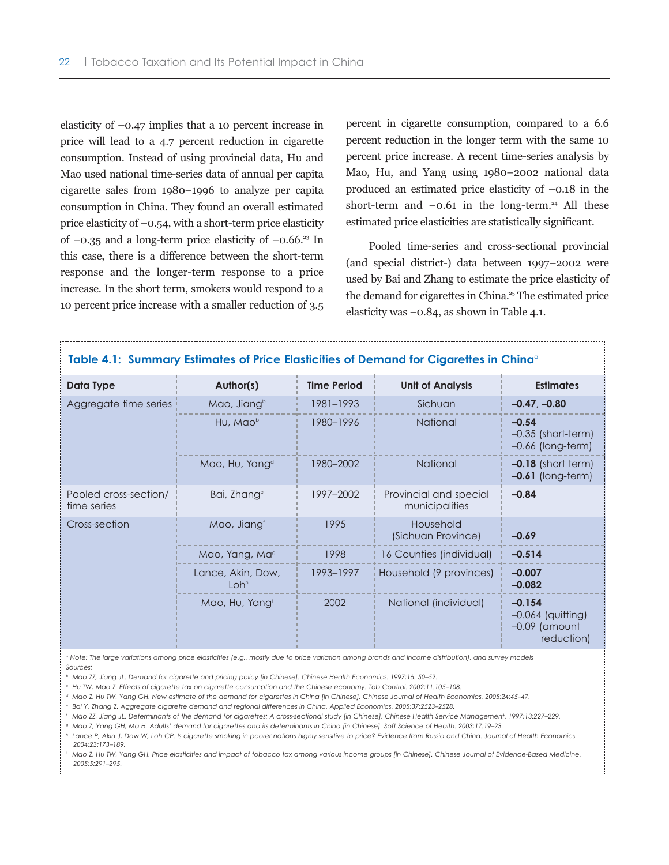elasticity of –0.47 implies that a 10 percent increase in price will lead to a 4.7 percent reduction in cigarette consumption. Instead of using provincial data, Hu and Mao used national time-series data of annual per capita cigarette sales from 1980–1996 to analyze per capita consumption in China. They found an overall estimated price elasticity of  $-0.54$ , with a short-term price elasticity of  $-0.35$  and a long-term price elasticity of  $-0.66$ <sup>23</sup> In this case, there is a difference between the short-term response and the longer-term response to a price increase. In the short term, smokers would respond to a 10 percent price increase with a smaller reduction of 3.5

percent in cigarette consumption, compared to a 6.6 percent reduction in the longer term with the same 10 percent price increase. A recent time-series analysis by Mao, Hu, and Yang using 1980–2002 national data produced an estimated price elasticity of –0.18 in the short-term and  $-0.61$  in the long-term.<sup>24</sup> All these estimated price elasticities are statistically significant.

Pooled time-series and cross-sectional provincial (and special district-) data between 1997–2002 were used by Bai and Zhang to estimate the price elasticity of the demand for cigarettes in China.<sup>25</sup> The estimated price elasticity was –0.84, as shown in Table 4.1.

| Table 4.1: Summary Estimates of Price Elasticities of Demand for Cigarettes in China <sup>o</sup> |                                       |                    |                                          |                                                                  |  |  |  |
|---------------------------------------------------------------------------------------------------|---------------------------------------|--------------------|------------------------------------------|------------------------------------------------------------------|--|--|--|
| Data Type                                                                                         | Author(s)                             | <b>Time Period</b> | <b>Unit of Analysis</b>                  | <b>Estimates</b>                                                 |  |  |  |
| Aggregate time series                                                                             | Mao, Jiangb                           | 1981-1993          | Sichuan                                  | $-0.47, -0.80$                                                   |  |  |  |
|                                                                                                   | Hu, Mao <sup>b</sup>                  | 1980-1996          | <b>National</b>                          | $-0.54$<br>$-0.35$ (short-term)<br>$-0.66$ (long-term)           |  |  |  |
|                                                                                                   | Mao, Hu, Yang <sup>d</sup>            | 1980-2002          | National                                 | $-0.18$ (short term)<br>$-0.61$ (long-term)                      |  |  |  |
| Pooled cross-section/<br>time series                                                              | Bai, Zhang <sup>e</sup>               | 1997-2002          | Provincial and special<br>municipalities | $-0.84$                                                          |  |  |  |
| Cross-section                                                                                     | Mao, Jiang <sup>f</sup>               | 1995               | Household<br>(Sichuan Province)          | $-0.69$                                                          |  |  |  |
|                                                                                                   | Mao, Yang, Ma <sup>g</sup>            | 1998               | 16 Counties (individual)                 | $-0.514$                                                         |  |  |  |
|                                                                                                   | Lance, Akin, Dow,<br>Loh <sup>h</sup> | 1993-1997          | Household (9 provinces)                  | $-0.007$<br>$-0.082$                                             |  |  |  |
|                                                                                                   | Mao, Hu, Yangi                        | 2002               | National (individual)                    | $-0.154$<br>$-0.064$ (quitting)<br>$-0.09$ (amount<br>reduction) |  |  |  |

#### *<sup>a</sup> Note: The large variations among price elasticities (e.g., mostly due to price variation among brands and income distribution), and survey models Sources:*

- *<sup>b</sup> Mao ZZ, Jiang JL. Demand for cigarette and pricing policy [in Chinese]. Chinese Health Economics. 1997;16: 50–52.*
- *<sup>c</sup> Hu TW, Mao Z. Effects of cigarette tax on cigarette consumption and the Chinese economy. Tob Control. 2002;11:105–108.*
- *<sup>d</sup> Mao Z, Hu TW, Yang GH. New estimate of the demand for cigarettes in China [in Chinese]. Chinese Journal of Health Economics. 2005;24:45–47.*
- *<sup>e</sup> Bai Y, Zhang Z. Aggregate cigarette demand and regional differences in China. Applied Economics. 2005;37:2523–2528.*
- *<sup>f</sup> Mao ZZ, Jiang JL. Determinants of the demand for cigarettes: A cross-sectional study [in Chinese]. Chinese Health Service Management. 1997;13:227–229.*
- *<sup>g</sup> Mao Z, Yang GH, Ma H. Adults' demand for cigarettes and its determinants in China [in Chinese]. Soft Science of Health. 2003;17:19–23.*
- *<sup>h</sup> Lance P, Akin J, Dow W, Loh CP. Is cigarette smoking in poorer nations highly sensitive to price? Evidence from Russia and China. Journal of Health Economics. 2004;23:173–189.*
- *<sup>i</sup> Mao Z, Hu TW, Yang GH. Price elasticities and impact of tobacco tax among various income groups [in Chinese]. Chinese Journal of Evidence-Based Medicine. 2005;5:291–295.*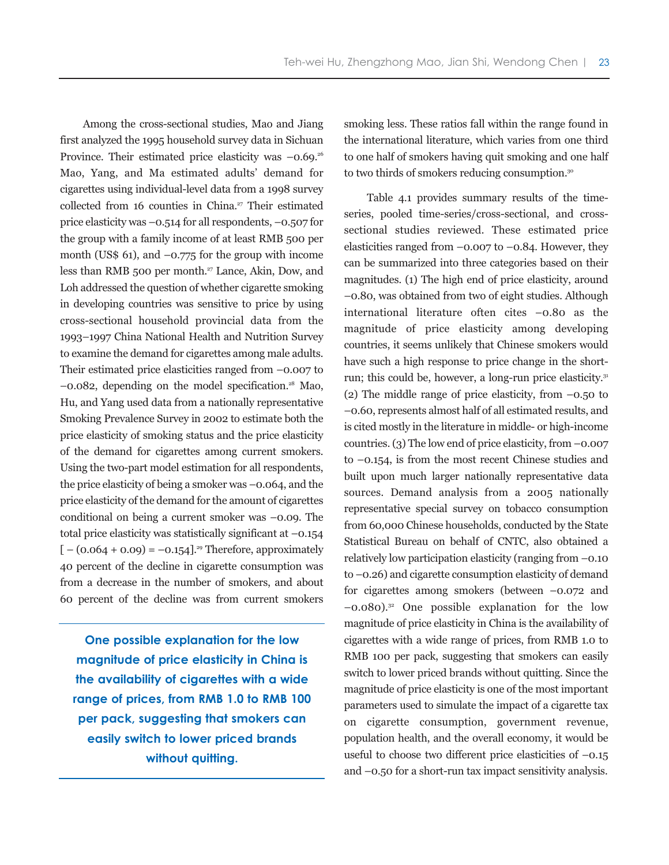Among the cross-sectional studies, Mao and Jiang first analyzed the 1995 household survey data in Sichuan Province. Their estimated price elasticity was  $-0.69$ .<sup>26</sup> Mao, Yang, and Ma estimated adults' demand for cigarettes using individual-level data from a 1998 survey collected from 16 counties in China.<sup> $27$ </sup> Their estimated price elasticity was –0.514 for all respondents, –0.507 for the group with a family income of at least RMB 500 per month (US\$ 61), and  $-0.775$  for the group with income less than RMB 500 per month.<sup>27</sup> Lance, Akin, Dow, and Loh addressed the question of whether cigarette smoking in developing countries was sensitive to price by using cross-sectional household provincial data from the 1993–1997 China National Health and Nutrition Survey to examine the demand for cigarettes among male adults. Their estimated price elasticities ranged from –0.007 to  $-0.082$ , depending on the model specification.<sup>28</sup> Mao, Hu, and Yang used data from a nationally representative Smoking Prevalence Survey in 2002 to estimate both the price elasticity of smoking status and the price elasticity of the demand for cigarettes among current smokers. Using the two-part model estimation for all respondents, the price elasticity of being a smoker was –0.064, and the price elasticity of the demand for the amount of cigarettes conditional on being a current smoker was –0.09. The total price elasticity was statistically significant at –0.154  $[-(0.064 + 0.09) = -0.154]$ <sup>29</sup> Therefore, approximately 40 percent of the decline in cigarette consumption was from a decrease in the number of smokers, and about 60 percent of the decline was from current smokers

**One possible explanation for the low magnitude of price elasticity in China is the availability of cigarettes with a wide range of prices, from RMB 1.0 to RMB 100 per pack, suggesting that smokers can easily switch to lower priced brands without quitting.**

smoking less. These ratios fall within the range found in the international literature, which varies from one third to one half of smokers having quit smoking and one half to two thirds of smokers reducing consumption.30

Table 4.1 provides summary results of the timeseries, pooled time-series/cross-sectional, and crosssectional studies reviewed. These estimated price elasticities ranged from  $-0.007$  to  $-0.84$ . However, they can be summarized into three categories based on their magnitudes. (1) The high end of price elasticity, around –0.80, was obtained from two of eight studies. Although international literature often cites –0.80 as the magnitude of price elasticity among developing countries, it seems unlikely that Chinese smokers would have such a high response to price change in the shortrun; this could be, however, a long-run price elasticity.<sup>31</sup> (2) The middle range of price elasticity, from  $-0.50$  to –0.60, represents almost half of all estimated results, and is cited mostly in the literature in middle- or high-income countries. (3) The low end of price elasticity, from  $-0.007$ to –0.154, is from the most recent Chinese studies and built upon much larger nationally representative data sources. Demand analysis from a 2005 nationally representative special survey on tobacco consumption from 60,000 Chinese households, conducted by the State Statistical Bureau on behalf of CNTC, also obtained a relatively low participation elasticity (ranging from –0.10 to –0.26) and cigarette consumption elasticity of demand for cigarettes among smokers (between  $-0.072$  and  $-0.080$ .<sup>32</sup> One possible explanation for the low magnitude of price elasticity in China is the availability of cigarettes with a wide range of prices, from RMB 1.0 to RMB 100 per pack, suggesting that smokers can easily switch to lower priced brands without quitting. Since the magnitude of price elasticity is one of the most important parameters used to simulate the impact of a cigarette tax on cigarette consumption, government revenue, population health, and the overall economy, it would be useful to choose two different price elasticities of  $-0.15$ and –0.50 for a short-run tax impact sensitivity analysis.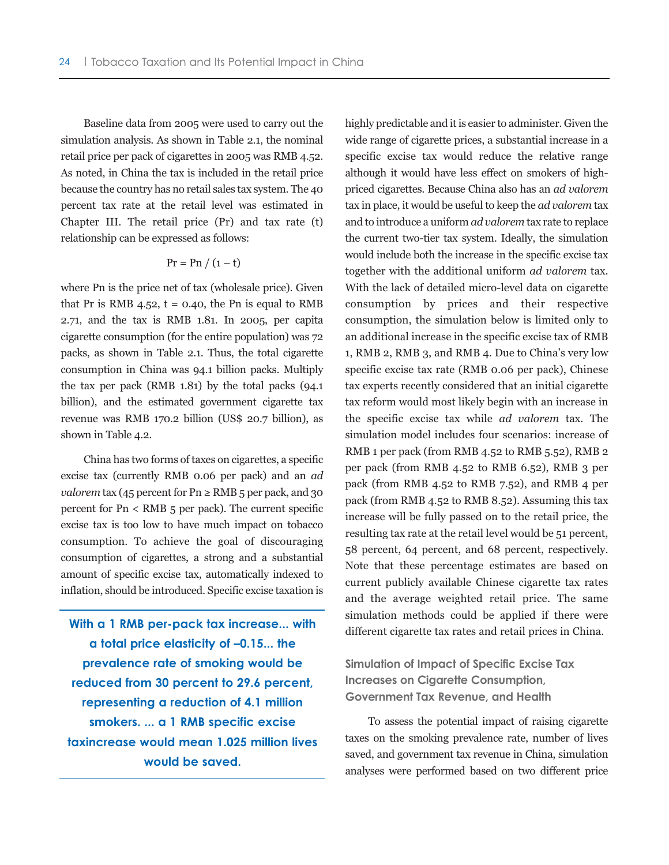Baseline data from 2005 were used to carry out the simulation analysis. As shown in Table 2.1, the nominal retail price per pack of cigarettes in 2005 was RMB 4.52. As noted, in China the tax is included in the retail price because the country has no retail sales tax system. The 40 percent tax rate at the retail level was estimated in Chapter III. The retail price (Pr) and tax rate (t) relationship can be expressed as follows:

$$
Pr = Pn / (1-t)
$$

where Pn is the price net of tax (wholesale price). Given that Pr is RMB 4.52,  $t = 0.40$ , the Pn is equal to RMB 2.71, and the tax is RMB 1.81. In 2005, per capita cigarette consumption (for the entire population) was 72 packs, as shown in Table 2.1. Thus, the total cigarette consumption in China was 94.1 billion packs. Multiply the tax per pack (RMB 1.81) by the total packs (94.1 billion), and the estimated government cigarette tax revenue was RMB 170.2 billion (US\$ 20.7 billion), as shown in Table 4.2.

China has two forms of taxes on cigarettes, a specific excise tax (currently RMB 0.06 per pack) and an *ad valorem* tax (45 percent for  $\text{Pn} \ge \text{RMB}$  5 per pack, and 30 percent for Pn < RMB 5 per pack). The current specific excise tax is too low to have much impact on tobacco consumption. To achieve the goal of discouraging consumption of cigarettes, a strong and a substantial amount of specific excise tax, automatically indexed to inflation, should be introduced. Specific excise taxation is

**With a 1 RMB per-pack tax increase... with a total price elasticity of –0.15... the prevalence rate of smoking would be reduced from 30 percent to 29.6 percent, representing a reduction of 4.1 million smokers. ... a 1 RMB specific excise taxincrease would mean 1.025 million lives would be saved.**

highly predictable and it is easier to administer. Given the wide range of cigarette prices, a substantial increase in a specific excise tax would reduce the relative range although it would have less effect on smokers of highpriced cigarettes. Because China also has an *ad valorem* tax in place, it would be useful to keep the *ad valorem* tax and to introduce a uniform *ad valorem* tax rate to replace the current two-tier tax system. Ideally, the simulation would include both the increase in the specific excise tax together with the additional uniform *ad valorem* tax. With the lack of detailed micro-level data on cigarette consumption by prices and their respective consumption, the simulation below is limited only to an additional increase in the specific excise tax of RMB 1, RMB 2, RMB 3, and RMB 4. Due to China's very low specific excise tax rate (RMB 0.06 per pack), Chinese tax experts recently considered that an initial cigarette tax reform would most likely begin with an increase in the specific excise tax while *ad valorem* tax. The simulation model includes four scenarios: increase of RMB 1 per pack (from RMB 4.52 to RMB 5.52), RMB 2 per pack (from RMB 4.52 to RMB 6.52), RMB 3 per pack (from RMB 4.52 to RMB 7.52), and RMB 4 per pack (from RMB 4.52 to RMB 8.52). Assuming this tax increase will be fully passed on to the retail price, the resulting tax rate at the retail level would be 51 percent, 58 percent, 64 percent, and 68 percent, respectively. Note that these percentage estimates are based on current publicly available Chinese cigarette tax rates and the average weighted retail price. The same simulation methods could be applied if there were different cigarette tax rates and retail prices in China.

**Simulation of Impact of Specific Excise Tax Increases on Cigarette Consumption, Government Tax Revenue, and Health** 

To assess the potential impact of raising cigarette taxes on the smoking prevalence rate, number of lives saved, and government tax revenue in China, simulation analyses were performed based on two different price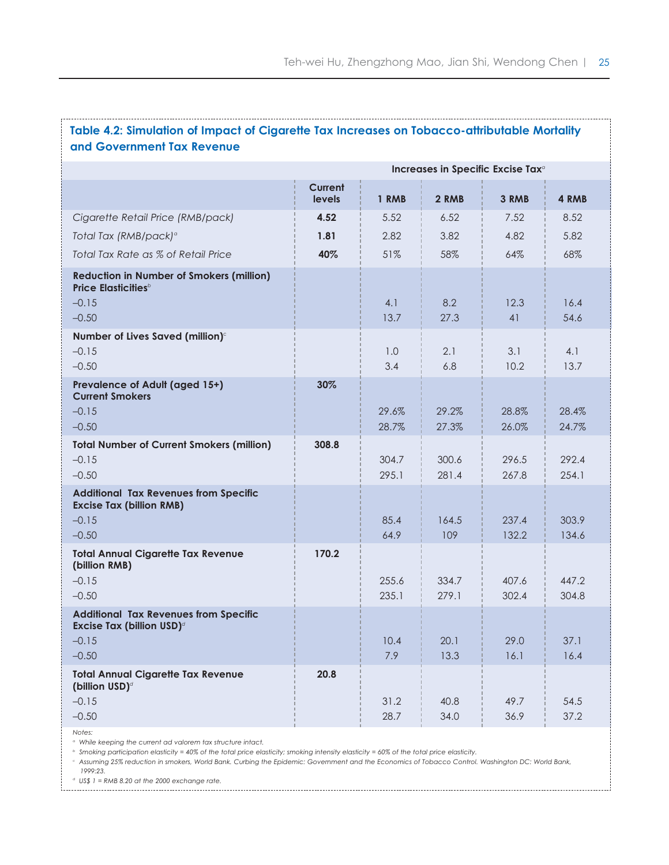# **Table 4.2: Simulation of Impact of Cigarette Tax Increases on Tobacco-attributable Mortality and Government Tax Revenue**

|                                                                                                                 | Increases in Specific Excise Tax <sup>a</sup> |                |                |                |                |  |
|-----------------------------------------------------------------------------------------------------------------|-----------------------------------------------|----------------|----------------|----------------|----------------|--|
|                                                                                                                 | <b>Current</b><br>levels                      | 1 RMB          | 2 RMB          | 3 RMB          | 4 RMB          |  |
| Cigarette Retail Price (RMB/pack)                                                                               | 4.52                                          | 5.52           | 6.52           | 7.52           | 8.52           |  |
| Total Tax (RMB/pack) <sup>a</sup>                                                                               | 1.81                                          | 2.82           | 3.82           | 4.82           | 5.82           |  |
| Total Tax Rate as % of Retail Price                                                                             | 40%                                           | 51%            | 58%            | 64%            | 68%            |  |
| <b>Reduction in Number of Smokers (million)</b><br><b>Price Elasticities</b> <sup>b</sup><br>$-0.15$<br>$-0.50$ |                                               | 4.1<br>13.7    | 8.2<br>27.3    | 12.3<br>41     | 16.4<br>54.6   |  |
| Number of Lives Saved (million) <sup>c</sup><br>$-0.15$<br>$-0.50$                                              |                                               | 1.0<br>3.4     | 2.1<br>6.8     | 3.1<br>10.2    | 4.1<br>13.7    |  |
| Prevalence of Adult (aged 15+)<br><b>Current Smokers</b><br>$-0.15$<br>$-0.50$                                  | 30%                                           | 29.6%<br>28.7% | 29.2%<br>27.3% | 28.8%<br>26.0% | 28.4%<br>24.7% |  |
| <b>Total Number of Current Smokers (million)</b><br>$-0.15$<br>$-0.50$                                          | 308.8                                         | 304.7<br>295.1 | 300.6<br>281.4 | 296.5<br>267.8 | 292.4<br>254.1 |  |
| <b>Additional Tax Revenues from Specific</b><br><b>Excise Tax (billion RMB)</b><br>$-0.15$<br>$-0.50$           |                                               | 85.4<br>64.9   | 164.5<br>109   | 237.4<br>132.2 | 303.9<br>134.6 |  |
| <b>Total Annual Cigarette Tax Revenue</b><br>(billion RMB)<br>$-0.15$<br>$-0.50$                                | 170.2                                         | 255.6<br>235.1 | 334.7<br>279.1 | 407.6<br>302.4 | 447.2<br>304.8 |  |
| <b>Additional Tax Revenues from Specific</b><br>Excise Tax (billion USD) <sup>d</sup><br>$-0.15$<br>$-0.50$     |                                               | 10.4<br>7.9    | 20.1<br>13.3   | 29.0<br>16.1   | 37.1<br>16.4   |  |
| <b>Total Annual Cigarette Tax Revenue</b><br>(billion USD) <sup>d</sup><br>$-0.15$<br>$-0.50$                   | 20.8                                          | 31.2<br>28.7   | 40.8<br>34.0   | 49.7<br>36.9   | 54.5<br>37.2   |  |

*Notes:*

*<sup>a</sup> While keeping the current ad valorem tax structure intact.* 

*<sup>b</sup> Smoking participation elasticity = 40% of the total price elasticity; smoking intensity elasticity = 60% of the total price elasticity.*

*<sup>c</sup> Assuming 25% reduction in smokers, World Bank. Curbing the Epidemic: Government and the Economics of Tobacco Control. Washington DC: World Bank, 1999:23.*

*<sup>d</sup> US\$ 1 = RMB 8.20 at the 2000 exchange rate.*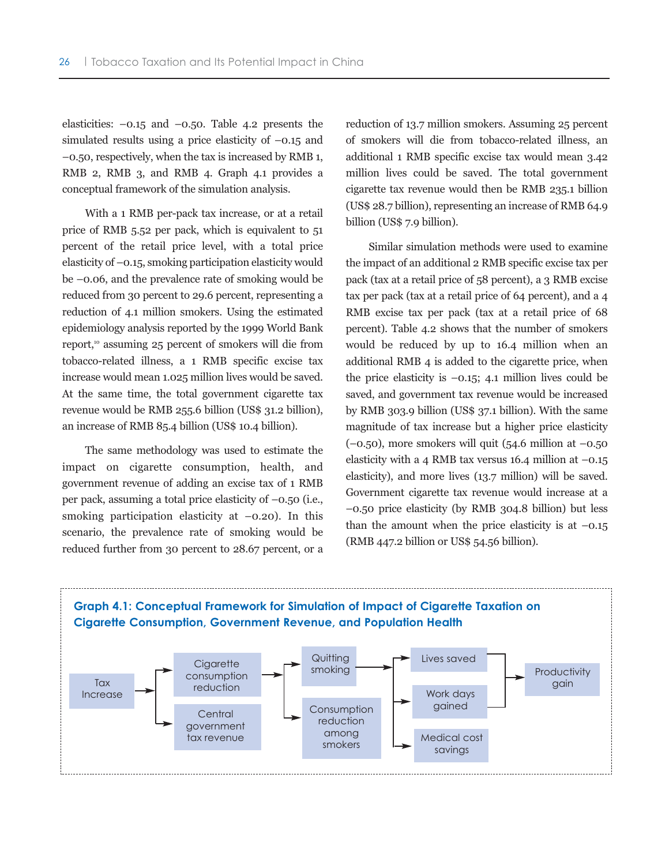elasticities:  $-0.15$  and  $-0.50$ . Table 4.2 presents the simulated results using a price elasticity of  $-0.15$  and –0.50, respectively, when the tax is increased by RMB 1, RMB 2, RMB 3, and RMB 4. Graph 4.1 provides a conceptual framework of the simulation analysis.

With a 1 RMB per-pack tax increase, or at a retail price of RMB 5.52 per pack, which is equivalent to 51 percent of the retail price level, with a total price elasticity of –0.15, smoking participation elasticity would be –0.06, and the prevalence rate of smoking would be reduced from 30 percent to 29.6 percent, representing a reduction of 4.1 million smokers. Using the estimated epidemiology analysis reported by the 1999 World Bank report,<sup>10</sup> assuming 25 percent of smokers will die from tobacco-related illness, a 1 RMB specific excise tax increase would mean 1.025 million lives would be saved. At the same time, the total government cigarette tax revenue would be RMB 255.6 billion (US\$ 31.2 billion), an increase of RMB 85.4 billion (US\$ 10.4 billion).

The same methodology was used to estimate the impact on cigarette consumption, health, and government revenue of adding an excise tax of 1 RMB per pack, assuming a total price elasticity of –0.50 (i.e., smoking participation elasticity at  $-0.20$ ). In this scenario, the prevalence rate of smoking would be reduced further from 30 percent to 28.67 percent, or a reduction of 13.7 million smokers. Assuming 25 percent of smokers will die from tobacco-related illness, an additional 1 RMB specific excise tax would mean 3.42 million lives could be saved. The total government cigarette tax revenue would then be RMB 235.1 billion (US\$ 28.7 billion), representing an increase of RMB 64.9 billion (US\$ 7.9 billion).

Similar simulation methods were used to examine the impact of an additional 2 RMB specific excise tax per pack (tax at a retail price of 58 percent), a 3 RMB excise tax per pack (tax at a retail price of 64 percent), and a 4 RMB excise tax per pack (tax at a retail price of 68 percent). Table 4.2 shows that the number of smokers would be reduced by up to 16.4 million when an additional RMB 4 is added to the cigarette price, when the price elasticity is  $-0.15$ ; 4.1 million lives could be saved, and government tax revenue would be increased by RMB 303.9 billion (US\$ 37.1 billion). With the same magnitude of tax increase but a higher price elasticity  $(-0.50)$ , more smokers will quit (54.6 million at  $-0.50$ ) elasticity with a 4 RMB tax versus 16.4 million at  $-0.15$ elasticity), and more lives (13.7 million) will be saved. Government cigarette tax revenue would increase at a –0.50 price elasticity (by RMB 304.8 billion) but less than the amount when the price elasticity is at  $-0.15$ (RMB 447.2 billion or US\$ 54.56 billion).

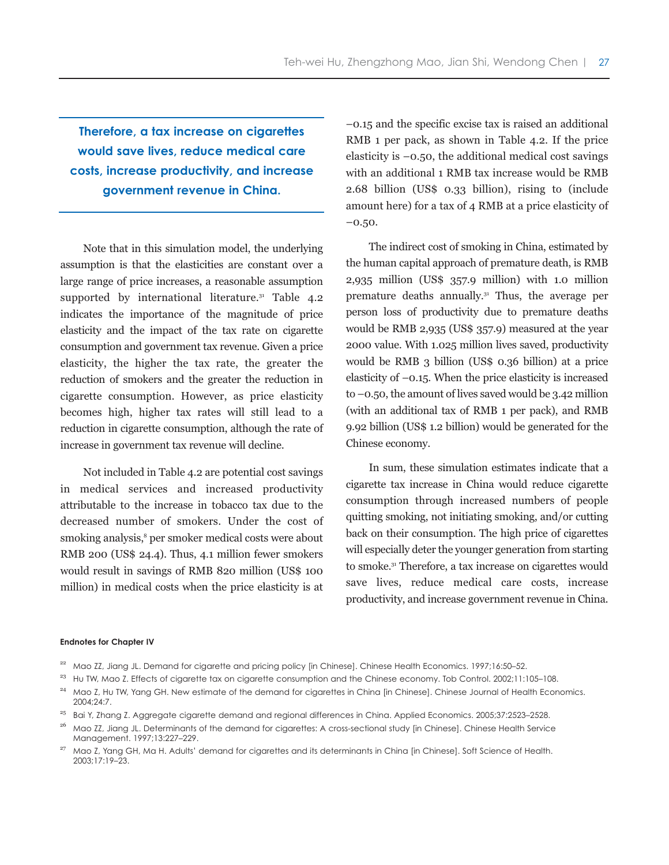**Therefore, a tax increase on cigarettes would save lives, reduce medical care costs, increase productivity, and increase government revenue in China.**

Note that in this simulation model, the underlying assumption is that the elasticities are constant over a large range of price increases, a reasonable assumption supported by international literature.<sup>31</sup> Table  $4.2$ indicates the importance of the magnitude of price elasticity and the impact of the tax rate on cigarette consumption and government tax revenue. Given a price elasticity, the higher the tax rate, the greater the reduction of smokers and the greater the reduction in cigarette consumption. However, as price elasticity becomes high, higher tax rates will still lead to a reduction in cigarette consumption, although the rate of increase in government tax revenue will decline.

Not included in Table 4.2 are potential cost savings in medical services and increased productivity attributable to the increase in tobacco tax due to the decreased number of smokers. Under the cost of smoking analysis,<sup>8</sup> per smoker medical costs were about RMB 200 (US\$ 24.4). Thus, 4.1 million fewer smokers would result in savings of RMB 820 million (US\$ 100 million) in medical costs when the price elasticity is at –0.15 and the specific excise tax is raised an additional RMB 1 per pack, as shown in Table 4.2. If the price elasticity is –0.50, the additional medical cost savings with an additional 1 RMB tax increase would be RMB 2.68 billion (US\$ 0.33 billion), rising to (include amount here) for a tax of 4 RMB at a price elasticity of –0.50.

The indirect cost of smoking in China, estimated by the human capital approach of premature death, is RMB 2,935 million (US\$ 357.9 million) with 1.0 million premature deaths annually.31 Thus, the average per person loss of productivity due to premature deaths would be RMB 2,935 (US\$ 357.9) measured at the year 2000 value. With 1.025 million lives saved, productivity would be RMB 3 billion (US\$ 0.36 billion) at a price elasticity of –0.15. When the price elasticity is increased to  $-0.50$ , the amount of lives saved would be 3.42 million (with an additional tax of RMB 1 per pack), and RMB 9.92 billion (US\$ 1.2 billion) would be generated for the Chinese economy.

In sum, these simulation estimates indicate that a cigarette tax increase in China would reduce cigarette consumption through increased numbers of people quitting smoking, not initiating smoking, and/or cutting back on their consumption. The high price of cigarettes will especially deter the younger generation from starting to smoke.31 Therefore, a tax increase on cigarettes would save lives, reduce medical care costs, increase productivity, and increase government revenue in China.

#### **Endnotes for Chapter IV**

- <sup>22</sup> Mao ZZ, Jiang JL. Demand for cigarette and pricing policy [in Chinese]. Chinese Health Economics. 1997;16:50-52.
- $^{23}$  Hu TW, Mao Z. Effects of cigarette tax on cigarette consumption and the Chinese economy. Tob Control. 2002;11:105-108.
- <sup>24</sup> Mao Z, Hu TW, Yang GH. New estimate of the demand for cigarettes in China [in Chinese]. Chinese Journal of Health Economics. 2004;24:7.
- <sup>25</sup> Bai Y, Zhang Z. Aggregate cigarette demand and regional differences in China. Applied Economics. 2005;37:2523-2528.
- <sup>26</sup> Mao ZZ, Jiang JL. Determinants of the demand for cigarettes: A cross-sectional study [in Chinese]. Chinese Health Service Management. 1997;13:227–229.
- <sup>27</sup> Mao Z, Yang GH, Ma H. Adults' demand for cigarettes and its determinants in China [in Chinese]. Soft Science of Health. 2003;17:19–23.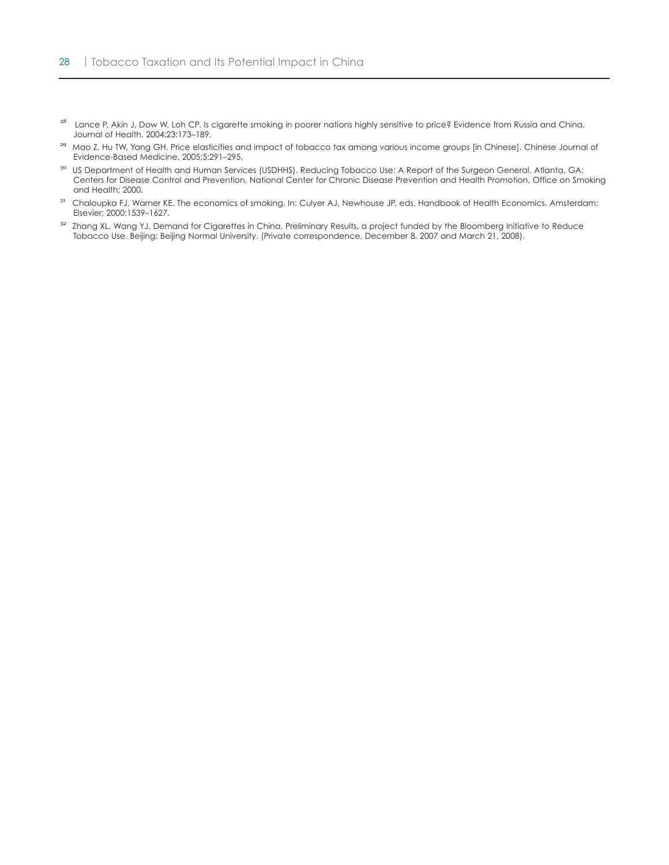- <sup>28</sup> Lance P, Akin J, Dow W, Loh CP. Is cigarette smoking in poorer nations highly sensitive to price? Evidence from Russia and China. Journal of Health. 2004;23:173–189.
- <sup>29</sup> Mao Z, Hu TW, Yang GH. Price elasticities and impact of tobacco tax among various income groups [in Chinese]. Chinese Journal of Evidence-Based Medicine. 2005;5:291–295.
- <sup>30</sup> US Department of Health and Human Services (USDHHS). Reducing Tobacco Use: A Report of the Surgeon General. Atlanta, GA: Centers for Disease Control and Prevention, National Center for Chronic Disease Prevention and Health Promotion, Office on Smoking and Health; 2000.
- <sup>31</sup> Chaloupka FJ, Warner KE. The economics of smoking. In: Culyer AJ, Newhouse JP, eds. Handbook of Health Economics. Amsterdam: Elsevier; 2000:1539–1627.
- <sup>32</sup> Zhang XL, Wang YJ. Demand for Cigarettes in China, Preliminary Results, a project funded by the Bloomberg Initiative to Reduce Tobacco Use. Beijing: Beijing Normal University. (Private correspondence, December 8, 2007 and March 21, 2008).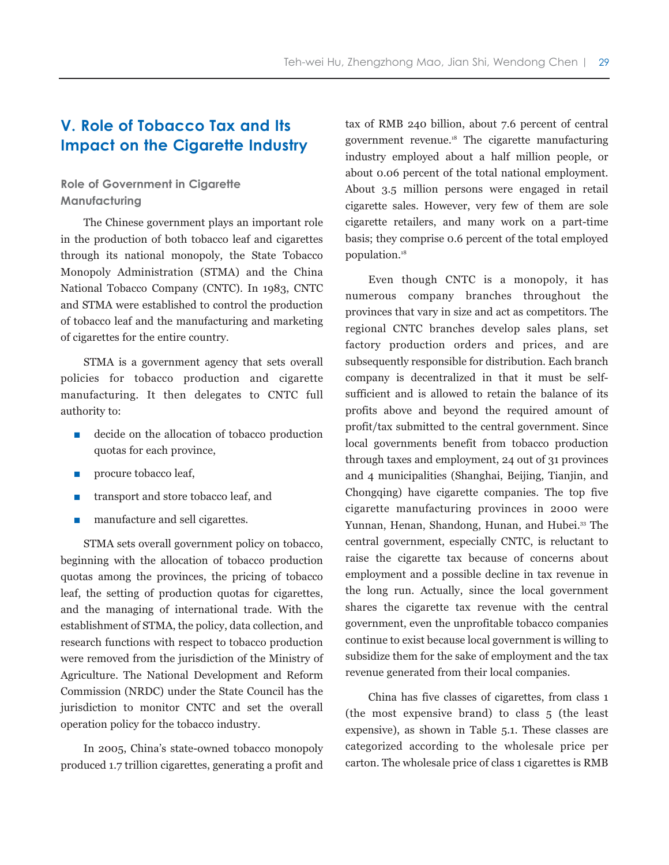# **V. Role of Tobacco Tax and Its Impact on the Cigarette Industry**

# **Role of Government in Cigarette Manufacturing**

The Chinese government plays an important role in the production of both tobacco leaf and cigarettes through its national monopoly, the State Tobacco Monopoly Administration (STMA) and the China National Tobacco Company (CNTC). In 1983, CNTC and STMA were established to control the production of tobacco leaf and the manufacturing and marketing of cigarettes for the entire country.

STMA is a government agency that sets overall policies for tobacco production and cigarette manufacturing. It then delegates to CNTC full authority to:

- decide on the allocation of tobacco production quotas for each province,
- procure tobacco leaf,
- transport and store tobacco leaf, and
- manufacture and sell cigarettes.

STMA sets overall government policy on tobacco, beginning with the allocation of tobacco production quotas among the provinces, the pricing of tobacco leaf, the setting of production quotas for cigarettes, and the managing of international trade. With the establishment of STMA, the policy, data collection, and research functions with respect to tobacco production were removed from the jurisdiction of the Ministry of Agriculture. The National Development and Reform Commission (NRDC) under the State Council has the jurisdiction to monitor CNTC and set the overall operation policy for the tobacco industry.

In 2005, China's state-owned tobacco monopoly produced 1.7 trillion cigarettes, generating a profit and tax of RMB 240 billion, about 7.6 percent of central government revenue.18 The cigarette manufacturing industry employed about a half million people, or about 0.06 percent of the total national employment. About 3.5 million persons were engaged in retail cigarette sales. However, very few of them are sole cigarette retailers, and many work on a part-time basis; they comprise 0.6 percent of the total employed population.18

Even though CNTC is a monopoly, it has numerous company branches throughout the provinces that vary in size and act as competitors. The regional CNTC branches develop sales plans, set factory production orders and prices, and are subsequently responsible for distribution. Each branch company is decentralized in that it must be selfsufficient and is allowed to retain the balance of its profits above and beyond the required amount of profit/tax submitted to the central government. Since local governments benefit from tobacco production through taxes and employment, 24 out of 31 provinces and 4 municipalities (Shanghai, Beijing, Tianjin, and Chongqing) have cigarette companies. The top five cigarette manufacturing provinces in 2000 were Yunnan, Henan, Shandong, Hunan, and Hubei.<sup>33</sup> The central government, especially CNTC, is reluctant to raise the cigarette tax because of concerns about employment and a possible decline in tax revenue in the long run. Actually, since the local government shares the cigarette tax revenue with the central government, even the unprofitable tobacco companies continue to exist because local government is willing to subsidize them for the sake of employment and the tax revenue generated from their local companies.

China has five classes of cigarettes, from class 1 (the most expensive brand) to class 5 (the least expensive), as shown in Table 5.1. These classes are categorized according to the wholesale price per carton. The wholesale price of class 1 cigarettes is RMB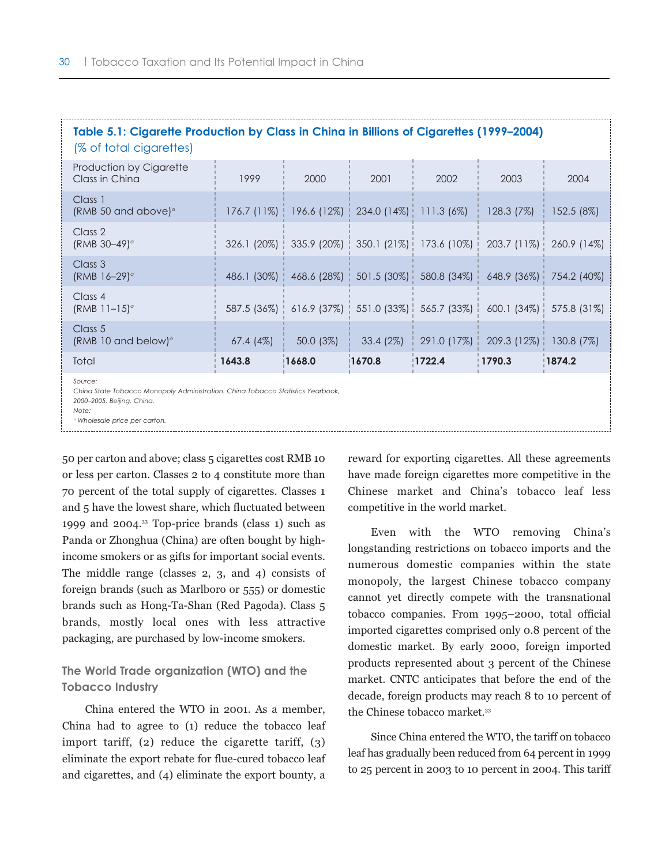| Table 5.1: Cigarette Production by Class in China in Billions of Cigarettes (1999–2004)<br>(% of total cigarettes)                                                            |             |                                                       |             |               |               |              |
|-------------------------------------------------------------------------------------------------------------------------------------------------------------------------------|-------------|-------------------------------------------------------|-------------|---------------|---------------|--------------|
| Production by Cigarette<br>Class in China                                                                                                                                     | 1999        | 2000                                                  | 2001        | 2002          | 2003          | 2004         |
| Class 1<br>(RMB 50 and above) $\sigma$                                                                                                                                        |             | $176.7$ (11%)   196.6 (12%)   234.0 (14%)             |             | $111.3(6\%)$  | 128.3 (7%)    | 152.5 (8%)   |
| Class 2<br>(RMB $30-49$ ) <sup>a</sup>                                                                                                                                        |             | 326.1 (20%)   335.9 (20%)   350.1 (21%)               |             | 173.6 (10%)   | $203.7(11\%)$ | 260.9 (14%)  |
| Class 3<br>$(RMB 16-29)$ <sup>o</sup>                                                                                                                                         |             | 486.1 (30%)   468.6 (28%)                             | 501.5 (30%) | 580.8 (34%)   | $648.9$ (36%) | 754.2 (40%)  |
| Class 4<br>$(RMB 11-15)°$                                                                                                                                                     |             | 587.5 (36%)   616.9 (37%)   551.0 (33%)   565.7 (33%) |             |               | $600.1(34\%)$ | 575.8 (31%)  |
| Class 5<br>(RMB 10 and below) $\degree$                                                                                                                                       | $67.4(4\%)$ | $50.0(3\%)$                                           | $33.4(2\%)$ | $291.0$ (17%) | 209.3(12%)    | $130.8(7\%)$ |
| Total                                                                                                                                                                         | 1643.8      | 1668.0                                                | 1670.8      | !1722.4       | 1790.3        | 1874.2       |
| Source:<br>China State Tobacco Monopoly Administration. China Tobacco Statistics Yearbook,<br>2000-2005. Beijing, China.<br>Note:<br><sup>o</sup> Wholesale price per carton. |             |                                                       |             |               |               |              |

50 per carton and above; class 5 cigarettes cost RMB 10 or less per carton. Classes 2 to 4 constitute more than 70 percent of the total supply of cigarettes. Classes 1 and 5 have the lowest share, which fluctuated between 1999 and 2004.33 Top-price brands (class 1) such as Panda or Zhonghua (China) are often bought by highincome smokers or as gifts for important social events. The middle range (classes 2, 3, and 4) consists of foreign brands (such as Marlboro or 555) or domestic brands such as Hong-Ta-Shan (Red Pagoda). Class 5 brands, mostly local ones with less attractive packaging, are purchased by low-income smokers.

# **The World Trade organization (WTO) and the Tobacco Industry**

China entered the WTO in 2001. As a member, China had to agree to (1) reduce the tobacco leaf import tariff, (2) reduce the cigarette tariff, (3) eliminate the export rebate for flue-cured tobacco leaf and cigarettes, and (4) eliminate the export bounty, a

reward for exporting cigarettes. All these agreements have made foreign cigarettes more competitive in the Chinese market and China's tobacco leaf less competitive in the world market.

Even with the WTO removing China's longstanding restrictions on tobacco imports and the numerous domestic companies within the state monopoly, the largest Chinese tobacco company cannot yet directly compete with the transnational tobacco companies. From 1995–2000, total official imported cigarettes comprised only 0.8 percent of the domestic market. By early 2000, foreign imported products represented about 3 percent of the Chinese market. CNTC anticipates that before the end of the decade, foreign products may reach 8 to 10 percent of the Chinese tobacco market.<sup>33</sup>

Since China entered the WTO, the tariff on tobacco leaf has gradually been reduced from 64 percent in 1999 to 25 percent in 2003 to 10 percent in 2004. This tariff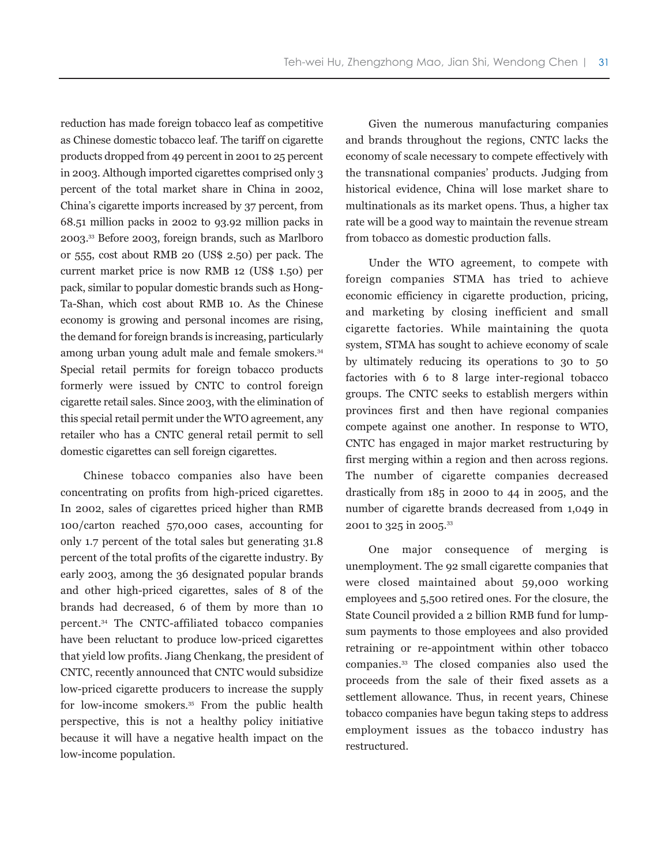reduction has made foreign tobacco leaf as competitive as Chinese domestic tobacco leaf. The tariff on cigarette products dropped from 49 percent in 2001 to 25 percent in 2003. Although imported cigarettes comprised only 3 percent of the total market share in China in 2002, China's cigarette imports increased by 37 percent, from 68.51 million packs in 2002 to 93.92 million packs in 2003.33 Before 2003, foreign brands, such as Marlboro or 555, cost about RMB 20 (US\$ 2.50) per pack. The current market price is now RMB 12 (US\$ 1.50) per pack, similar to popular domestic brands such as Hong-Ta-Shan, which cost about RMB 10. As the Chinese economy is growing and personal incomes are rising, the demand for foreign brands is increasing, particularly among urban young adult male and female smokers.<sup>34</sup> Special retail permits for foreign tobacco products formerly were issued by CNTC to control foreign cigarette retail sales. Since 2003, with the elimination of this special retail permit under the WTO agreement, any retailer who has a CNTC general retail permit to sell domestic cigarettes can sell foreign cigarettes.

Chinese tobacco companies also have been concentrating on profits from high-priced cigarettes. In 2002, sales of cigarettes priced higher than RMB 100/carton reached 570,000 cases, accounting for only 1.7 percent of the total sales but generating 31.8 percent of the total profits of the cigarette industry. By early 2003, among the 36 designated popular brands and other high-priced cigarettes, sales of 8 of the brands had decreased, 6 of them by more than 10 percent.34 The CNTC-affiliated tobacco companies have been reluctant to produce low-priced cigarettes that yield low profits. Jiang Chenkang, the president of CNTC, recently announced that CNTC would subsidize low-priced cigarette producers to increase the supply for low-income smokers.<sup>35</sup> From the public health perspective, this is not a healthy policy initiative because it will have a negative health impact on the low-income population.

Given the numerous manufacturing companies and brands throughout the regions, CNTC lacks the economy of scale necessary to compete effectively with the transnational companies' products. Judging from historical evidence, China will lose market share to multinationals as its market opens. Thus, a higher tax rate will be a good way to maintain the revenue stream from tobacco as domestic production falls.

Under the WTO agreement, to compete with foreign companies STMA has tried to achieve economic efficiency in cigarette production, pricing, and marketing by closing inefficient and small cigarette factories. While maintaining the quota system, STMA has sought to achieve economy of scale by ultimately reducing its operations to 30 to 50 factories with 6 to 8 large inter-regional tobacco groups. The CNTC seeks to establish mergers within provinces first and then have regional companies compete against one another. In response to WTO, CNTC has engaged in major market restructuring by first merging within a region and then across regions. The number of cigarette companies decreased drastically from 185 in 2000 to 44 in 2005, and the number of cigarette brands decreased from 1,049 in 2001 to 325 in 2005.33

One major consequence of merging is unemployment. The 92 small cigarette companies that were closed maintained about 59,000 working employees and 5,500 retired ones. For the closure, the State Council provided a 2 billion RMB fund for lumpsum payments to those employees and also provided retraining or re-appointment within other tobacco companies.33 The closed companies also used the proceeds from the sale of their fixed assets as a settlement allowance. Thus, in recent years, Chinese tobacco companies have begun taking steps to address employment issues as the tobacco industry has restructured.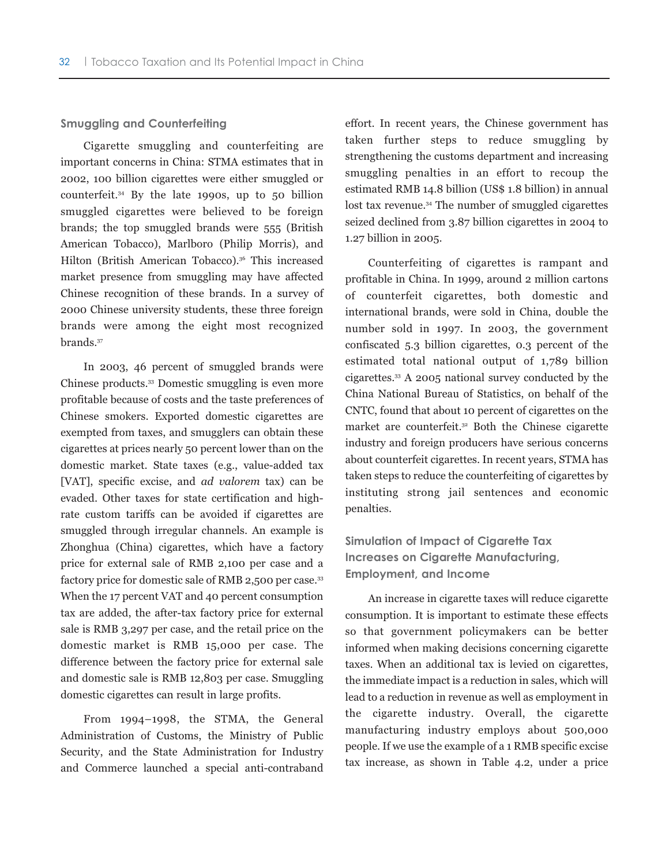#### **Smuggling and Counterfeiting**

Cigarette smuggling and counterfeiting are important concerns in China: STMA estimates that in 2002, 100 billion cigarettes were either smuggled or counterfeit.34 By the late 1990s, up to 50 billion smuggled cigarettes were believed to be foreign brands; the top smuggled brands were 555 (British American Tobacco), Marlboro (Philip Morris), and Hilton (British American Tobacco).<sup>36</sup> This increased market presence from smuggling may have affected Chinese recognition of these brands. In a survey of 2000 Chinese university students, these three foreign brands were among the eight most recognized brands.37

In 2003, 46 percent of smuggled brands were Chinese products.33 Domestic smuggling is even more profitable because of costs and the taste preferences of Chinese smokers. Exported domestic cigarettes are exempted from taxes, and smugglers can obtain these cigarettes at prices nearly 50 percent lower than on the domestic market. State taxes (e.g., value-added tax [VAT], specific excise, and *ad valorem* tax) can be evaded. Other taxes for state certification and highrate custom tariffs can be avoided if cigarettes are smuggled through irregular channels. An example is Zhonghua (China) cigarettes, which have a factory price for external sale of RMB 2,100 per case and a factory price for domestic sale of RMB 2,500 per case.<sup>33</sup> When the 17 percent VAT and 40 percent consumption tax are added, the after-tax factory price for external sale is RMB 3,297 per case, and the retail price on the domestic market is RMB 15,000 per case. The difference between the factory price for external sale and domestic sale is RMB 12,803 per case. Smuggling domestic cigarettes can result in large profits.

From 1994–1998, the STMA, the General Administration of Customs, the Ministry of Public Security, and the State Administration for Industry and Commerce launched a special anti-contraband effort. In recent years, the Chinese government has taken further steps to reduce smuggling by strengthening the customs department and increasing smuggling penalties in an effort to recoup the estimated RMB 14.8 billion (US\$ 1.8 billion) in annual lost tax revenue.<sup>34</sup> The number of smuggled cigarettes seized declined from 3.87 billion cigarettes in 2004 to 1.27 billion in 2005.

Counterfeiting of cigarettes is rampant and profitable in China. In 1999, around 2 million cartons of counterfeit cigarettes, both domestic and international brands, were sold in China, double the number sold in 1997. In 2003, the government confiscated 5.3 billion cigarettes, 0.3 percent of the estimated total national output of 1,789 billion cigarettes.33 A 2005 national survey conducted by the China National Bureau of Statistics, on behalf of the CNTC, found that about 10 percent of cigarettes on the market are counterfeit.<sup>32</sup> Both the Chinese cigarette industry and foreign producers have serious concerns about counterfeit cigarettes. In recent years, STMA has taken steps to reduce the counterfeiting of cigarettes by instituting strong jail sentences and economic penalties.

# **Simulation of Impact of Cigarette Tax Increases on Cigarette Manufacturing, Employment, and Income**

An increase in cigarette taxes will reduce cigarette consumption. It is important to estimate these effects so that government policymakers can be better informed when making decisions concerning cigarette taxes. When an additional tax is levied on cigarettes, the immediate impact is a reduction in sales, which will lead to a reduction in revenue as well as employment in the cigarette industry. Overall, the cigarette manufacturing industry employs about 500,000 people. If we use the example of a 1 RMB specific excise tax increase, as shown in Table 4.2, under a price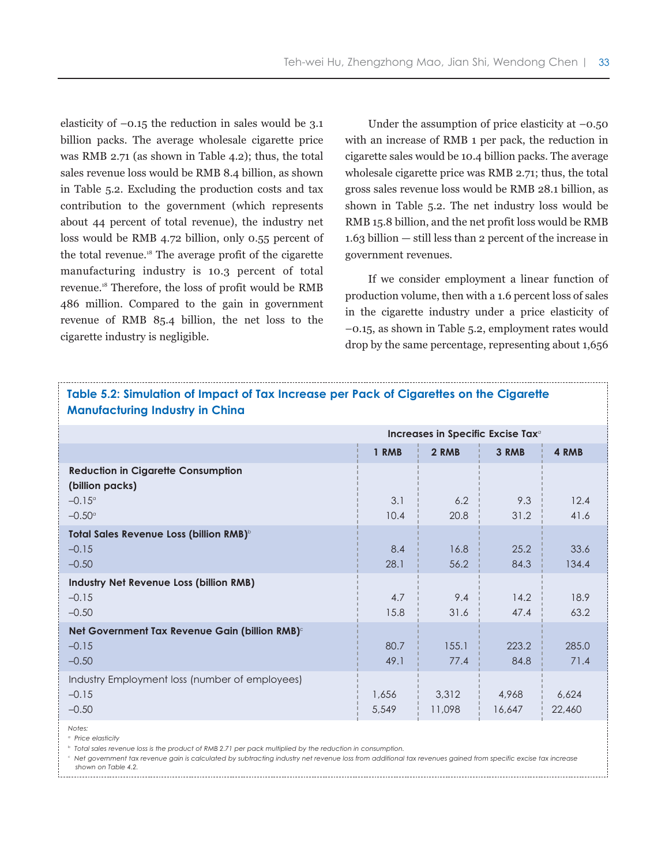elasticity of  $-0.15$  the reduction in sales would be 3.1 billion packs. The average wholesale cigarette price was RMB 2.71 (as shown in Table 4.2); thus, the total sales revenue loss would be RMB 8.4 billion, as shown in Table 5.2. Excluding the production costs and tax contribution to the government (which represents about 44 percent of total revenue), the industry net loss would be RMB 4.72 billion, only 0.55 percent of the total revenue.18 The average profit of the cigarette manufacturing industry is 10.3 percent of total revenue.18 Therefore, the loss of profit would be RMB 486 million. Compared to the gain in government revenue of RMB 85.4 billion, the net loss to the cigarette industry is negligible.

Under the assumption of price elasticity at  $-0.50$ with an increase of RMB 1 per pack, the reduction in cigarette sales would be 10.4 billion packs. The average wholesale cigarette price was RMB 2.71; thus, the total gross sales revenue loss would be RMB 28.1 billion, as shown in Table 5.2. The net industry loss would be RMB 15.8 billion, and the net profit loss would be RMB 1.63 billion — still less than 2 percent of the increase in government revenues.

If we consider employment a linear function of production volume, then with a 1.6 percent loss of sales in the cigarette industry under a price elasticity of –0.15, as shown in Table 5.2, employment rates would drop by the same percentage, representing about 1,656

| Table 5.2: Simulation of Impact of Tax Increase per Pack of Cigarettes on the Cigarette<br><b>Manufacturing Industry in China</b> |                                  |                 |                 |                 |  |  |  |
|-----------------------------------------------------------------------------------------------------------------------------------|----------------------------------|-----------------|-----------------|-----------------|--|--|--|
| Increases in Specific Excise Tax <sup>a</sup>                                                                                     |                                  |                 |                 |                 |  |  |  |
|                                                                                                                                   | 1 RMB<br>2 RMB<br>3 RMB<br>4 RMB |                 |                 |                 |  |  |  |
| <b>Reduction in Cigarette Consumption</b><br>(billion packs)                                                                      |                                  |                 |                 |                 |  |  |  |
| $-0.15^{\circ}$                                                                                                                   | 3.1                              | 6.2             | 9.3             | 12.4            |  |  |  |
| $-0.50^{\circ}$                                                                                                                   | 10.4                             | 20.8            | 31.2            | 41.6            |  |  |  |
| Total Sales Revenue Loss (billion RMB) <sup>6</sup><br>$-0.15$<br>$-0.50$                                                         | 8.4<br>28.1                      | 16.8<br>56.2    | 25.2<br>84.3    | 33.6<br>134.4   |  |  |  |
| <b>Industry Net Revenue Loss (billion RMB)</b><br>$-0.15$<br>$-0.50$                                                              | 4.7<br>15.8                      | 9.4<br>31.6     | 14.2<br>47.4    | 18.9<br>63.2    |  |  |  |
| Net Government Tax Revenue Gain (billion RMB) <sup>c</sup><br>$-0.15$<br>$-0.50$                                                  | 80.7<br>49.1                     | 155.1<br>77.4   | 223.2<br>84.8   | 285.0<br>71.4   |  |  |  |
| Industry Employment loss (number of employees)<br>$-0.15$<br>$-0.50$                                                              | 1,656<br>5,549                   | 3,312<br>11,098 | 4.968<br>16,647 | 6,624<br>22,460 |  |  |  |
| Notes:                                                                                                                            |                                  |                 |                 |                 |  |  |  |

*<sup>a</sup> Price elasticity*

*<sup>b</sup> Total sales revenue loss is the product of RMB 2.71 per pack multiplied by the reduction in consumption.* 

*<sup>c</sup> Net government tax revenue gain is calculated by subtracting industry net revenue loss from additional tax revenues gained from specific excise tax increase shown on Table 4.2.*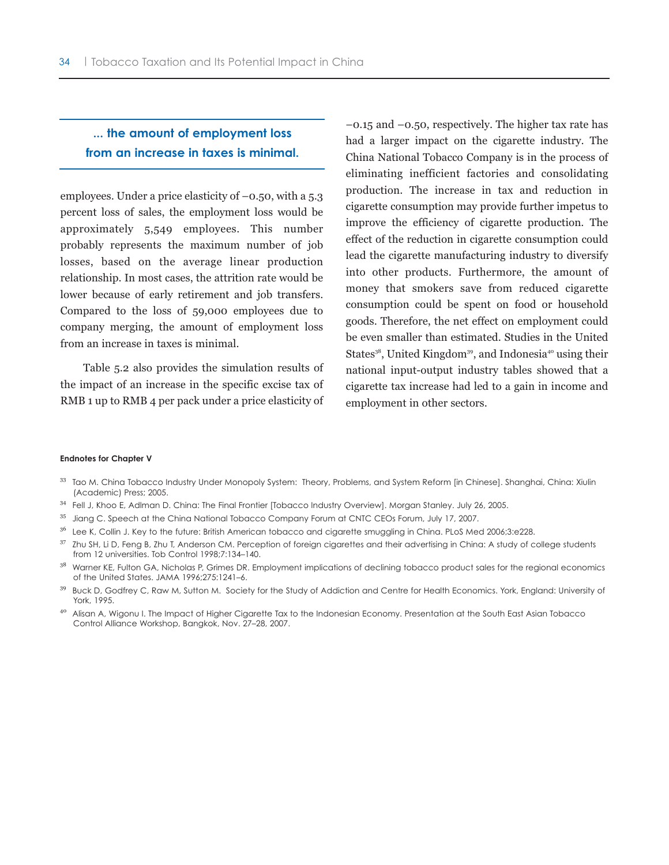# **... the amount of employment loss from an increase in taxes is minimal.**

employees. Under a price elasticity of –0.50, with a 5.3 percent loss of sales, the employment loss would be approximately 5,549 employees. This number probably represents the maximum number of job losses, based on the average linear production relationship. In most cases, the attrition rate would be lower because of early retirement and job transfers. Compared to the loss of 59,000 employees due to company merging, the amount of employment loss from an increase in taxes is minimal.

Table 5.2 also provides the simulation results of the impact of an increase in the specific excise tax of RMB 1 up to RMB 4 per pack under a price elasticity of –0.15 and –0.50, respectively. The higher tax rate has had a larger impact on the cigarette industry. The China National Tobacco Company is in the process of eliminating inefficient factories and consolidating production. The increase in tax and reduction in cigarette consumption may provide further impetus to improve the efficiency of cigarette production. The effect of the reduction in cigarette consumption could lead the cigarette manufacturing industry to diversify into other products. Furthermore, the amount of money that smokers save from reduced cigarette consumption could be spent on food or household goods. Therefore, the net effect on employment could be even smaller than estimated. Studies in the United States<sup>38</sup>, United Kingdom<sup>39</sup>, and Indonesia<sup>40</sup> using their national input-output industry tables showed that a cigarette tax increase had led to a gain in income and employment in other sectors.

#### **Endnotes for Chapter V**

- $^{33}$  Tao M. China Tobacco Industry Under Monopoly System: Theory, Problems, and System Reform [in Chinese]. Shanghai, China: Xiulin (Academic) Press; 2005.
- <sup>34</sup> Fell J, Khoo E, Adlman D. China: The Final Frontier [Tobacco Industry Overview]. Morgan Stanley. July 26, 2005.
- <sup>35</sup> Jiang C. Speech at the China National Tobacco Company Forum at CNTC CEOs Forum, July 17, 2007.
- $36$  Lee K, Collin J. Key to the future: British American tobacco and cigarette smuggling in China. PLoS Med 2006;3:e228.
- $37$  Zhu SH, Li D, Feng B, Zhu T, Anderson CM. Perception of foreign cigarettes and their advertising in China: A study of college students from 12 universities. Tob Control 1998;7:134–140.
- <sup>38</sup> Warner KE, Fulton GA, Nicholas P, Grimes DR. Employment implications of declining tobacco product sales for the regional economics of the United States. JAMA 1996;275:1241–6.
- <sup>39</sup> Buck D, Godfrey C, Raw M, Sutton M. Society for the Study of Addiction and Centre for Health Economics. York, England: University of York, 1995.
- <sup>40</sup> Alisan A, Wigonu I. The Impact of Higher Cigarette Tax to the Indonesian Economy. Presentation at the South East Asian Tobacco Control Alliance Workshop, Bangkok, Nov. 27–28, 2007.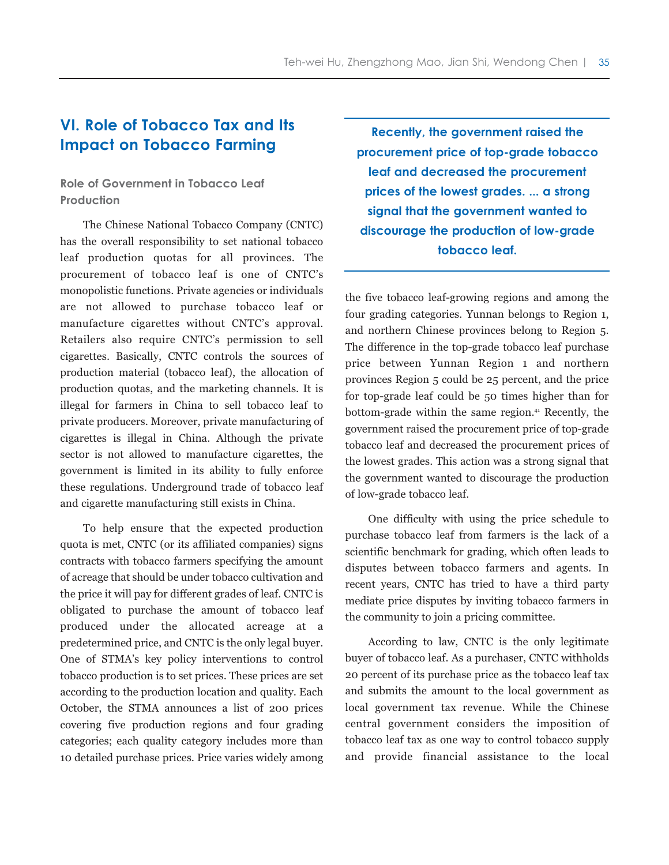# **VI. Role of Tobacco Tax and Its Impact on Tobacco Farming**

# **Role of Government in Tobacco Leaf Production**

The Chinese National Tobacco Company (CNTC) has the overall responsibility to set national tobacco leaf production quotas for all provinces. The procurement of tobacco leaf is one of CNTC's monopolistic functions. Private agencies or individuals are not allowed to purchase tobacco leaf or manufacture cigarettes without CNTC's approval. Retailers also require CNTC's permission to sell cigarettes. Basically, CNTC controls the sources of production material (tobacco leaf), the allocation of production quotas, and the marketing channels. It is illegal for farmers in China to sell tobacco leaf to private producers. Moreover, private manufacturing of cigarettes is illegal in China. Although the private sector is not allowed to manufacture cigarettes, the government is limited in its ability to fully enforce these regulations. Underground trade of tobacco leaf and cigarette manufacturing still exists in China.

To help ensure that the expected production quota is met, CNTC (or its affiliated companies) signs contracts with tobacco farmers specifying the amount of acreage that should be under tobacco cultivation and the price it will pay for different grades of leaf. CNTC is obligated to purchase the amount of tobacco leaf produced under the allocated acreage at a predetermined price, and CNTC is the only legal buyer. One of STMA's key policy interventions to control tobacco production is to set prices. These prices are set according to the production location and quality. Each October, the STMA announces a list of 200 prices covering five production regions and four grading categories; each quality category includes more than 10 detailed purchase prices. Price varies widely among

**Recently, the government raised the procurement price of top-grade tobacco leaf and decreased the procurement prices of the lowest grades. ... a strong signal that the government wanted to discourage the production of low-grade tobacco leaf.**

the five tobacco leaf-growing regions and among the four grading categories. Yunnan belongs to Region 1, and northern Chinese provinces belong to Region 5. The difference in the top-grade tobacco leaf purchase price between Yunnan Region 1 and northern provinces Region 5 could be 25 percent, and the price for top-grade leaf could be 50 times higher than for bottom-grade within the same region.<sup>41</sup> Recently, the government raised the procurement price of top-grade tobacco leaf and decreased the procurement prices of the lowest grades. This action was a strong signal that the government wanted to discourage the production of low-grade tobacco leaf.

One difficulty with using the price schedule to purchase tobacco leaf from farmers is the lack of a scientific benchmark for grading, which often leads to disputes between tobacco farmers and agents. In recent years, CNTC has tried to have a third party mediate price disputes by inviting tobacco farmers in the community to join a pricing committee.

According to law, CNTC is the only legitimate buyer of tobacco leaf. As a purchaser, CNTC withholds 20 percent of its purchase price as the tobacco leaf tax and submits the amount to the local government as local government tax revenue. While the Chinese central government considers the imposition of tobacco leaf tax as one way to control tobacco supply and provide financial assistance to the local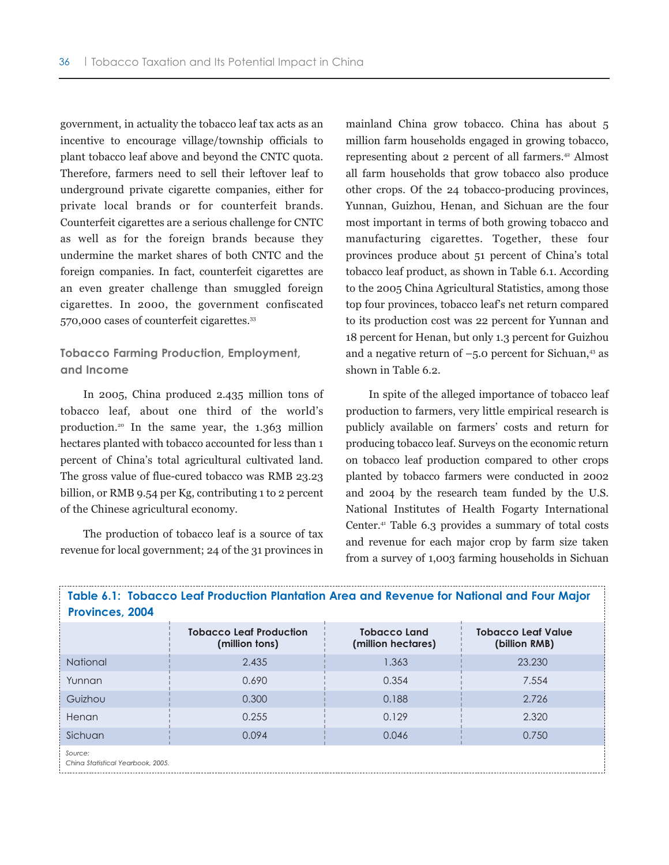government, in actuality the tobacco leaf tax acts as an incentive to encourage village/township officials to plant tobacco leaf above and beyond the CNTC quota. Therefore, farmers need to sell their leftover leaf to underground private cigarette companies, either for private local brands or for counterfeit brands. Counterfeit cigarettes are a serious challenge for CNTC as well as for the foreign brands because they undermine the market shares of both CNTC and the foreign companies. In fact, counterfeit cigarettes are an even greater challenge than smuggled foreign cigarettes. In 2000, the government confiscated 570,000 cases of counterfeit cigarettes.<sup>33</sup>

# **Tobacco Farming Production, Employment, and Income**

In 2005, China produced 2.435 million tons of tobacco leaf, about one third of the world's production.20 In the same year, the 1.363 million hectares planted with tobacco accounted for less than 1 percent of China's total agricultural cultivated land. The gross value of flue-cured tobacco was RMB 23.23 billion, or RMB 9.54 per Kg, contributing 1 to 2 percent of the Chinese agricultural economy.

The production of tobacco leaf is a source of tax revenue for local government; 24 of the 31 provinces in mainland China grow tobacco. China has about 5 million farm households engaged in growing tobacco, representing about 2 percent of all farmers.42 Almost all farm households that grow tobacco also produce other crops. Of the 24 tobacco-producing provinces, Yunnan, Guizhou, Henan, and Sichuan are the four most important in terms of both growing tobacco and manufacturing cigarettes. Together, these four provinces produce about 51 percent of China's total tobacco leaf product, as shown in Table 6.1. According to the 2005 China Agricultural Statistics, among those top four provinces, tobacco leaf's net return compared to its production cost was 22 percent for Yunnan and 18 percent for Henan, but only 1.3 percent for Guizhou and a negative return of  $-5.0$  percent for Sichuan,<sup>43</sup> as shown in Table 6.2.

In spite of the alleged importance of tobacco leaf production to farmers, very little empirical research is publicly available on farmers' costs and return for producing tobacco leaf. Surveys on the economic return on tobacco leaf production compared to other crops planted by tobacco farmers were conducted in 2002 and 2004 by the research team funded by the U.S. National Institutes of Health Fogarty International Center.41 Table 6.3 provides a summary of total costs and revenue for each major crop by farm size taken from a survey of 1,003 farming households in Sichuan

| Table 6.1: Tobacco Leaf Production Plantation Area and Revenue for National and Four Major<br>Provinces, 2004 |                                                  |                                           |                                            |  |  |  |  |
|---------------------------------------------------------------------------------------------------------------|--------------------------------------------------|-------------------------------------------|--------------------------------------------|--|--|--|--|
|                                                                                                               | <b>Tobacco Leaf Production</b><br>(million tons) | <b>Tobacco Land</b><br>(million hectares) | <b>Tobacco Leaf Value</b><br>(billion RMB) |  |  |  |  |
| National                                                                                                      | 2.435                                            | 1.363                                     | 23.230                                     |  |  |  |  |
| Yunnan                                                                                                        | 0.690                                            | 0.354                                     | 7.554                                      |  |  |  |  |
| Guizhou                                                                                                       | 0.300                                            | 0.188                                     | 2.726                                      |  |  |  |  |
| Henan                                                                                                         | 0.255                                            | 0.129                                     | 2.320                                      |  |  |  |  |
| Sichuan                                                                                                       | 0.094                                            | 0.046                                     | 0.750                                      |  |  |  |  |
| Source:<br>China Statistical Yearbook, 2005.                                                                  |                                                  |                                           |                                            |  |  |  |  |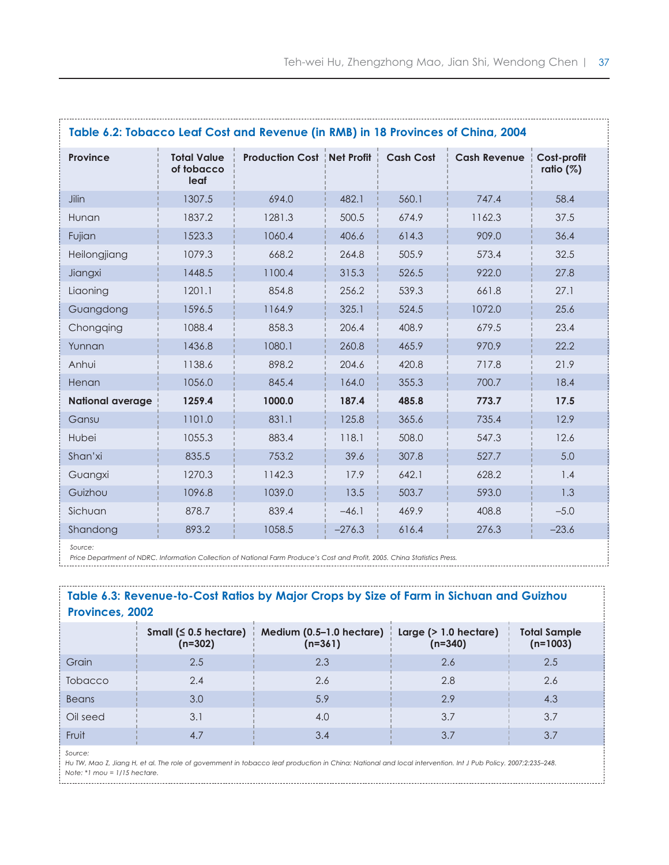| Table 6.2: Tobacco Leaf Cost and Revenue (in RMB) in 18 Provinces of China, 2004 |                                          |                                       |          |                  |                     |                            |  |  |
|----------------------------------------------------------------------------------|------------------------------------------|---------------------------------------|----------|------------------|---------------------|----------------------------|--|--|
| Province                                                                         | <b>Total Value</b><br>of tobacco<br>leaf | <b>Production Cost   Net Profit  </b> |          | <b>Cash Cost</b> | <b>Cash Revenue</b> | Cost-profit<br>ratio $(%)$ |  |  |
| Jilin                                                                            | 1307.5                                   | 694.0                                 | 482.1    | 560.1            | 747.4               | 58.4                       |  |  |
| Hunan                                                                            | 1837.2                                   | 1281.3                                | 500.5    | 674.9            | 1162.3              | 37.5                       |  |  |
| Fujian                                                                           | 1523.3                                   | 1060.4                                | 406.6    | 614.3            | 909.0               | 36.4                       |  |  |
| Heilongjiang                                                                     | 1079.3                                   | 668.2                                 | 264.8    | 505.9            | 573.4               | 32.5                       |  |  |
| Jiangxi                                                                          | 1448.5                                   | 1100.4                                | 315.3    | 526.5            | 922.0               | 27.8                       |  |  |
| Liaoning                                                                         | 1201.1                                   | 854.8                                 | 256.2    | 539.3            | 661.8               | 27.1                       |  |  |
| Guangdong                                                                        | 1596.5                                   | 1164.9                                | 325.1    | 524.5            | 1072.0              | 25.6                       |  |  |
| Chongqing                                                                        | 1088.4                                   | 858.3                                 | 206.4    | 408.9            | 679.5               | 23.4                       |  |  |
| Yunnan                                                                           | 1436.8                                   | 1080.1                                | 260.8    | 465.9            | 970.9               | 22.2                       |  |  |
| Anhui                                                                            | 1138.6                                   | 898.2                                 | 204.6    | 420.8            | 717.8               | 21.9                       |  |  |
| Henan                                                                            | 1056.0                                   | 845.4                                 | 164.0    | 355.3            | 700.7               | 18.4                       |  |  |
| <b>National average</b>                                                          | 1259.4                                   | 1000.0                                | 187.4    | 485.8            | 773.7               | 17.5                       |  |  |
| Gansu                                                                            | 1101.0                                   | 831.1                                 | 125.8    | 365.6            | 735.4               | 12.9                       |  |  |
| Hubei                                                                            | 1055.3                                   | 883.4                                 | 118.1    | 508.0            | 547.3               | 12.6                       |  |  |
| Shan'xi                                                                          | 835.5                                    | 753.2                                 | 39.6     | 307.8            | 527.7               | 5.0                        |  |  |
| Guangxi                                                                          | 1270.3                                   | 1142.3                                | 17.9     | 642.1            | 628.2               | 1.4                        |  |  |
| Guizhou                                                                          | 1096.8                                   | 1039.0                                | 13.5     | 503.7            | 593.0               | 1.3                        |  |  |
| Sichuan                                                                          | 878.7                                    | 839.4                                 | $-46.1$  | 469.9            | 408.8               | $-5.0$                     |  |  |
| Shandong                                                                         | 893.2                                    | 1058.5                                | $-276.3$ | 616.4            | 276.3               | $-23.6$                    |  |  |

*Source:* 

*Price Department of NDRC. Information Collection of National Farm Produce's Cost and Profit, 2005. China Statistics Press.*

#### **Table 6.3: Revenue-to-Cost Ratios by Major Crops by Size of Farm in Sichuan and Guizhou Provinces, 2002**

|                | Small ( $\leq 0.5$ hectare)<br>$(n=302)$ | Medium (0.5–1.0 hectare)<br>$(n=361)$ | Large $($ $>$ 1.0 hectare)<br>$(n=340)$ | <b>Total Sample</b><br>$(n=1003)$ |
|----------------|------------------------------------------|---------------------------------------|-----------------------------------------|-----------------------------------|
| Grain          | 2.5                                      | 2.3                                   | 2.6                                     | 2.5                               |
| <b>Tobacco</b> | 2.4                                      | 2.6                                   | 2.8                                     | 2.6                               |
| <b>Beans</b>   | 3.0                                      | 5.9                                   | 2.9                                     | 4.3                               |
| Oil seed       | 3.1                                      | 4.0                                   | 3.7                                     | 3.7                               |
| Fruit          | 4.7                                      | 3.4                                   | 3.7                                     | 3.7                               |
|                |                                          |                                       |                                         |                                   |

*Source:* 

*Hu TW, Mao Z, Jiang H, et al. The role of government in tobacco leaf production in China: National and local intervention. Int J Pub Policy. 2007;2:235–248. Note: \*1 mou = 1/15 hectare.*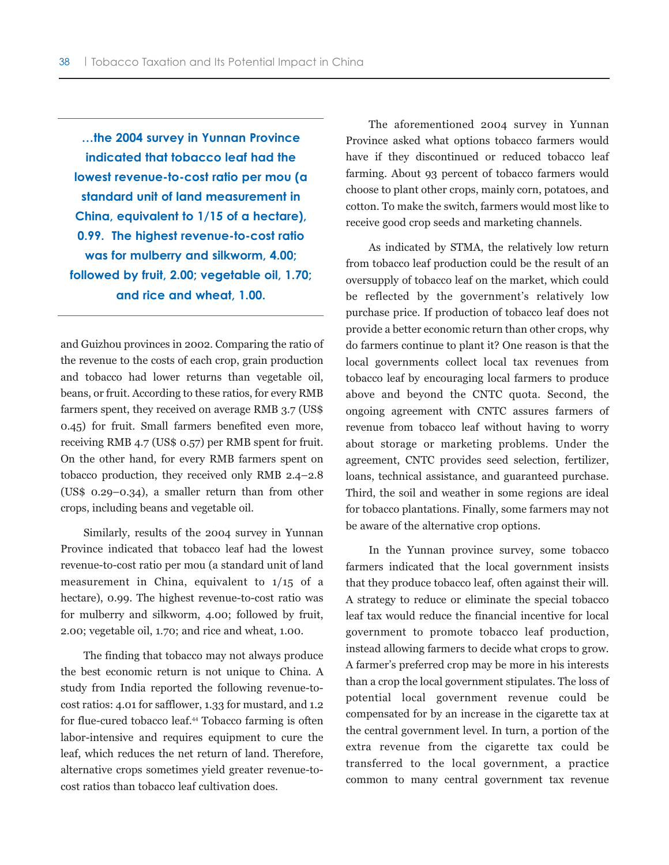**…the 2004 survey in Yunnan Province indicated that tobacco leaf had the lowest revenue-to-cost ratio per mou (a standard unit of land measurement in China, equivalent to 1/15 of a hectare), 0.99. The highest revenue-to-cost ratio was for mulberry and silkworm, 4.00; followed by fruit, 2.00; vegetable oil, 1.70; and rice and wheat, 1.00.**

and Guizhou provinces in 2002. Comparing the ratio of the revenue to the costs of each crop, grain production and tobacco had lower returns than vegetable oil, beans, or fruit. According to these ratios, for every RMB farmers spent, they received on average RMB 3.7 (US\$ 0.45) for fruit. Small farmers benefited even more, receiving RMB 4.7 (US\$ 0.57) per RMB spent for fruit. On the other hand, for every RMB farmers spent on tobacco production, they received only RMB 2.4–2.8 (US\$ 0.29–0.34), a smaller return than from other crops, including beans and vegetable oil.

Similarly, results of the 2004 survey in Yunnan Province indicated that tobacco leaf had the lowest revenue-to-cost ratio per mou (a standard unit of land measurement in China, equivalent to 1/15 of a hectare), 0.99. The highest revenue-to-cost ratio was for mulberry and silkworm, 4.00; followed by fruit, 2.00; vegetable oil, 1.70; and rice and wheat, 1.00.

The finding that tobacco may not always produce the best economic return is not unique to China. A study from India reported the following revenue-tocost ratios: 4.01 for safflower, 1.33 for mustard, and 1.2 for flue-cured tobacco leaf.<sup>44</sup> Tobacco farming is often labor-intensive and requires equipment to cure the leaf, which reduces the net return of land. Therefore, alternative crops sometimes yield greater revenue-tocost ratios than tobacco leaf cultivation does.

The aforementioned 2004 survey in Yunnan Province asked what options tobacco farmers would have if they discontinued or reduced tobacco leaf farming. About 93 percent of tobacco farmers would choose to plant other crops, mainly corn, potatoes, and cotton. To make the switch, farmers would most like to receive good crop seeds and marketing channels.

As indicated by STMA, the relatively low return from tobacco leaf production could be the result of an oversupply of tobacco leaf on the market, which could be reflected by the government's relatively low purchase price. If production of tobacco leaf does not provide a better economic return than other crops, why do farmers continue to plant it? One reason is that the local governments collect local tax revenues from tobacco leaf by encouraging local farmers to produce above and beyond the CNTC quota. Second, the ongoing agreement with CNTC assures farmers of revenue from tobacco leaf without having to worry about storage or marketing problems. Under the agreement, CNTC provides seed selection, fertilizer, loans, technical assistance, and guaranteed purchase. Third, the soil and weather in some regions are ideal for tobacco plantations. Finally, some farmers may not be aware of the alternative crop options.

In the Yunnan province survey, some tobacco farmers indicated that the local government insists that they produce tobacco leaf, often against their will. A strategy to reduce or eliminate the special tobacco leaf tax would reduce the financial incentive for local government to promote tobacco leaf production, instead allowing farmers to decide what crops to grow. A farmer's preferred crop may be more in his interests than a crop the local government stipulates. The loss of potential local government revenue could be compensated for by an increase in the cigarette tax at the central government level. In turn, a portion of the extra revenue from the cigarette tax could be transferred to the local government, a practice common to many central government tax revenue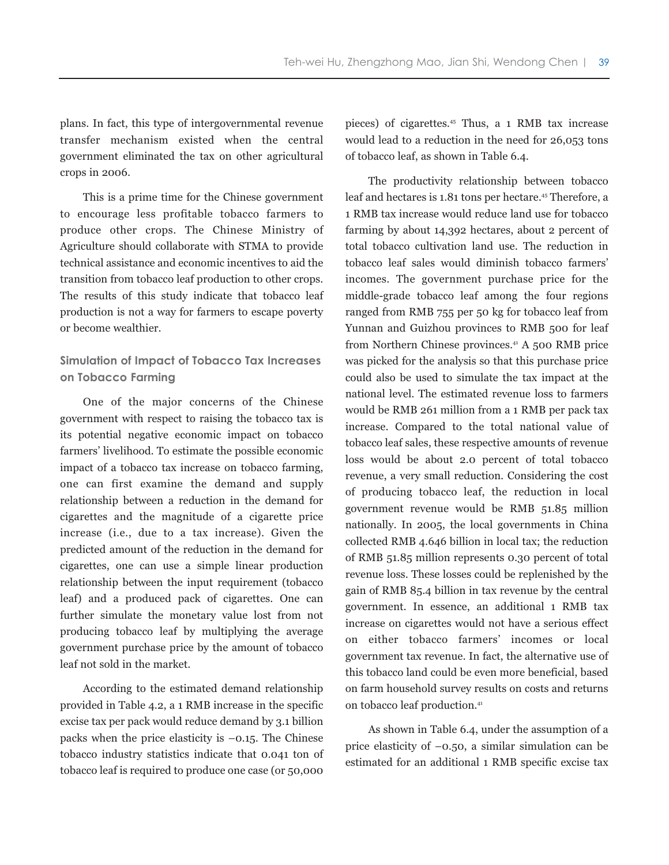plans. In fact, this type of intergovernmental revenue transfer mechanism existed when the central government eliminated the tax on other agricultural crops in 2006.

This is a prime time for the Chinese government to encourage less profitable tobacco farmers to produce other crops. The Chinese Ministry of Agriculture should collaborate with STMA to provide technical assistance and economic incentives to aid the transition from tobacco leaf production to other crops. The results of this study indicate that tobacco leaf production is not a way for farmers to escape poverty or become wealthier.

### **Simulation of Impact of Tobacco Tax Increases on Tobacco Farming**

One of the major concerns of the Chinese government with respect to raising the tobacco tax is its potential negative economic impact on tobacco farmers' livelihood. To estimate the possible economic impact of a tobacco tax increase on tobacco farming, one can first examine the demand and supply relationship between a reduction in the demand for cigarettes and the magnitude of a cigarette price increase (i.e., due to a tax increase). Given the predicted amount of the reduction in the demand for cigarettes, one can use a simple linear production relationship between the input requirement (tobacco leaf) and a produced pack of cigarettes. One can further simulate the monetary value lost from not producing tobacco leaf by multiplying the average government purchase price by the amount of tobacco leaf not sold in the market.

According to the estimated demand relationship provided in Table 4.2, a 1 RMB increase in the specific excise tax per pack would reduce demand by 3.1 billion packs when the price elasticity is  $-0.15$ . The Chinese tobacco industry statistics indicate that 0.041 ton of tobacco leaf is required to produce one case (or 50,000 pieces) of cigarettes.45 Thus, a 1 RMB tax increase would lead to a reduction in the need for 26,053 tons of tobacco leaf, as shown in Table 6.4.

The productivity relationship between tobacco leaf and hectares is 1.81 tons per hectare.45 Therefore, a 1 RMB tax increase would reduce land use for tobacco farming by about 14,392 hectares, about 2 percent of total tobacco cultivation land use. The reduction in tobacco leaf sales would diminish tobacco farmers' incomes. The government purchase price for the middle-grade tobacco leaf among the four regions ranged from RMB 755 per 50 kg for tobacco leaf from Yunnan and Guizhou provinces to RMB 500 for leaf from Northern Chinese provinces. $44 \text{ A}$  500 RMB price was picked for the analysis so that this purchase price could also be used to simulate the tax impact at the national level. The estimated revenue loss to farmers would be RMB 261 million from a 1 RMB per pack tax increase. Compared to the total national value of tobacco leaf sales, these respective amounts of revenue loss would be about 2.0 percent of total tobacco revenue, a very small reduction. Considering the cost of producing tobacco leaf, the reduction in local government revenue would be RMB 51.85 million nationally. In 2005, the local governments in China collected RMB 4.646 billion in local tax; the reduction of RMB 51.85 million represents 0.30 percent of total revenue loss. These losses could be replenished by the gain of RMB 85.4 billion in tax revenue by the central government. In essence, an additional 1 RMB tax increase on cigarettes would not have a serious effect on either tobacco farmers' incomes or local government tax revenue. In fact, the alternative use of this tobacco land could be even more beneficial, based on farm household survey results on costs and returns on tobacco leaf production.<sup>41</sup>

As shown in Table 6.4, under the assumption of a price elasticity of –0.50, a similar simulation can be estimated for an additional 1 RMB specific excise tax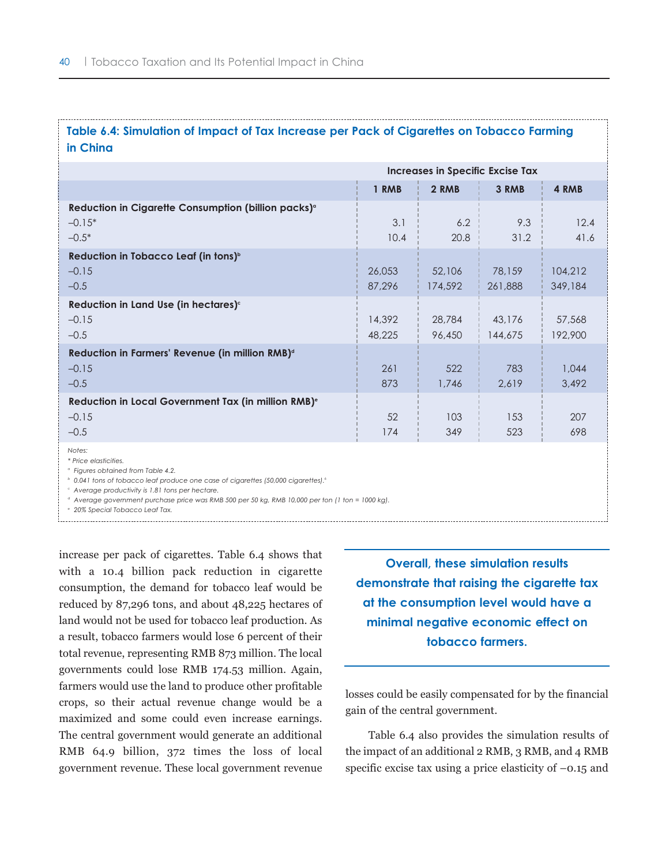# **Table 6.4: Simulation of Impact of Tax Increase per Pack of Cigarettes on Tobacco Farming in China**

|                                                                                        | Increases in Specific Excise Tax |                   |                   |                    |
|----------------------------------------------------------------------------------------|----------------------------------|-------------------|-------------------|--------------------|
|                                                                                        | 1 RMB                            | 2 RMB             | 3 RMB             | 4 RMB              |
| Reduction in Cigarette Consumption (billion packs) <sup>o</sup><br>$-0.15*$<br>$-0.5*$ | 3.1<br>10.4                      | 6.2<br>20.8       | 9.3<br>31.2       | 12.4<br>41.6       |
| Reduction in Tobacco Leaf (in tons) <sup>b</sup><br>$-0.15$<br>$-0.5$                  | 26,053<br>87,296                 | 52,106<br>174,592 | 78,159<br>261,888 | 104,212<br>349,184 |
| Reduction in Land Use (in hectares) <sup>c</sup><br>$-0.15$<br>$-0.5$                  | 14,392<br>48,225                 | 28,784<br>96,450  | 43,176<br>144,675 | 57,568<br>192,900  |
| Reduction in Farmers' Revenue (in million RMB) <sup>d</sup><br>$-0.15$<br>$-0.5$       | 261<br>873                       | 522<br>1,746      | 783<br>2,619      | 1,044<br>3,492     |
| Reduction in Local Government Tax (in million RMB) <sup>e</sup><br>$-0.15$<br>$-0.5$   | 52<br>174                        | 103<br>349        | 153<br>523        | 207<br>698         |
| Notes:<br>* Price elasticities.                                                        |                                  |                   |                   |                    |

*<sup>a</sup> Figures obtained from Table 4.2.*

*b* 0.041 tons of tobacco leaf produce one case of cigarettes (50,000 cigarettes).<sup>6</sup>

*<sup>c</sup> Average productivity is 1.81 tons per hectare.*

*<sup>d</sup> Average government purchase price was RMB 500 per 50 kg, RMB 10,000 per ton (1 ton = 1000 kg).*

*<sup>e</sup> 20% Special Tobacco Leaf Tax.*

increase per pack of cigarettes. Table 6.4 shows that with a 10.4 billion pack reduction in cigarette consumption, the demand for tobacco leaf would be reduced by 87,296 tons, and about 48,225 hectares of land would not be used for tobacco leaf production. As a result, tobacco farmers would lose 6 percent of their total revenue, representing RMB 873 million. The local governments could lose RMB 174.53 million. Again, farmers would use the land to produce other profitable crops, so their actual revenue change would be a maximized and some could even increase earnings. The central government would generate an additional RMB 64.9 billion, 372 times the loss of local government revenue. These local government revenue

**Overall, these simulation results demonstrate that raising the cigarette tax at the consumption level would have a minimal negative economic effect on tobacco farmers.**

losses could be easily compensated for by the financial gain of the central government.

Table 6.4 also provides the simulation results of the impact of an additional 2 RMB, 3 RMB, and 4 RMB specific excise tax using a price elasticity of  $-0.15$  and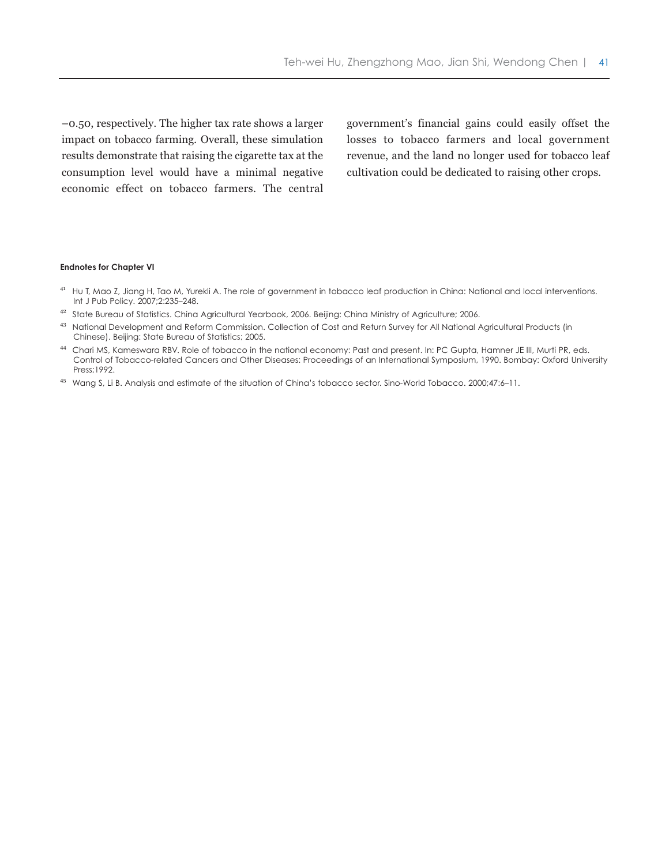–0.50, respectively. The higher tax rate shows a larger impact on tobacco farming. Overall, these simulation results demonstrate that raising the cigarette tax at the consumption level would have a minimal negative economic effect on tobacco farmers. The central

government's financial gains could easily offset the losses to tobacco farmers and local government revenue, and the land no longer used for tobacco leaf cultivation could be dedicated to raising other crops.

#### **Endnotes for Chapter VI**

- <sup>41</sup> Hu T, Mao Z, Jiang H, Tao M, Yurekli A. The role of government in tobacco leaf production in China: National and local interventions. Int J Pub Policy. 2007;2:235–248.
- 42 State Bureau of Statistics. China Agricultural Yearbook, 2006. Beijing: China Ministry of Agriculture; 2006.
- 43 National Development and Reform Commission. Collection of Cost and Return Survey for All National Agricultural Products (in Chinese). Beijing: State Bureau of Statistics; 2005.
- <sup>44</sup> Chari MS, Kameswara RBV. Role of tobacco in the national economy: Past and present. In: PC Gupta, Hamner JE III, Murti PR, eds. Control of Tobacco-related Cancers and Other Diseases: Proceedings of an International Symposium, 1990. Bombay: Oxford University Press;1992.
- <sup>45</sup> Wang S, Li B. Analysis and estimate of the situation of China's tobacco sector. Sino-World Tobacco. 2000;47:6–11.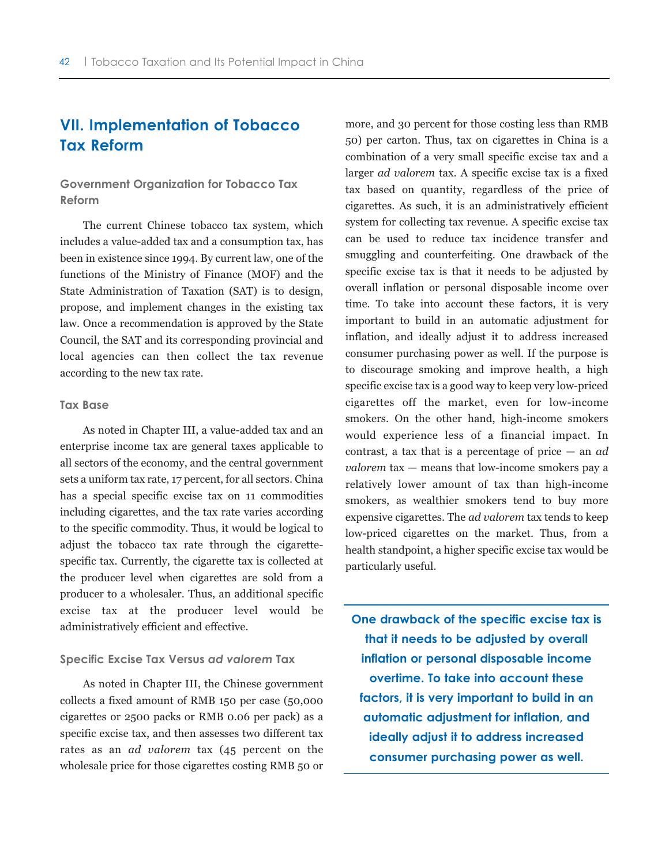# **VII. Implementation of Tobacco Tax Reform**

**Government Organization for Tobacco Tax Reform**

The current Chinese tobacco tax system, which includes a value-added tax and a consumption tax, has been in existence since 1994. By current law, one of the functions of the Ministry of Finance (MOF) and the State Administration of Taxation (SAT) is to design, propose, and implement changes in the existing tax law. Once a recommendation is approved by the State Council, the SAT and its corresponding provincial and local agencies can then collect the tax revenue according to the new tax rate.

#### **Tax Base**

As noted in Chapter III, a value-added tax and an enterprise income tax are general taxes applicable to all sectors of the economy, and the central government sets a uniform tax rate, 17 percent, for all sectors. China has a special specific excise tax on 11 commodities including cigarettes, and the tax rate varies according to the specific commodity. Thus, it would be logical to adjust the tobacco tax rate through the cigarettespecific tax. Currently, the cigarette tax is collected at the producer level when cigarettes are sold from a producer to a wholesaler. Thus, an additional specific excise tax at the producer level would be administratively efficient and effective.

#### **Specific Excise Tax Versus** *ad valorem* **Tax**

As noted in Chapter III, the Chinese government collects a fixed amount of RMB 150 per case (50,000 cigarettes or 2500 packs or RMB 0.06 per pack) as a specific excise tax, and then assesses two different tax rates as an *ad valorem* tax (45 percent on the wholesale price for those cigarettes costing RMB 50 or more, and 30 percent for those costing less than RMB 50) per carton. Thus, tax on cigarettes in China is a combination of a very small specific excise tax and a larger *ad valorem* tax. A specific excise tax is a fixed tax based on quantity, regardless of the price of cigarettes. As such, it is an administratively efficient system for collecting tax revenue. A specific excise tax can be used to reduce tax incidence transfer and smuggling and counterfeiting. One drawback of the specific excise tax is that it needs to be adjusted by overall inflation or personal disposable income over time. To take into account these factors, it is very important to build in an automatic adjustment for inflation, and ideally adjust it to address increased consumer purchasing power as well. If the purpose is to discourage smoking and improve health, a high specific excise tax is a good way to keep very low-priced cigarettes off the market, even for low-income smokers. On the other hand, high-income smokers would experience less of a financial impact. In contrast, a tax that is a percentage of price — an *ad valorem* tax — means that low-income smokers pay a relatively lower amount of tax than high-income smokers, as wealthier smokers tend to buy more expensive cigarettes. The *ad valorem* tax tends to keep low-priced cigarettes on the market. Thus, from a health standpoint, a higher specific excise tax would be particularly useful.

**One drawback of the specific excise tax is that it needs to be adjusted by overall inflation or personal disposable income overtime. To take into account these factors, it is very important to build in an automatic adjustment for inflation, and ideally adjust it to address increased consumer purchasing power as well.**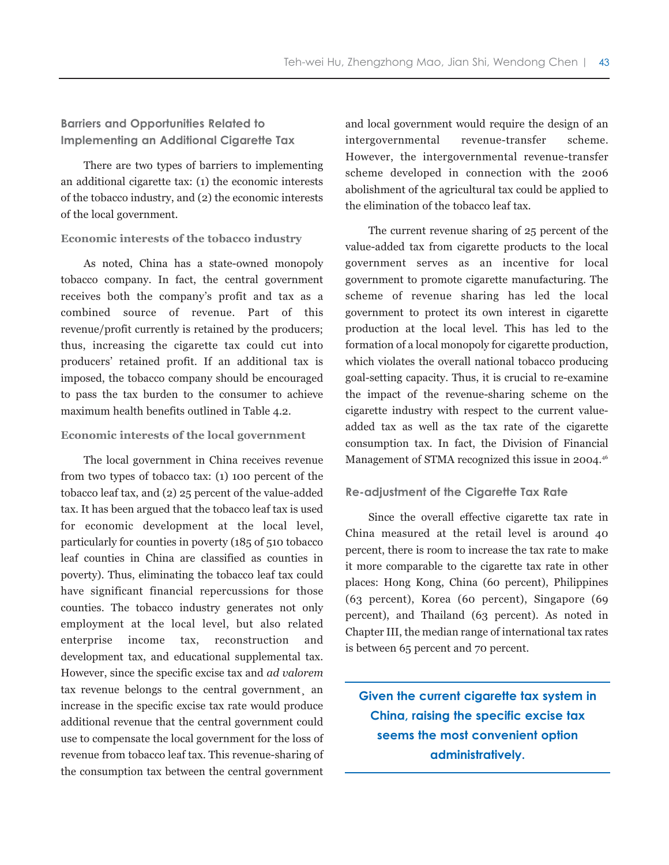## **Barriers and Opportunities Related to Implementing an Additional Cigarette Tax**

There are two types of barriers to implementing an additional cigarette tax: (1) the economic interests of the tobacco industry, and (2) the economic interests of the local government.

#### **Economic interests of the tobacco industry**

As noted, China has a state-owned monopoly tobacco company. In fact, the central government receives both the company's profit and tax as a combined source of revenue. Part of this revenue/profit currently is retained by the producers; thus, increasing the cigarette tax could cut into producers' retained profit. If an additional tax is imposed, the tobacco company should be encouraged to pass the tax burden to the consumer to achieve maximum health benefits outlined in Table 4.2.

#### **Economic interests of the local government**

The local government in China receives revenue from two types of tobacco tax: (1) 100 percent of the tobacco leaf tax, and (2) 25 percent of the value-added tax. It has been argued that the tobacco leaf tax is used for economic development at the local level, particularly for counties in poverty (185 of 510 tobacco leaf counties in China are classified as counties in poverty). Thus, eliminating the tobacco leaf tax could have significant financial repercussions for those counties. The tobacco industry generates not only employment at the local level, but also related enterprise income tax, reconstruction and development tax, and educational supplemental tax. However, since the specific excise tax and *ad valorem* tax revenue belongs to the central government¸ an increase in the specific excise tax rate would produce additional revenue that the central government could use to compensate the local government for the loss of revenue from tobacco leaf tax. This revenue-sharing of the consumption tax between the central government and local government would require the design of an intergovernmental revenue-transfer scheme. However, the intergovernmental revenue-transfer scheme developed in connection with the 2006 abolishment of the agricultural tax could be applied to the elimination of the tobacco leaf tax.

The current revenue sharing of 25 percent of the value-added tax from cigarette products to the local government serves as an incentive for local government to promote cigarette manufacturing. The scheme of revenue sharing has led the local government to protect its own interest in cigarette production at the local level. This has led to the formation of a local monopoly for cigarette production, which violates the overall national tobacco producing goal-setting capacity. Thus, it is crucial to re-examine the impact of the revenue-sharing scheme on the cigarette industry with respect to the current valueadded tax as well as the tax rate of the cigarette consumption tax. In fact, the Division of Financial Management of STMA recognized this issue in 2004.<sup>46</sup>

#### **Re-adjustment of the Cigarette Tax Rate**

Since the overall effective cigarette tax rate in China measured at the retail level is around 40 percent, there is room to increase the tax rate to make it more comparable to the cigarette tax rate in other places: Hong Kong, China (60 percent), Philippines (63 percent), Korea (60 percent), Singapore (69 percent), and Thailand (63 percent). As noted in Chapter III, the median range of international tax rates is between 65 percent and 70 percent.

**Given the current cigarette tax system in China, raising the specific excise tax seems the most convenient option administratively.**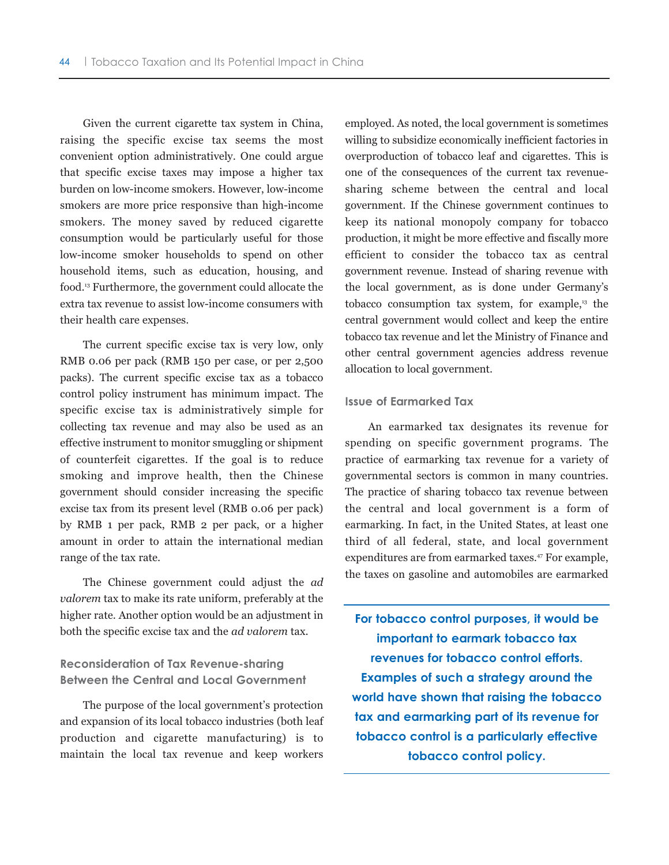Given the current cigarette tax system in China, raising the specific excise tax seems the most convenient option administratively. One could argue that specific excise taxes may impose a higher tax burden on low-income smokers. However, low-income smokers are more price responsive than high-income smokers. The money saved by reduced cigarette consumption would be particularly useful for those low-income smoker households to spend on other household items, such as education, housing, and food.13 Furthermore, the government could allocate the extra tax revenue to assist low-income consumers with their health care expenses.

The current specific excise tax is very low, only RMB 0.06 per pack (RMB 150 per case, or per 2,500 packs). The current specific excise tax as a tobacco control policy instrument has minimum impact. The specific excise tax is administratively simple for collecting tax revenue and may also be used as an effective instrument to monitor smuggling or shipment of counterfeit cigarettes. If the goal is to reduce smoking and improve health, then the Chinese government should consider increasing the specific excise tax from its present level (RMB 0.06 per pack) by RMB 1 per pack, RMB 2 per pack, or a higher amount in order to attain the international median range of the tax rate.

The Chinese government could adjust the *ad valorem* tax to make its rate uniform, preferably at the higher rate. Another option would be an adjustment in both the specific excise tax and the *ad valorem* tax.

## **Reconsideration of Tax Revenue-sharing Between the Central and Local Government**

The purpose of the local government's protection and expansion of its local tobacco industries (both leaf production and cigarette manufacturing) is to maintain the local tax revenue and keep workers employed. As noted, the local government is sometimes willing to subsidize economically inefficient factories in overproduction of tobacco leaf and cigarettes. This is one of the consequences of the current tax revenuesharing scheme between the central and local government. If the Chinese government continues to keep its national monopoly company for tobacco production, it might be more effective and fiscally more efficient to consider the tobacco tax as central government revenue. Instead of sharing revenue with the local government, as is done under Germany's tobacco consumption tax system, for example, $13$  the central government would collect and keep the entire tobacco tax revenue and let the Ministry of Finance and other central government agencies address revenue allocation to local government.

#### **Issue of Earmarked Tax**

An earmarked tax designates its revenue for spending on specific government programs. The practice of earmarking tax revenue for a variety of governmental sectors is common in many countries. The practice of sharing tobacco tax revenue between the central and local government is a form of earmarking. In fact, in the United States, at least one third of all federal, state, and local government expenditures are from earmarked taxes.<sup>47</sup> For example, the taxes on gasoline and automobiles are earmarked

**For tobacco control purposes, it would be important to earmark tobacco tax revenues for tobacco control efforts. Examples of such a strategy around the world have shown that raising the tobacco tax and earmarking part of its revenue for tobacco control is a particularly effective tobacco control policy.**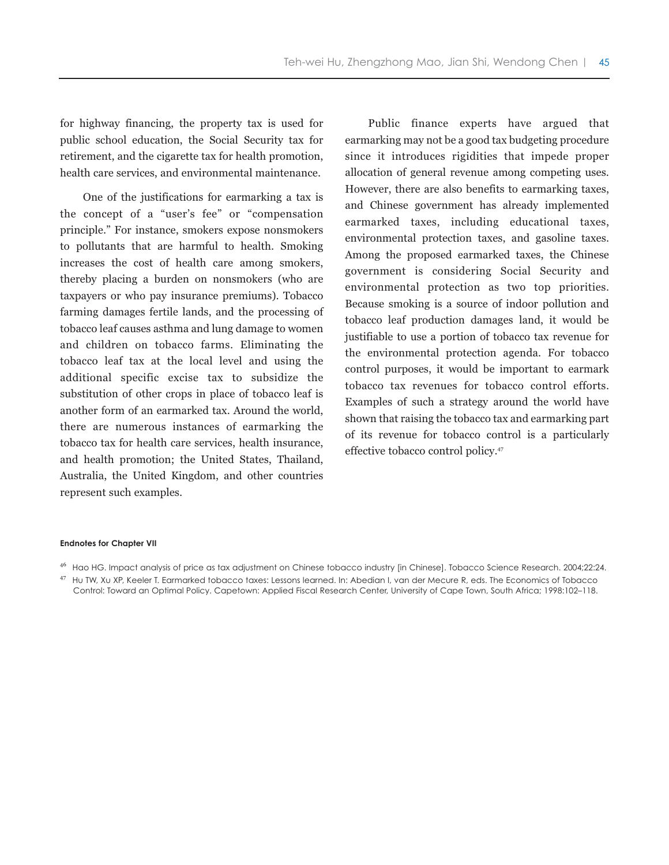for highway financing, the property tax is used for public school education, the Social Security tax for retirement, and the cigarette tax for health promotion, health care services, and environmental maintenance.

One of the justifications for earmarking a tax is the concept of a "user's fee" or "compensation principle." For instance, smokers expose nonsmokers to pollutants that are harmful to health. Smoking increases the cost of health care among smokers, thereby placing a burden on nonsmokers (who are taxpayers or who pay insurance premiums). Tobacco farming damages fertile lands, and the processing of tobacco leaf causes asthma and lung damage to women and children on tobacco farms. Eliminating the tobacco leaf tax at the local level and using the additional specific excise tax to subsidize the substitution of other crops in place of tobacco leaf is another form of an earmarked tax. Around the world, there are numerous instances of earmarking the tobacco tax for health care services, health insurance, and health promotion; the United States, Thailand, Australia, the United Kingdom, and other countries represent such examples.

Public finance experts have argued that earmarking may not be a good tax budgeting procedure since it introduces rigidities that impede proper allocation of general revenue among competing uses. However, there are also benefits to earmarking taxes, and Chinese government has already implemented earmarked taxes, including educational taxes, environmental protection taxes, and gasoline taxes. Among the proposed earmarked taxes, the Chinese government is considering Social Security and environmental protection as two top priorities. Because smoking is a source of indoor pollution and tobacco leaf production damages land, it would be justifiable to use a portion of tobacco tax revenue for the environmental protection agenda. For tobacco control purposes, it would be important to earmark tobacco tax revenues for tobacco control efforts. Examples of such a strategy around the world have shown that raising the tobacco tax and earmarking part of its revenue for tobacco control is a particularly effective tobacco control policy.47

#### **Endnotes for Chapter VII**

<sup>46</sup> Hao HG. Impact analysis of price as tax adjustment on Chinese tobacco industry [in Chinese]. Tobacco Science Research. 2004;22:24.

<sup>47</sup> Hu TW, Xu XP, Keeler T. Earmarked tobacco taxes: Lessons learned. In: Abedian I, van der Mecure R, eds. The Economics of Tobacco Control: Toward an Optimal Policy. Capetown: Applied Fiscal Research Center, University of Cape Town, South Africa; 1998:102–118.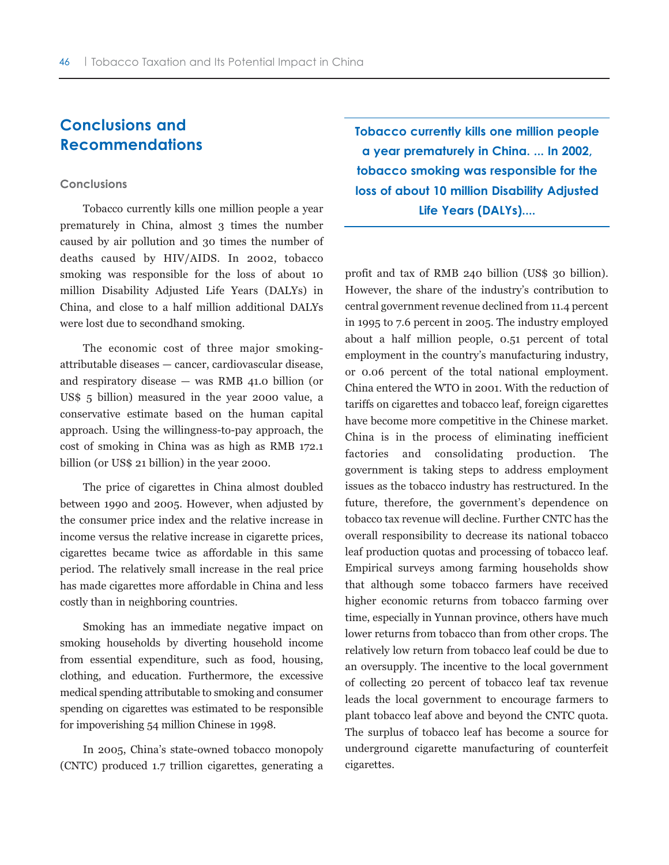# **Conclusions and Recommendations**

#### **Conclusions**

Tobacco currently kills one million people a year prematurely in China, almost 3 times the number caused by air pollution and 30 times the number of deaths caused by HIV/AIDS. In 2002, tobacco smoking was responsible for the loss of about 10 million Disability Adjusted Life Years (DALYs) in China, and close to a half million additional DALYs were lost due to secondhand smoking.

The economic cost of three major smokingattributable diseases — cancer, cardiovascular disease, and respiratory disease — was RMB 41.0 billion (or US\$ 5 billion) measured in the year 2000 value, a conservative estimate based on the human capital approach. Using the willingness-to-pay approach, the cost of smoking in China was as high as RMB 172.1 billion (or US\$ 21 billion) in the year 2000.

The price of cigarettes in China almost doubled between 1990 and 2005. However, when adjusted by the consumer price index and the relative increase in income versus the relative increase in cigarette prices, cigarettes became twice as affordable in this same period. The relatively small increase in the real price has made cigarettes more affordable in China and less costly than in neighboring countries.

Smoking has an immediate negative impact on smoking households by diverting household income from essential expenditure, such as food, housing, clothing, and education. Furthermore, the excessive medical spending attributable to smoking and consumer spending on cigarettes was estimated to be responsible for impoverishing 54 million Chinese in 1998.

In 2005, China's state-owned tobacco monopoly (CNTC) produced 1.7 trillion cigarettes, generating a **Tobacco currently kills one million people a year prematurely in China. ... In 2002, tobacco smoking was responsible for the loss of about 10 million Disability Adjusted Life Years (DALYs)....**

profit and tax of RMB 240 billion (US\$ 30 billion). However, the share of the industry's contribution to central government revenue declined from 11.4 percent in 1995 to 7.6 percent in 2005. The industry employed about a half million people, 0.51 percent of total employment in the country's manufacturing industry, or 0.06 percent of the total national employment. China entered the WTO in 2001. With the reduction of tariffs on cigarettes and tobacco leaf, foreign cigarettes have become more competitive in the Chinese market. China is in the process of eliminating inefficient factories and consolidating production. The government is taking steps to address employment issues as the tobacco industry has restructured. In the future, therefore, the government's dependence on tobacco tax revenue will decline. Further CNTC has the overall responsibility to decrease its national tobacco leaf production quotas and processing of tobacco leaf. Empirical surveys among farming households show that although some tobacco farmers have received higher economic returns from tobacco farming over time, especially in Yunnan province, others have much lower returns from tobacco than from other crops. The relatively low return from tobacco leaf could be due to an oversupply. The incentive to the local government of collecting 20 percent of tobacco leaf tax revenue leads the local government to encourage farmers to plant tobacco leaf above and beyond the CNTC quota. The surplus of tobacco leaf has become a source for underground cigarette manufacturing of counterfeit cigarettes.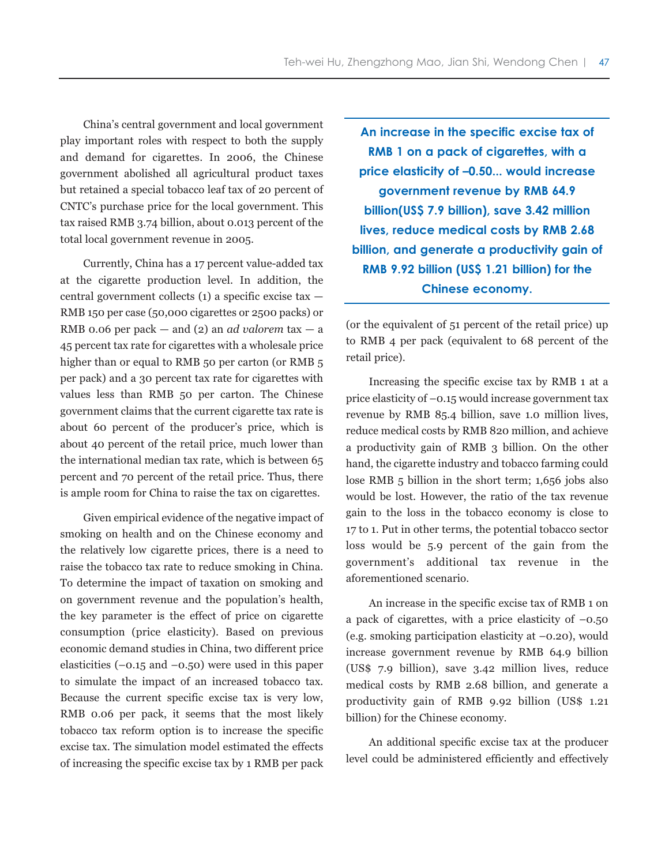China's central government and local government play important roles with respect to both the supply and demand for cigarettes. In 2006, the Chinese government abolished all agricultural product taxes but retained a special tobacco leaf tax of 20 percent of CNTC's purchase price for the local government. This tax raised RMB 3.74 billion, about 0.013 percent of the total local government revenue in 2005.

Currently, China has a 17 percent value-added tax at the cigarette production level. In addition, the central government collects (1) a specific excise tax — RMB 150 per case (50,000 cigarettes or 2500 packs) or RMB 0.06 per pack — and (2) an *ad valorem* tax — a 45 percent tax rate for cigarettes with a wholesale price higher than or equal to RMB 50 per carton (or RMB 5 per pack) and a 30 percent tax rate for cigarettes with values less than RMB 50 per carton. The Chinese government claims that the current cigarette tax rate is about 60 percent of the producer's price, which is about 40 percent of the retail price, much lower than the international median tax rate, which is between 65 percent and 70 percent of the retail price. Thus, there is ample room for China to raise the tax on cigarettes.

Given empirical evidence of the negative impact of smoking on health and on the Chinese economy and the relatively low cigarette prices, there is a need to raise the tobacco tax rate to reduce smoking in China. To determine the impact of taxation on smoking and on government revenue and the population's health, the key parameter is the effect of price on cigarette consumption (price elasticity). Based on previous economic demand studies in China, two different price elasticities  $(-0.15 \text{ and } -0.50)$  were used in this paper to simulate the impact of an increased tobacco tax. Because the current specific excise tax is very low, RMB 0.06 per pack, it seems that the most likely tobacco tax reform option is to increase the specific excise tax. The simulation model estimated the effects of increasing the specific excise tax by 1 RMB per pack

**An increase in the specific excise tax of RMB 1 on a pack of cigarettes, with a price elasticity of –0.50... would increase government revenue by RMB 64.9 billion(US\$ 7.9 billion), save 3.42 million lives, reduce medical costs by RMB 2.68 billion, and generate a productivity gain of RMB 9.92 billion (US\$ 1.21 billion) for the Chinese economy.**

(or the equivalent of 51 percent of the retail price) up to RMB 4 per pack (equivalent to 68 percent of the retail price).

Increasing the specific excise tax by RMB 1 at a price elasticity of –0.15 would increase government tax revenue by RMB 85.4 billion, save 1.0 million lives, reduce medical costs by RMB 820 million, and achieve a productivity gain of RMB 3 billion. On the other hand, the cigarette industry and tobacco farming could lose RMB 5 billion in the short term; 1,656 jobs also would be lost. However, the ratio of the tax revenue gain to the loss in the tobacco economy is close to 17 to 1. Put in other terms, the potential tobacco sector loss would be 5.9 percent of the gain from the government's additional tax revenue in the aforementioned scenario.

An increase in the specific excise tax of RMB 1 on a pack of cigarettes, with a price elasticity of  $-0.50$ (e.g. smoking participation elasticity at –0.20), would increase government revenue by RMB 64.9 billion (US\$ 7.9 billion), save 3.42 million lives, reduce medical costs by RMB 2.68 billion, and generate a productivity gain of RMB 9.92 billion (US\$ 1.21 billion) for the Chinese economy.

An additional specific excise tax at the producer level could be administered efficiently and effectively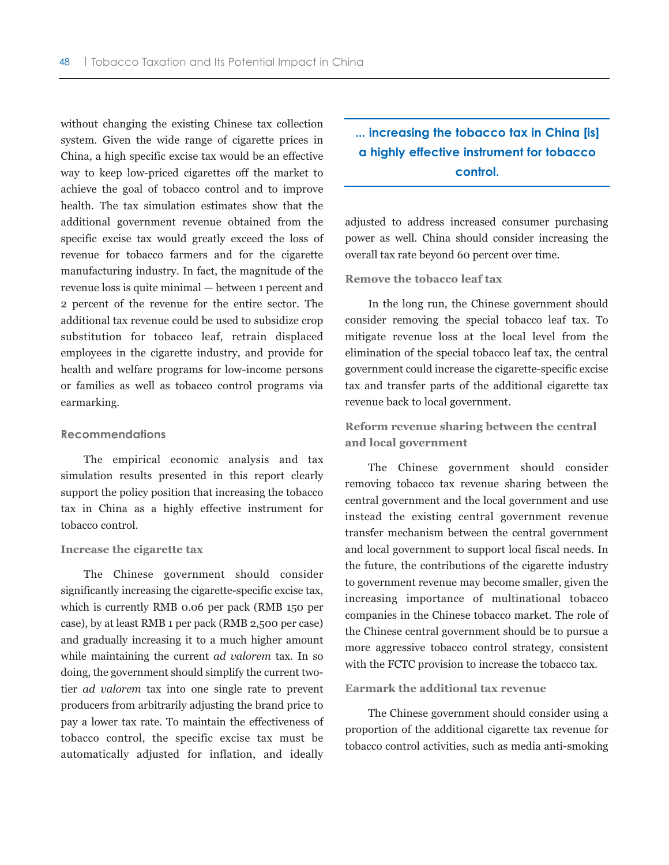without changing the existing Chinese tax collection system. Given the wide range of cigarette prices in China, a high specific excise tax would be an effective way to keep low-priced cigarettes off the market to achieve the goal of tobacco control and to improve health. The tax simulation estimates show that the additional government revenue obtained from the specific excise tax would greatly exceed the loss of revenue for tobacco farmers and for the cigarette manufacturing industry. In fact, the magnitude of the revenue loss is quite minimal — between 1 percent and 2 percent of the revenue for the entire sector. The additional tax revenue could be used to subsidize crop substitution for tobacco leaf, retrain displaced employees in the cigarette industry, and provide for health and welfare programs for low-income persons or families as well as tobacco control programs via earmarking.

#### **Recommendations**

The empirical economic analysis and tax simulation results presented in this report clearly support the policy position that increasing the tobacco tax in China as a highly effective instrument for tobacco control.

#### **Increase the cigarette tax**

The Chinese government should consider significantly increasing the cigarette-specific excise tax, which is currently RMB 0.06 per pack (RMB 150 per case), by at least RMB 1 per pack (RMB 2,500 per case) and gradually increasing it to a much higher amount while maintaining the current *ad valorem* tax. In so doing, the government should simplify the current twotier *ad valorem* tax into one single rate to prevent producers from arbitrarily adjusting the brand price to pay a lower tax rate. To maintain the effectiveness of tobacco control, the specific excise tax must be automatically adjusted for inflation, and ideally

**... increasing the tobacco tax in China [is] a highly effective instrument for tobacco control.**

adjusted to address increased consumer purchasing power as well. China should consider increasing the overall tax rate beyond 60 percent over time.

#### **Remove the tobacco leaf tax**

In the long run, the Chinese government should consider removing the special tobacco leaf tax. To mitigate revenue loss at the local level from the elimination of the special tobacco leaf tax, the central government could increase the cigarette-specific excise tax and transfer parts of the additional cigarette tax revenue back to local government.

**Reform revenue sharing between the central and local government**

The Chinese government should consider removing tobacco tax revenue sharing between the central government and the local government and use instead the existing central government revenue transfer mechanism between the central government and local government to support local fiscal needs. In the future, the contributions of the cigarette industry to government revenue may become smaller, given the increasing importance of multinational tobacco companies in the Chinese tobacco market. The role of the Chinese central government should be to pursue a more aggressive tobacco control strategy, consistent with the FCTC provision to increase the tobacco tax.

#### **Earmark the additional tax revenue**

The Chinese government should consider using a proportion of the additional cigarette tax revenue for tobacco control activities, such as media anti-smoking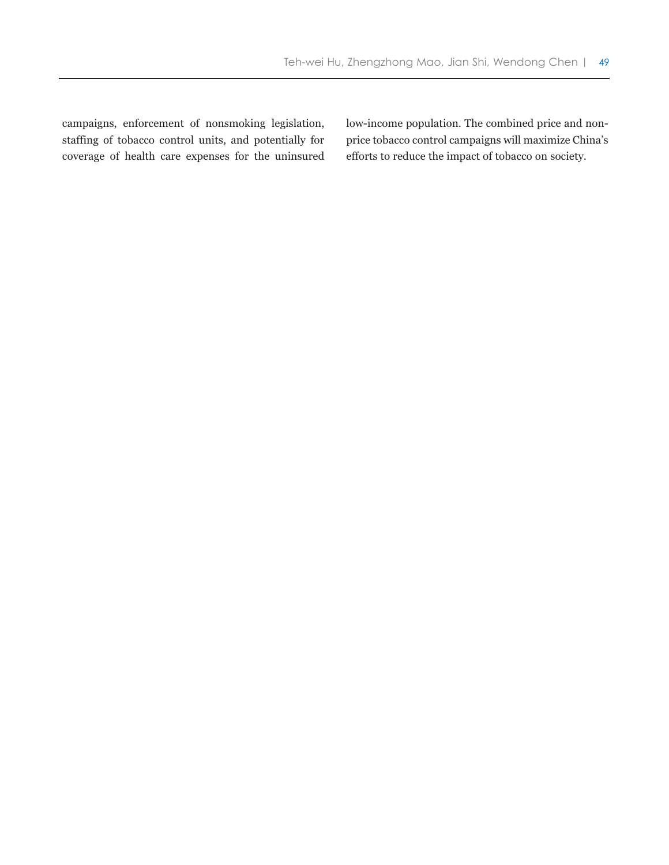campaigns, enforcement of nonsmoking legislation, staffing of tobacco control units, and potentially for coverage of health care expenses for the uninsured low-income population. The combined price and nonprice tobacco control campaigns will maximize China's efforts to reduce the impact of tobacco on society.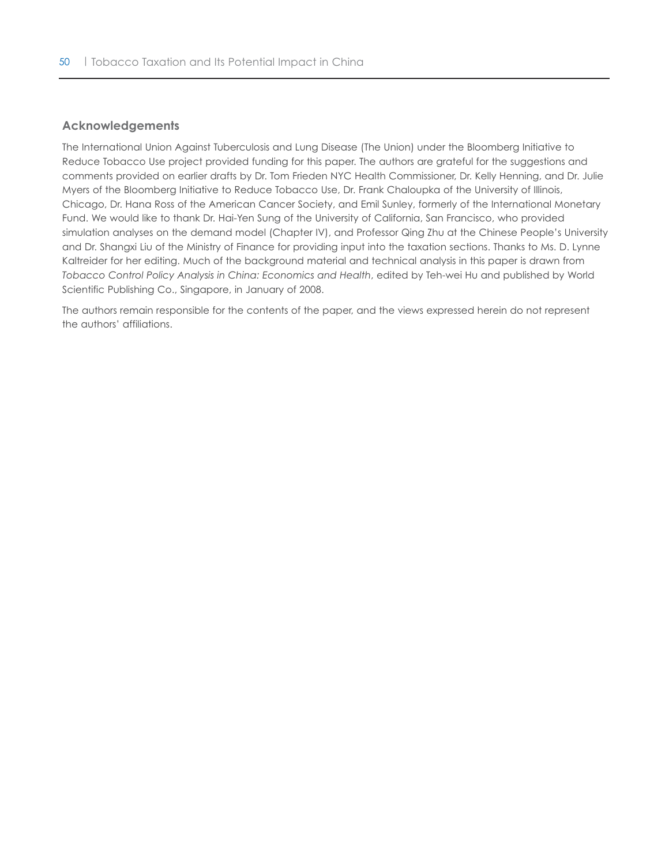### **Acknowledgements**

The International Union Against Tuberculosis and Lung Disease (The Union) under the Bloomberg Initiative to Reduce Tobacco Use project provided funding for this paper. The authors are grateful for the suggestions and comments provided on earlier drafts by Dr. Tom Frieden NYC Health Commissioner, Dr. Kelly Henning, and Dr. Julie Myers of the Bloomberg Initiative to Reduce Tobacco Use, Dr. Frank Chaloupka of the University of Illinois, Chicago, Dr. Hana Ross of the American Cancer Society, and Emil Sunley, formerly of the International Monetary Fund. We would like to thank Dr. Hai-Yen Sung of the University of California, San Francisco, who provided simulation analyses on the demand model (Chapter IV), and Professor Qing Zhu at the Chinese People's University and Dr. Shangxi Liu of the Ministry of Finance for providing input into the taxation sections. Thanks to Ms. D. Lynne Kaltreider for her editing. Much of the background material and technical analysis in this paper is drawn from *Tobacco Control Policy Analysis in China: Economics and Health*, edited by Teh-wei Hu and published by World Scientific Publishing Co., Singapore, in January of 2008.

The authors remain responsible for the contents of the paper, and the views expressed herein do not represent the authors' affiliations.